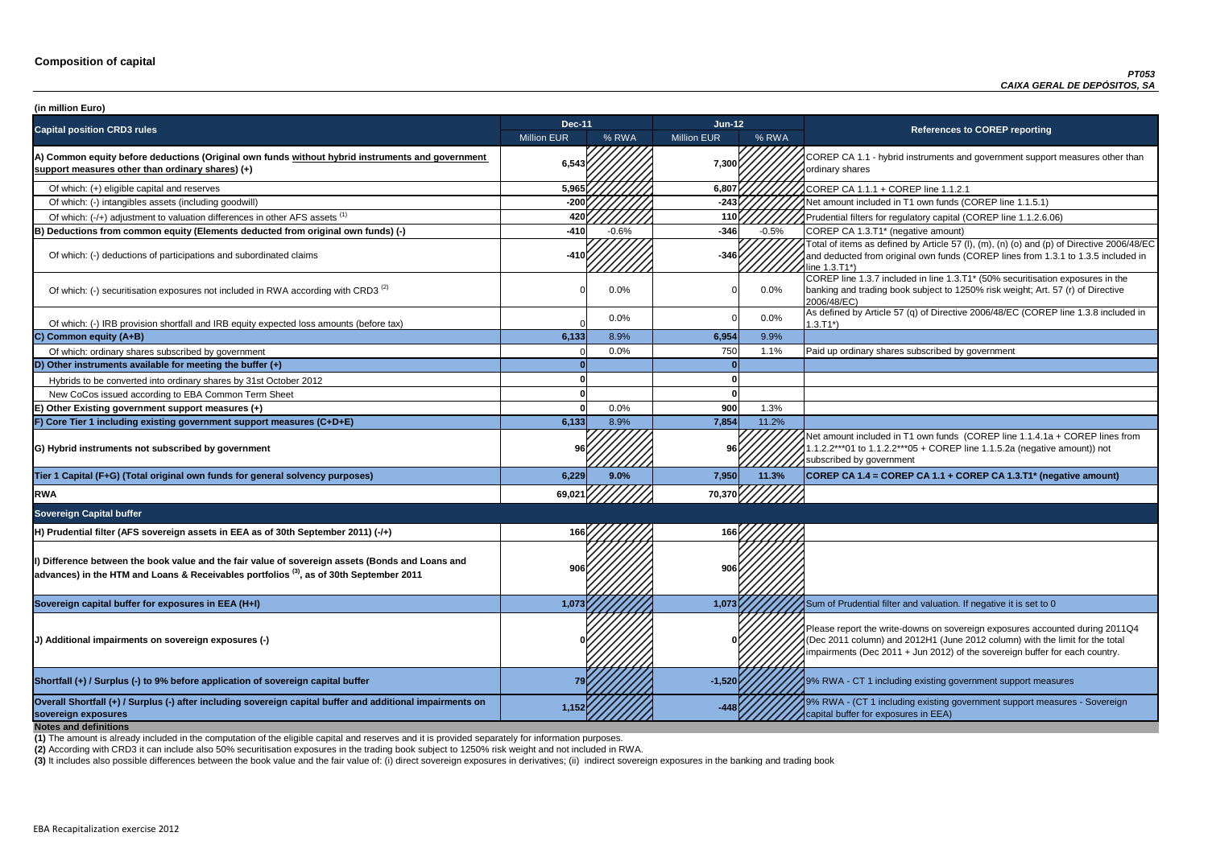**P CA 1.1 - hybrid instruments and government support measures other than** ry shares

of tial filters for regulatory capital (COREP line 1.1.2.6.06)

of items as defined by Article 57 (I), (m), (n) (o) and (p) of Directive 2006/48/EC educted from original own funds (COREP lines from 1.3.1 to 1.3.5 included in  $3.71^*$ 

 $\overline{C}$  line 1.3.7 included in line 1.3.T1\* (50% securitisation exposures in the g and trading book subject to 1250% risk weight; Art. 57 (r) of Directive  $8/EC$ )

ned by Article 57 (q) of Directive 2006/48/EC (COREP line 1.3.8 included in

nount included in T1 own funds (COREP line 1.1.4.1a + COREP lines from  $2***01$  to 1.1.2.2\*\*\*05 + COREP line 1.1.5.2a (negative amount)) not ibed by government

**sovereign exposures 1,152 -448** 9% RWA - (CT 1 including existing government support measures - Sovereign buffer for exposures in EEA)

| (in million Euro)                                                                                                                                                                                       |                    |         |                    |         |                                                                                                                                                                                   |
|---------------------------------------------------------------------------------------------------------------------------------------------------------------------------------------------------------|--------------------|---------|--------------------|---------|-----------------------------------------------------------------------------------------------------------------------------------------------------------------------------------|
| <b>Capital position CRD3 rules</b>                                                                                                                                                                      | <b>Dec-11</b>      |         | Jun-12             |         | <b>References to COREP reporting</b>                                                                                                                                              |
|                                                                                                                                                                                                         | <b>Million EUR</b> | % RWA   | <b>Million EUR</b> | % RWA   |                                                                                                                                                                                   |
| A) Common equity before deductions (Original own funds without hybrid instruments and government<br>support measures other than ordinary shares) (+)                                                    | 6,543              |         | 7,300              |         | COREP CA 1.1 - hybrid instruments and government suppo<br>ordinary shares                                                                                                         |
| Of which: (+) eligible capital and reserves                                                                                                                                                             | 5,965              |         | 6,807              |         | COREP CA 1.1.1 + COREP line 1.1.2.1                                                                                                                                               |
| Of which: (-) intangibles assets (including goodwill)                                                                                                                                                   | $-200$             |         | $-243$             |         | Net amount included in T1 own funds (COREP line 1.1.5.1)                                                                                                                          |
| Of which: (-/+) adjustment to valuation differences in other AFS assets <sup>(1)</sup>                                                                                                                  | 420                |         | 110 <sub>l</sub>   |         | Prudential filters for regulatory capital (COREP line 1.1.2.6.                                                                                                                    |
| B) Deductions from common equity (Elements deducted from original own funds) (-)                                                                                                                        | $-410$             | $-0.6%$ | $-346$             | $-0.5%$ | COREP CA 1.3.T1* (negative amount)                                                                                                                                                |
| Of which: (-) deductions of participations and subordinated claims                                                                                                                                      | $-410$             |         | $-346$             |         | Total of items as defined by Article 57 (I), (m), (n) (o) and (p<br>and deducted from original own funds (COREP lines from 1<br>line 1.3.T1*)                                     |
| Of which: (-) securitisation exposures not included in RWA according with CRD3 <sup>(2)</sup>                                                                                                           |                    | 0.0%    |                    | $0.0\%$ | COREP line 1.3.7 included in line 1.3.T1* (50% securitisation<br>banking and trading book subject to 1250% risk weight; Art.<br>2006/48/EC)                                       |
| Of which: (-) IRB provision shortfall and IRB equity expected loss amounts (before tax)                                                                                                                 |                    | 0.0%    |                    | $0.0\%$ | As defined by Article 57 (q) of Directive 2006/48/EC (CORE<br>$1.3.T1*)$                                                                                                          |
| C) Common equity (A+B)                                                                                                                                                                                  | 6,133              | 8.9%    | 6,954              | 9.9%    |                                                                                                                                                                                   |
| Of which: ordinary shares subscribed by government                                                                                                                                                      |                    | 0.0%    | 750                | 1.1%    | Paid up ordinary shares subscribed by government                                                                                                                                  |
| D) Other instruments available for meeting the buffer $(+)$                                                                                                                                             |                    |         |                    |         |                                                                                                                                                                                   |
| Hybrids to be converted into ordinary shares by 31st October 2012                                                                                                                                       |                    |         |                    |         |                                                                                                                                                                                   |
| New CoCos issued according to EBA Common Term Sheet                                                                                                                                                     |                    |         |                    |         |                                                                                                                                                                                   |
| E) Other Existing government support measures (+)                                                                                                                                                       |                    | 0.0%    | 900                | 1.3%    |                                                                                                                                                                                   |
| F) Core Tier 1 including existing government support measures (C+D+E)                                                                                                                                   | 6,133              | 8.9%    | 7,854              | 11.2%   |                                                                                                                                                                                   |
| G) Hybrid instruments not subscribed by government                                                                                                                                                      |                    |         |                    |         | Net amount included in T1 own funds (COREP line 1.1.4.1a<br>1.1.2.2***01 to 1.1.2.2***05 + COREP line 1.1.5.2a (negativ<br>subscribed by government                               |
| Tier 1 Capital (F+G) (Total original own funds for general solvency purposes)                                                                                                                           | 6,229              | 9.0%    | 7,950              | 11.3%   | COREP CA 1.4 = COREP CA 1.1 + COREP CA 1.3.T1* (ne                                                                                                                                |
| <b>RWA</b>                                                                                                                                                                                              | 69,021             |         | 70,370             |         |                                                                                                                                                                                   |
| <b>Sovereign Capital buffer</b>                                                                                                                                                                         |                    |         |                    |         |                                                                                                                                                                                   |
| H) Prudential filter (AFS sovereign assets in EEA as of 30th September 2011) (-/+)                                                                                                                      | 166                |         | 166                |         |                                                                                                                                                                                   |
| Dip Difference between the book value and the fair value of sovereign assets (Bonds and Loans and<br>advances) in the HTM and Loans & Receivables portfolios <sup>(3)</sup> , as of 30th September 2011 |                    |         |                    |         |                                                                                                                                                                                   |
| Sovereign capital buffer for exposures in EEA (H+I)                                                                                                                                                     | 1,073              |         | 1,073              |         | Sum of Prudential filter and valuation. If negative it is set to                                                                                                                  |
| (J) Additional impairments on sovereign exposures (-)                                                                                                                                                   |                    |         |                    |         | Please report the write-downs on sovereign exposures acco<br>(Dec 2011 column) and 2012H1 (June 2012 column) with th<br>impairments (Dec 2011 + Jun 2012) of the sovereign buffer |
| Shortfall (+) / Surplus (-) to 9% before application of sovereign capital buffer                                                                                                                        |                    |         | $-1,520$           |         | 19% RWA - CT 1 including existing government support mea                                                                                                                          |
| Overall Shortfall (+) / Surplus (-) after including sovereign capital buffer and additional impairments on<br>sovereign exposures<br><b>Notes and definitions</b>                                       | 1,152              |         |                    |         | 9% RWA - (CT 1 including existing government support mea<br>capital buffer for exposures in EEA)                                                                                  |

**Tier 1 Capital (F+G) (Total original own funds for general solvency purposes) 6,229 9.0% 7,950 11.3% COREP CA 1.4 = COREP CA 1.1 + COREP CA 1.3.T1\* (negative amount)**

report the write-downs on sovereign exposures accounted during 2011Q4 (011 column) and 2012H1 (June 2012 column) with the limit for the total ments (Dec 2011 + Jun 2012) of the sovereign buffer for each country.

**A** - CT 1 including existing government support measures

**(2)** According with CRD3 it can include also 50% securitisation exposures in the trading book subject to 1250% risk weight and not included in RWA.

(3) It includes also possible differences between the book value and the fair value of: (i) direct sovereign exposures in derivatives; (ii) indirect sovereign exposures in the banking and trading book

**(1)** The amount is already included in the computation of the eligible capital and reserves and it is provided separately for information purposes.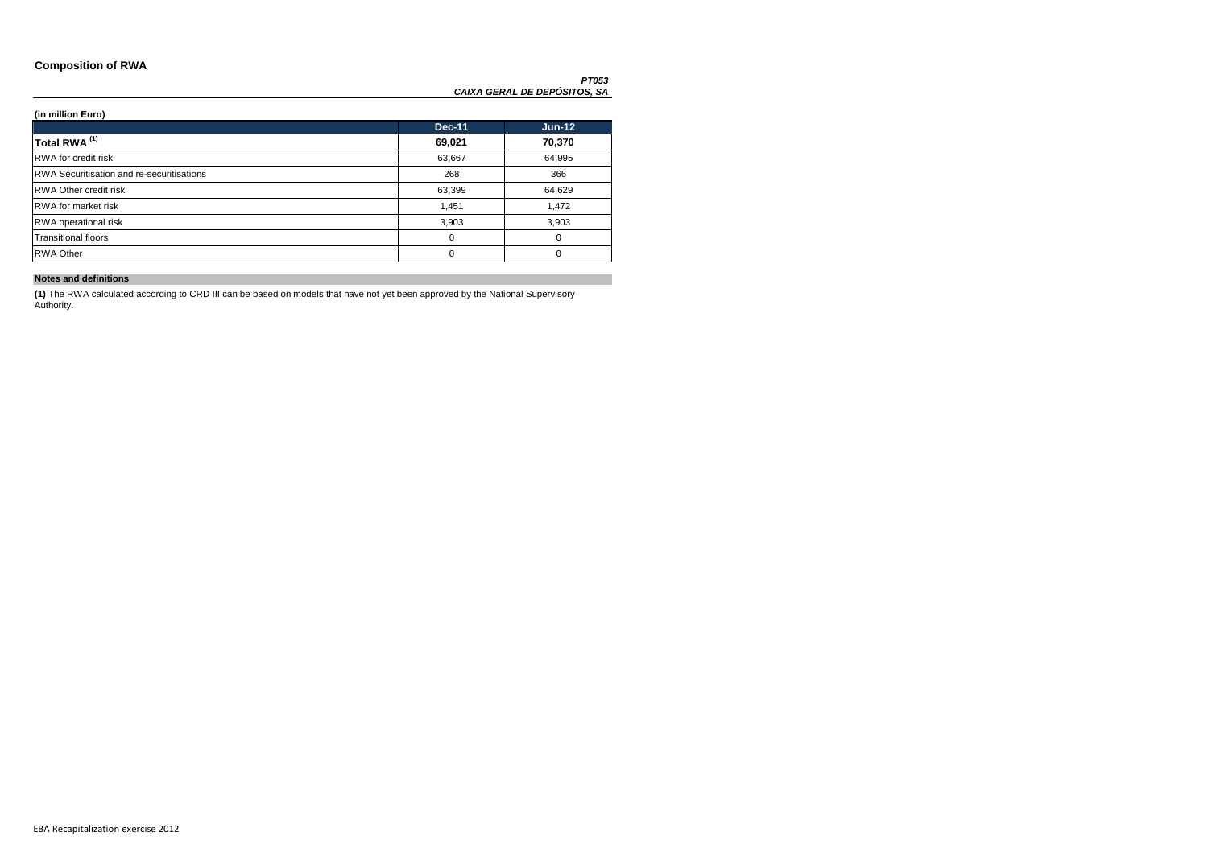### **Composition of RWA**

### **(in million Euro)**

|                                                  | <b>Dec-11</b> | $Jun-12$ |
|--------------------------------------------------|---------------|----------|
| Total RWA <sup>(1)</sup>                         | 69,021        | 70,370   |
| RWA for credit risk                              | 63,667        | 64,995   |
| <b>RWA Securitisation and re-securitisations</b> | 268           | 366      |
| <b>RWA Other credit risk</b>                     | 63,399        | 64,629   |
| <b>RWA</b> for market risk                       | 1,451         | 1,472    |
| RWA operational risk                             | 3,903         | 3,903    |
| <b>Transitional floors</b>                       | 0             | 0        |
| <b>RWA Other</b>                                 | 0             | 0        |

### **Notes and definitions**

**(1)** The RWA calculated according to CRD III can be based on models that have not yet been approved by the National Supervisory Authority.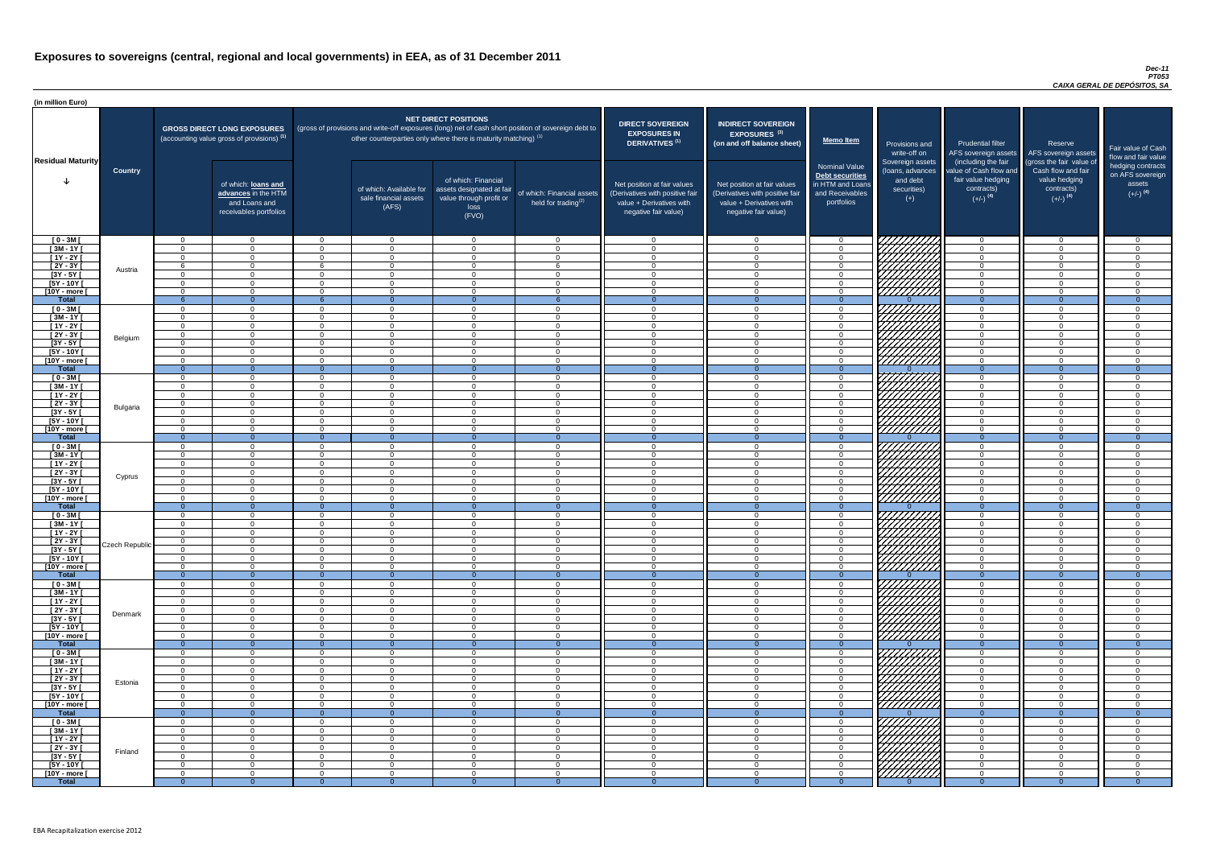#### *Dec-11 PT053 CAIXA GERAL DE DEPÓSITOS, SA*

| (in million Euro)                   |                |                          |                                                                                             |                          |                                                                            |                                                                                              |                                                                                                     |                                                                                                                    |                                                                                                                    |                                                                                              |                                                                          |                                                                                                             |                                                                                                         |                                                   |
|-------------------------------------|----------------|--------------------------|---------------------------------------------------------------------------------------------|--------------------------|----------------------------------------------------------------------------|----------------------------------------------------------------------------------------------|-----------------------------------------------------------------------------------------------------|--------------------------------------------------------------------------------------------------------------------|--------------------------------------------------------------------------------------------------------------------|----------------------------------------------------------------------------------------------|--------------------------------------------------------------------------|-------------------------------------------------------------------------------------------------------------|---------------------------------------------------------------------------------------------------------|---------------------------------------------------|
|                                     |                |                          | <b>GROSS DIRECT LONG EXPOSURES</b><br>(accounting value gross of provisions) <sup>(1)</sup> |                          | other counterparties only where there is maturity matching) <sup>(1)</sup> | <b>NET DIRECT POSITIONS</b>                                                                  | (gross of provisions and write-off exposures (long) net of cash short position of sovereign debt to | <b>DIRECT SOVEREIGN</b><br><b>EXPOSURES IN</b><br><b>DERIVATIVES (1)</b>                                           | <b>INDIRECT SOVEREIGN</b><br><b>EXPOSURES<sup>(3)</sup></b><br>(on and off balance sheet)                          | <b>Memo Item</b>                                                                             | Provisions and<br>write-off on                                           | <b>Prudential filter</b><br>AFS sovereign assets                                                            | Reserve<br>AFS sovereign assets                                                                         | Fair value<br>flow and f                          |
| <b>Residual Maturity</b>            | <b>Country</b> |                          | of which: loans and<br>advances in the HTM<br>and Loans and<br>receivables portfolios       |                          | of which: Available for<br>sale financial assets<br>(AFS)                  | of which: Financial<br>assets designated at fair<br>value through profit or<br>loss<br>(FVO) | of which: Financial assets<br>held for trading <sup>(2)</sup>                                       | Net position at fair values<br>(Derivatives with positive fair<br>value + Derivatives with<br>negative fair value) | Net position at fair values<br>(Derivatives with positive fair<br>value + Derivatives with<br>negative fair value) | <b>Nominal Value</b><br>Debt securities<br>in HTM and Loans<br>and Receivables<br>portfolios | Sovereign assets<br>(loans, advances<br>and debt<br>securities)<br>$(+)$ | (including the fair<br>value of Cash flow and<br>fair value hedging<br>contracts)<br>$(+/-)$ <sup>(4)</sup> | (gross the fair value of<br>Cash flow and fair<br>value hedging<br>contracts)<br>$(+/-)$ <sup>(4)</sup> | hedging o<br>on AFS <sub>s</sub><br>ass<br>$(+/-$ |
| $[0 - 3M]$                          |                | $\cap$                   | $\overline{0}$                                                                              | $\Omega$                 | $\overline{0}$                                                             | $\overline{0}$                                                                               | $\Omega$                                                                                            | $\Omega$                                                                                                           | $\cap$                                                                                                             | - 0                                                                                          | 1777777777                                                               | $\overline{0}$                                                                                              | $\overline{0}$                                                                                          |                                                   |
| $[3M - 1Y]$                         |                | $\cap$                   | $\Omega$                                                                                    | $\Omega$                 | $\Omega$                                                                   | $\Omega$                                                                                     | $\Omega$<br>$\Omega$                                                                                | $\Omega$<br>$\Omega$                                                                                               | $\Omega$                                                                                                           | $\overline{0}$                                                                               |                                                                          | $\Omega$                                                                                                    | $\overline{0}$                                                                                          |                                                   |
| $[1Y - 2Y]$<br>$[2Y - 3Y]$          |                | $\cap$                   | $\Omega$<br>$\Omega$                                                                        | $\Omega$<br>6            | $\Omega$<br>$\Omega$                                                       | $\Omega$<br>$\Omega$                                                                         |                                                                                                     | $\Omega$                                                                                                           | $\cap$<br>$\cap$                                                                                                   | $\cap$<br>$\Omega$                                                                           |                                                                          | $\Omega$<br>$\Omega$                                                                                        | $\Omega$<br>$\Omega$                                                                                    |                                                   |
| $[3Y - 5Y]$                         | Austria        | $\Omega$                 | $\Omega$                                                                                    | $\Omega$                 | $\overline{0}$                                                             | $\Omega$                                                                                     | $\Omega$                                                                                            | $\Omega$                                                                                                           | $\Omega$                                                                                                           | $\Omega$                                                                                     |                                                                          | $\Omega$                                                                                                    | $\Omega$                                                                                                |                                                   |
| [5Y - 10Y [                         |                | $\cap$<br>$\cap$         | $\Omega$                                                                                    | - റ                      | $\Omega$                                                                   | $\Omega$                                                                                     | $\cap$<br>$\Omega$                                                                                  | $\Omega$<br>$\Omega$                                                                                               | $\cap$<br>$\cap$                                                                                                   | $\Omega$                                                                                     |                                                                          | $\Omega$                                                                                                    | $\Omega$                                                                                                |                                                   |
| [10Y - more [<br><b>Total</b>       |                |                          | $\Omega$<br>$\cap$                                                                          | $\Omega$                 | $\overline{0}$<br>$\Omega$                                                 | $\Omega$<br>$\cap$                                                                           |                                                                                                     |                                                                                                                    |                                                                                                                    | $\overline{0}$<br>- 0                                                                        | <u>VIIIIIII</u> II                                                       | $\overline{0}$<br>$\Omega$                                                                                  | $\Omega$<br>$\Omega$                                                                                    |                                                   |
| $[0 - 3M]$                          |                | $\Omega$                 | $\Omega$                                                                                    | $\Omega$                 | $\Omega$                                                                   | $\Omega$                                                                                     | $\Omega$                                                                                            | $\Omega$                                                                                                           | $\cap$                                                                                                             | $\overline{0}$                                                                               | 777777777                                                                | $\Omega$                                                                                                    | $\Omega$                                                                                                |                                                   |
| $[3M - 1Y]$                         |                | $\Omega$                 | $\Omega$                                                                                    | $\Omega$                 | $\overline{0}$                                                             | $\Omega$                                                                                     | $\Omega$                                                                                            | $\Omega$                                                                                                           | $\Omega$                                                                                                           | $\Omega$                                                                                     |                                                                          | $\Omega$                                                                                                    | $\overline{0}$                                                                                          |                                                   |
| $[1Y - 2Y]$<br>$[2Y - 3Y]$          |                | $\Omega$<br>$\Omega$     | $\overline{0}$<br>$\Omega$                                                                  | $\Omega$<br>$\Omega$     | $\overline{0}$<br>$\overline{0}$                                           | $\overline{0}$<br>$\Omega$                                                                   | $\Omega$<br>$\Omega$                                                                                | $\Omega$<br>$\Omega$                                                                                               | $\Omega$<br>$\Omega$                                                                                               | $\overline{0}$<br>$\Omega$                                                                   |                                                                          | $\overline{0}$<br>$\overline{0}$                                                                            | $\overline{0}$<br>$\Omega$                                                                              |                                                   |
| $[3Y - 5Y]$                         | Belgium        | $\cap$                   | $\Omega$                                                                                    | $\Omega$                 | $\Omega$                                                                   | $\Omega$                                                                                     | $\cap$                                                                                              | $\Omega$                                                                                                           | $\cap$                                                                                                             | $\Omega$                                                                                     |                                                                          | $\Omega$                                                                                                    | $\Omega$                                                                                                |                                                   |
| $[5Y - 10Y]$                        |                |                          | $\Omega$                                                                                    | $\Omega$                 | $\Omega$                                                                   | $\Omega$                                                                                     |                                                                                                     |                                                                                                                    |                                                                                                                    | $\Omega$                                                                                     | <i>7777777</i> 7                                                         | $\Omega$                                                                                                    | $\Omega$                                                                                                |                                                   |
| [10Y - more [<br><b>Total</b>       |                | $\cap$<br>$\overline{0}$ | $\Omega$<br>$\Omega$                                                                        | $\Omega$<br>- 0          | $\cap$<br>$\Omega$                                                         | $\Omega$<br>$\Omega$                                                                         | $\cap$<br>$\Omega$                                                                                  | $\Omega$                                                                                                           | $\cap$<br>$\Omega$                                                                                                 | $\cap$<br>$\overline{0}$                                                                     | 777777777                                                                | $\Omega$<br>$\overline{0}$                                                                                  | $\Omega$<br>$\Omega$                                                                                    |                                                   |
| $[0 - 3M]$                          |                | $\Omega$                 | $\Omega$                                                                                    | $\Omega$                 | $\Omega$                                                                   | $\Omega$                                                                                     | $\Omega$                                                                                            | $\Omega$                                                                                                           | $\cap$                                                                                                             | $\Omega$                                                                                     |                                                                          | $\Omega$                                                                                                    | $\Omega$                                                                                                |                                                   |
| $[3M - 1Y]$                         |                | $\cap$                   | $\Omega$                                                                                    | $\Omega$                 | $\Omega$                                                                   | $\Omega$                                                                                     | $\cap$                                                                                              | $\Omega$                                                                                                           | റ                                                                                                                  | $\Omega$                                                                                     |                                                                          | $\overline{0}$                                                                                              | $\Omega$                                                                                                |                                                   |
| $[1Y - 2Y]$<br>$[2Y - 3Y]$          |                | $\cap$<br>$\cap$         | $\Omega$<br>$\Omega$                                                                        | $\Omega$<br>$\Omega$     | $\Omega$<br>$\Omega$                                                       | $\Omega$<br>$\Omega$                                                                         | $\cap$<br>$\cap$                                                                                    | $\Omega$<br>$\Omega$                                                                                               | $\cap$<br>$\cap$                                                                                                   | $\Omega$<br>$\Omega$                                                                         | <i>ШЩЩ</i>                                                               | $\overline{0}$<br>$\Omega$                                                                                  | $\Omega$<br>$\overline{0}$                                                                              |                                                   |
| [3Y - 5Y                            | Bulgaria       |                          |                                                                                             |                          |                                                                            |                                                                                              |                                                                                                     |                                                                                                                    |                                                                                                                    |                                                                                              | \ <i>\HHHH</i>                                                           |                                                                                                             |                                                                                                         |                                                   |
| $[5Y - 10Y]$                        |                | $\cap$                   | $\Omega$                                                                                    | $\Omega$                 | $\Omega$                                                                   | $\Omega$                                                                                     |                                                                                                     | $\Omega$                                                                                                           | $\cap$                                                                                                             | $\cap$                                                                                       |                                                                          | $\Omega$                                                                                                    | $\Omega$                                                                                                |                                                   |
| [10Y - more ]<br><b>Total</b>       |                | $\Omega$<br>$\Omega$     | $\Omega$<br>$\Omega$                                                                        | $\Omega$<br>$\Omega$     | $\Omega$<br>$\Omega$                                                       | $\Omega$<br>$\cap$                                                                           |                                                                                                     |                                                                                                                    | $\cap$                                                                                                             | $\cap$<br>$\Omega$                                                                           | <u>7777777</u>                                                           | $\Omega$<br>$\overline{0}$                                                                                  | $\Omega$<br>$\Omega$                                                                                    |                                                   |
| $[0 - 3M]$                          |                | $\Omega$                 | $\Omega$                                                                                    | $\Omega$                 | $\Omega$                                                                   | $\Omega$                                                                                     | $\cap$                                                                                              | $\Omega$                                                                                                           | $\cap$                                                                                                             | $\cap$                                                                                       |                                                                          | $\Omega$                                                                                                    | $\Omega$                                                                                                |                                                   |
| $[3M - 1Y]$                         |                |                          | $\Omega$                                                                                    | $\Omega$                 | $\Omega$                                                                   | $\Omega$                                                                                     |                                                                                                     | ∩                                                                                                                  |                                                                                                                    | $\cap$                                                                                       | <b>17777</b>                                                             | $\Omega$                                                                                                    | $\Omega$                                                                                                |                                                   |
| $\overline{[1Y-2Y]}$<br>$[2Y - 3Y]$ |                |                          | - 0<br>$\Omega$                                                                             | $\Omega$<br>$\Omega$     | $\Omega$<br>$\Omega$                                                       | - 0<br>- 0                                                                                   | $\Omega$                                                                                            |                                                                                                                    | $\Omega$                                                                                                           | - 0                                                                                          |                                                                          | $\Omega$<br>$\Omega$                                                                                        | $\Omega$<br>$\Omega$                                                                                    |                                                   |
| $[3Y - 5Y]$                         | Cyprus         | $\cap$                   | $\Omega$                                                                                    | $\Omega$                 | $\Omega$                                                                   | - 0                                                                                          | $\Omega$                                                                                            | $\Omega$                                                                                                           | $\Omega$                                                                                                           | $\cap$                                                                                       |                                                                          | $\Omega$                                                                                                    | $\Omega$                                                                                                |                                                   |
| $[5Y - 10Y]$                        |                |                          | $\Omega$                                                                                    | $\Omega$                 | $\Omega$                                                                   | $\Omega$                                                                                     | $\Omega$                                                                                            | ∩                                                                                                                  | ∩                                                                                                                  | $\cap$                                                                                       |                                                                          | $\Omega$                                                                                                    | $\Omega$                                                                                                |                                                   |
| [10Y - more [<br><b>Total</b>       |                | $\cap$<br>$\Omega$       | $\Omega$<br>- റ                                                                             | $\Omega$<br>$\Omega$     | $\Omega$<br>- 0                                                            | $\Omega$                                                                                     | $\Omega$                                                                                            | $\cap$                                                                                                             | $\Omega$                                                                                                           | $\cap$<br>$\Omega$                                                                           |                                                                          | $\Omega$<br>$\Omega$                                                                                        | $\Omega$<br>$\Omega$                                                                                    |                                                   |
| $[0 - 3M]$                          |                | $\cap$                   | $\Omega$                                                                                    | $\Omega$                 | $\Omega$                                                                   | $\Omega$                                                                                     | $\Omega$                                                                                            | ∩                                                                                                                  | $\Omega$                                                                                                           | റ                                                                                            |                                                                          | $\Omega$                                                                                                    | $\Omega$                                                                                                |                                                   |
| $\sqrt{3M-1Y}$                      |                | $\Omega$                 | $\Omega$                                                                                    | $\Omega$                 | $\Omega$                                                                   | $\Omega$                                                                                     | $\Omega$                                                                                            | $\Omega$                                                                                                           | $\Omega$                                                                                                           | $\overline{0}$                                                                               | ///////////                                                              | $\overline{0}$                                                                                              | $\Omega$                                                                                                |                                                   |
| $[1Y - 2Y]$                         |                | $\Omega$                 | $\Omega$                                                                                    | $\Omega$                 | $\overline{0}$                                                             | $\Omega$                                                                                     | - 0                                                                                                 | $\Omega$                                                                                                           | $\Omega$<br>$\Omega$                                                                                               | $\overline{0}$<br>$\Omega$                                                                   |                                                                          | $\overline{0}$                                                                                              | $\overline{0}$<br>$\Omega$                                                                              |                                                   |
| $[2Y - 3Y]$<br>$[3Y - 5Y]$          | Czech Republic |                          | $\Omega$<br>$\Omega$                                                                        | $\Omega$<br>$\Omega$     | $\Omega$<br>$\overline{0}$                                                 | $\Omega$<br>$\Omega$                                                                         | ∩                                                                                                   |                                                                                                                    |                                                                                                                    | $\Omega$                                                                                     | 77777777                                                                 | $\Omega$<br>$\overline{0}$                                                                                  | $\overline{0}$                                                                                          |                                                   |
| $[5Y - 10Y]$                        |                |                          | $\Omega$                                                                                    | $\Omega$                 | $\Omega$                                                                   | $\Omega$                                                                                     | $\Omega$                                                                                            | ∩                                                                                                                  | ∩                                                                                                                  | $\Omega$                                                                                     |                                                                          | $\Omega$                                                                                                    | $\Omega$                                                                                                |                                                   |
| [10Y - more [                       |                |                          | $\Omega$                                                                                    | $\Omega$                 | $\Omega$                                                                   | $\Omega$                                                                                     |                                                                                                     | ∩                                                                                                                  | ∩                                                                                                                  | $\cap$                                                                                       | 77777777                                                                 | $\Omega$                                                                                                    | $\Omega$                                                                                                |                                                   |
| <b>Total</b><br>$[0 - 3M]$          |                | $\Omega$<br>$\cap$       | $\overline{0}$<br>$\Omega$                                                                  | $\Omega$<br>$\Omega$     | $\Omega$<br>$\Omega$                                                       | $\Omega$<br>$\Omega$                                                                         | $\Omega$<br>$\cap$                                                                                  | $\Omega$                                                                                                           | $\Omega$<br>$\cap$                                                                                                 | $\Omega$<br>$\cap$                                                                           |                                                                          | $\overline{0}$<br>$\Omega$                                                                                  | $\Omega$<br>$\Omega$                                                                                    |                                                   |
| $[3M - 1Y]$                         |                | $\cap$                   | $\Omega$                                                                                    | - റ                      | $\Omega$                                                                   | $\Omega$                                                                                     | $\cap$                                                                                              | $\Omega$                                                                                                           | $\cap$                                                                                                             | $\Omega$                                                                                     |                                                                          | $\overline{0}$                                                                                              | $\Omega$                                                                                                |                                                   |
| $[1Y - 2Y]$                         |                | $\cap$                   | $\overline{0}$                                                                              | $\Omega$                 | $\overline{0}$                                                             | $\Omega$                                                                                     | $\Omega$                                                                                            | $\Omega$                                                                                                           | $\cap$                                                                                                             | $\Omega$                                                                                     |                                                                          | $\overline{0}$                                                                                              | $\Omega$                                                                                                |                                                   |
| $\boxed{2Y - 3Y}$<br>$[3Y - 5Y]$    | Denmark        | $\cap$<br>$\cap$         | $\Omega$<br>$\Omega$                                                                        | $\Omega$<br>$\Omega$     | $\overline{0}$<br>$\Omega$                                                 | $\Omega$<br>$\Omega$                                                                         | $\Omega$<br>$\cap$                                                                                  | $\Omega$<br>$\Omega$                                                                                               | $\cap$<br>$\cap$                                                                                                   | $\Omega$<br>. വ                                                                              |                                                                          | $\overline{0}$<br>$\Omega$                                                                                  | $\Omega$<br>$\Omega$                                                                                    |                                                   |
| $[5Y - 10Y]$                        |                | $\Omega$                 | $\overline{0}$                                                                              | $\Omega$                 | $\overline{0}$                                                             | $\overline{0}$                                                                               | $\Omega$                                                                                            | $\Omega$                                                                                                           | $\cap$                                                                                                             | $\Omega$                                                                                     | ШША.                                                                     | $\overline{0}$                                                                                              | $\Omega$                                                                                                |                                                   |
| [10Y - more ]                       |                | $\Omega$                 | $\Omega$                                                                                    | $\Omega$                 | $\overline{0}$                                                             | $\Omega$                                                                                     | $\Omega$                                                                                            | $\Omega$                                                                                                           | $\cap$                                                                                                             | $\Omega$                                                                                     | 77777777                                                                 | $\overline{0}$                                                                                              | $\Omega$                                                                                                |                                                   |
| <b>Total</b><br>$[0 - 3M]$          |                | $\Omega$<br>$\cap$       | $\Omega$<br>$\Omega$                                                                        | - 0<br>$\Omega$          | $\Omega$<br>$\Omega$                                                       | $\Omega$<br>$\Omega$                                                                         | $\Omega$<br>$\Omega$                                                                                | $\Omega$                                                                                                           | $\Omega$<br>∩                                                                                                      | $\Omega$<br>$\Omega$                                                                         |                                                                          | $\overline{0}$<br>$\Omega$                                                                                  | $\Omega$<br>$\Omega$                                                                                    |                                                   |
| $[3M - 1Y]$                         |                |                          | $\Omega$                                                                                    | $\Omega$                 | $\Omega$                                                                   | $\Omega$                                                                                     |                                                                                                     |                                                                                                                    |                                                                                                                    | $\Omega$                                                                                     |                                                                          | $\Omega$                                                                                                    | $\Omega$                                                                                                |                                                   |
| $[1Y - 2Y]$                         |                |                          | $\Omega$                                                                                    | $\Omega$                 | $\Omega$                                                                   | $\Omega$                                                                                     | $\Omega$                                                                                            | $\Omega$                                                                                                           | $\cap$                                                                                                             | $\cap$                                                                                       | レク<br>レンシン                                                               | $\Omega$                                                                                                    | $\Omega$                                                                                                |                                                   |
| $[2Y - 3Y]$                         | Estonia        | റ                        | $\Omega$                                                                                    | $\Omega$                 | $\Omega$                                                                   | $\Omega$                                                                                     | $\Omega$<br>$\Omega$                                                                                | $\Omega$                                                                                                           | $\Omega$                                                                                                           | $\cap$                                                                                       |                                                                          | $\Omega$                                                                                                    | $\Omega$                                                                                                |                                                   |
| $[3Y - 5Y]$<br>$[5Y - 10Y]$         |                |                          | $\Omega$<br>$\Omega$                                                                        | $\Omega$<br>$\Omega$     | $\Omega$<br>$\Omega$                                                       | - 0<br>$\Omega$                                                                              | $\Omega$                                                                                            | $\Omega$                                                                                                           | $\Omega$<br>$\Omega$                                                                                               | $\Omega$<br>$\cap$                                                                           | レンプ                                                                      | $\Omega$<br>$\Omega$                                                                                        | $\Omega$<br>$\Omega$                                                                                    |                                                   |
| $\boxed{10Y}$ - more $\boxed{}$     |                | $\cap$                   | . റ                                                                                         | റ                        | $\Omega$                                                                   | $\Omega$                                                                                     | $\cap$                                                                                              | $\Omega$                                                                                                           | റ                                                                                                                  | $\cap$                                                                                       | <u>/////</u>                                                             | $\Omega$                                                                                                    | $\Omega$                                                                                                |                                                   |
| <b>Total</b>                        |                | $\Omega$                 | - 0                                                                                         | $\Omega$                 | - റ                                                                        |                                                                                              |                                                                                                     |                                                                                                                    |                                                                                                                    |                                                                                              |                                                                          | $\Omega$                                                                                                    | $\Omega$                                                                                                |                                                   |
| $[0 - 3M]$<br>$[3M - 1Y]$           |                | $\Omega$                 | $\Omega$<br>$\Omega$                                                                        | $\cap$<br>$\overline{0}$ | $\Omega$<br>$\overline{0}$                                                 | $\Omega$<br>$\Omega$                                                                         | $\Omega$                                                                                            | $\Omega$                                                                                                           | $\Omega$                                                                                                           | $\Omega$                                                                                     | <i><u>VIIIIIIII</u></i>                                                  | $\Omega$<br>$\overline{0}$                                                                                  | $\cap$<br>$\overline{0}$                                                                                |                                                   |
| $[1Y - 2Y]$                         |                | $\Omega$                 | $\overline{0}$                                                                              | $\overline{0}$           | $\overline{0}$                                                             | $\overline{0}$                                                                               | $\Omega$                                                                                            | $\Omega$                                                                                                           | $\Omega$                                                                                                           | $\overline{0}$                                                                               | <b>Contractor</b>                                                        | $\overline{0}$                                                                                              | $\overline{0}$                                                                                          |                                                   |
| $[2Y - 3Y]$                         | Finland        | $\Omega$                 | $\overline{0}$                                                                              | $\Omega$                 | $\overline{0}$                                                             | $\Omega$                                                                                     | $\Omega$                                                                                            | $\Omega$                                                                                                           | $\Omega$                                                                                                           | $\overline{0}$                                                                               |                                                                          | $\overline{0}$                                                                                              | $\Omega$                                                                                                |                                                   |
| [3Y - 5Y [                          |                | $\Omega$                 | $\overline{0}$                                                                              | - 0<br>$\Omega$          | $\overline{0}$                                                             | - 0                                                                                          | $\Omega$                                                                                            | $\Omega$<br>$\Omega$                                                                                               | $\Omega$                                                                                                           | $\Omega$<br>$\Omega$                                                                         |                                                                          | $\overline{0}$<br>$\Omega$                                                                                  | $\Omega$<br>$\Omega$                                                                                    | $\cap$<br>$\cap$                                  |
| $[5Y - 10Y]$<br>$[10Y - more]$      |                |                          | $\overline{0}$<br>$\Omega$                                                                  | $\Omega$                 | $\Omega$<br>$\Omega$                                                       | $\Omega$<br>$\Omega$                                                                         |                                                                                                     | ∩                                                                                                                  | $\Omega$<br>$\Omega$                                                                                               |                                                                                              |                                                                          | $\Omega$                                                                                                    | $\Omega$                                                                                                | $\cap$                                            |
| <b>Total</b>                        |                | $\Omega$                 | $\Omega$                                                                                    |                          | $\overline{0}$                                                             |                                                                                              |                                                                                                     |                                                                                                                    |                                                                                                                    |                                                                                              |                                                                          | $\Omega$                                                                                                    |                                                                                                         |                                                   |

| <b>DIRECT SOVEREIGN</b><br><b>EXPOSURES IN</b><br><b>DERIVATIVES<sup>(1)</sup></b><br>Net position at fair values<br>(Derivatives with positive fair<br>value + Derivatives with<br>negative fair value) | <b>INDIRECT SOVEREIGN</b><br>EXPOSURES <sup>(3)</sup><br>(on and off balance sheet)<br>Net position at fair values<br>(Derivatives with positive fair<br>value + Derivatives with<br>negative fair value) | <b>Memo Item</b><br><b>Nominal Value</b><br>Debt securities<br>in HTM and Loans<br>and Receivables<br>portfolios | Provisions and<br>write-off on<br>Sovereign assets<br>(loans, advances<br>and debt<br>securities)<br>$(+)$ | <b>Prudential filter</b><br>AFS sovereign assets<br>(including the fair<br>value of Cash flow and<br>fair value hedging<br>contracts)<br>$(+/-)$ <sup>(4)</sup> | Reserve<br>AFS sovereign assets<br>(gross the fair value of<br>Cash flow and fair<br>value hedging<br>contracts)<br>$(+/-)$ <sup>(4)</sup> | Fair value of Cash<br>flow and fair value<br>hedging contracts<br>on AFS sovereign<br>assets<br>$(+/-)$ <sup>(4)</sup> |
|----------------------------------------------------------------------------------------------------------------------------------------------------------------------------------------------------------|-----------------------------------------------------------------------------------------------------------------------------------------------------------------------------------------------------------|------------------------------------------------------------------------------------------------------------------|------------------------------------------------------------------------------------------------------------|-----------------------------------------------------------------------------------------------------------------------------------------------------------------|--------------------------------------------------------------------------------------------------------------------------------------------|------------------------------------------------------------------------------------------------------------------------|
| 0                                                                                                                                                                                                        | $\mathbf 0$                                                                                                                                                                                               | $\mathbf 0$                                                                                                      |                                                                                                            | $\mathbf 0$                                                                                                                                                     | $\mathbf 0$                                                                                                                                | 0                                                                                                                      |
| $\mathbf 0$                                                                                                                                                                                              | $\mathbf 0$                                                                                                                                                                                               | $\pmb{0}$                                                                                                        |                                                                                                            | $\mathbf 0$                                                                                                                                                     | $\mathbf 0$                                                                                                                                | $\mathbf 0$                                                                                                            |
| $\mathbf 0$                                                                                                                                                                                              | $\mathbf 0$                                                                                                                                                                                               | $\pmb{0}$                                                                                                        |                                                                                                            | $\pmb{0}$                                                                                                                                                       | $\mathbf 0$                                                                                                                                | $\pmb{0}$                                                                                                              |
| $\mathbf 0$                                                                                                                                                                                              | $\mathbf 0$                                                                                                                                                                                               | $\mathbf 0$                                                                                                      |                                                                                                            | $\mathbf 0$                                                                                                                                                     | $\mathbf 0$                                                                                                                                | $\mathbf 0$                                                                                                            |
| $\mathbf 0$                                                                                                                                                                                              | $\mathbf 0$                                                                                                                                                                                               | $\pmb{0}$                                                                                                        |                                                                                                            | $\mathbf 0$                                                                                                                                                     | $\mathbf 0$                                                                                                                                | $\mathbf 0$                                                                                                            |
| $\mathbf 0$<br>$\mathbf 0$                                                                                                                                                                               | $\mathbf 0$<br>$\mathbf 0$                                                                                                                                                                                | $\pmb{0}$<br>$\pmb{0}$                                                                                           |                                                                                                            | $\mathbf 0$<br>0                                                                                                                                                | $\mathbf 0$<br>$\mathbf 0$                                                                                                                 | $\mathbf 0$<br>$\mathbf 0$                                                                                             |
| $\overline{0}$                                                                                                                                                                                           | $\overline{0}$                                                                                                                                                                                            | $\overline{0}$                                                                                                   | $\Omega$                                                                                                   | $\overline{0}$                                                                                                                                                  | $\overline{0}$                                                                                                                             | $\overline{0}$                                                                                                         |
| $\boldsymbol{0}$                                                                                                                                                                                         | $\boldsymbol{0}$                                                                                                                                                                                          | $\pmb{0}$                                                                                                        |                                                                                                            | $\pmb{0}$                                                                                                                                                       | $\mathbf 0$                                                                                                                                | $\mathbf 0$                                                                                                            |
| $\mathbf 0$                                                                                                                                                                                              | $\mathbf 0$                                                                                                                                                                                               | $\mathbf 0$                                                                                                      |                                                                                                            | $\mathbf 0$                                                                                                                                                     | $\mathbf 0$                                                                                                                                | $\mathbf 0$                                                                                                            |
| $\pmb{0}$                                                                                                                                                                                                | $\mathbf 0$                                                                                                                                                                                               | $\pmb{0}$                                                                                                        |                                                                                                            | $\mathbf 0$                                                                                                                                                     | $\mathbf 0$                                                                                                                                | $\mathbf 0$                                                                                                            |
| $\mathbf 0$                                                                                                                                                                                              | $\mathbf 0$                                                                                                                                                                                               | $\mathbf 0$                                                                                                      |                                                                                                            | $\mathbf 0$                                                                                                                                                     | $\mathbf 0$                                                                                                                                | $\mathbf 0$                                                                                                            |
| $\mathbf 0$<br>$\mathbf 0$                                                                                                                                                                               | $\mathbf 0$<br>$\mathbf 0$                                                                                                                                                                                | $\mathbf 0$<br>$\pmb{0}$                                                                                         |                                                                                                            | $\mathbf 0$<br>$\mathbf 0$                                                                                                                                      | $\mathbf 0$<br>$\mathbf 0$                                                                                                                 | $\mathbf 0$<br>$\mathbf 0$                                                                                             |
| $\mathbf 0$                                                                                                                                                                                              | $\mathbf 0$                                                                                                                                                                                               | $\pmb{0}$                                                                                                        |                                                                                                            | $\mathbf 0$                                                                                                                                                     | $\pmb{0}$                                                                                                                                  | $\pmb{0}$                                                                                                              |
| $\overline{0}$                                                                                                                                                                                           | $\overline{0}$                                                                                                                                                                                            | $\overline{0}$                                                                                                   | $\Omega$                                                                                                   | $\overline{0}$                                                                                                                                                  | $\overline{0}$                                                                                                                             | $\overline{0}$                                                                                                         |
| $\mathbf 0$                                                                                                                                                                                              | $\mathbf 0$                                                                                                                                                                                               | $\mathsf 0$                                                                                                      |                                                                                                            | $\mathbf 0$                                                                                                                                                     | $\mathbf 0$                                                                                                                                | $\mathbf 0$                                                                                                            |
| $\mathbf 0$                                                                                                                                                                                              | $\mathbf 0$                                                                                                                                                                                               | $\pmb{0}$                                                                                                        |                                                                                                            | $\mathbf 0$                                                                                                                                                     | $\mathbf 0$                                                                                                                                | $\mathbf 0$                                                                                                            |
| $\mathbf 0$                                                                                                                                                                                              | $\mathbf 0$                                                                                                                                                                                               | $\pmb{0}$                                                                                                        |                                                                                                            | $\mathbf 0$                                                                                                                                                     | $\mathbf 0$                                                                                                                                | $\mathbf 0$                                                                                                            |
| 0<br>$\mathbf 0$                                                                                                                                                                                         | 0<br>$\mathbf 0$                                                                                                                                                                                          | $\pmb{0}$<br>$\mathbf 0$                                                                                         |                                                                                                            | $\mathbf 0$<br>$\mathbf 0$                                                                                                                                      | 0<br>$\overline{0}$                                                                                                                        | $\mathbf 0$<br>$\mathbf 0$                                                                                             |
| 0                                                                                                                                                                                                        | 0                                                                                                                                                                                                         | 0                                                                                                                |                                                                                                            | 0                                                                                                                                                               | O                                                                                                                                          | 0                                                                                                                      |
| $\mathbf 0$                                                                                                                                                                                              | 0                                                                                                                                                                                                         | $\mathbf 0$                                                                                                      |                                                                                                            | $\mathbf 0$                                                                                                                                                     | 0                                                                                                                                          | 0                                                                                                                      |
| $\overline{0}$                                                                                                                                                                                           | $\overline{0}$                                                                                                                                                                                            | $\mathbf{0}$                                                                                                     | $\overline{0}$                                                                                             | $\overline{0}$                                                                                                                                                  | $\overline{0}$                                                                                                                             | $\overline{0}$                                                                                                         |
| $\mathbf 0$<br>$\mathbf 0$                                                                                                                                                                               | 0<br>$\mathbf 0$                                                                                                                                                                                          | $\mathbf 0$<br>$\mathbf 0$                                                                                       |                                                                                                            | 0<br>$\mathbf 0$                                                                                                                                                | 0<br>$\mathbf 0$                                                                                                                           | 0<br>0                                                                                                                 |
| $\mathbf 0$                                                                                                                                                                                              | $\mathbf 0$                                                                                                                                                                                               | $\pmb{0}$                                                                                                        |                                                                                                            | $\mathbf 0$                                                                                                                                                     | $\mathbf 0$                                                                                                                                | $\mathbf 0$                                                                                                            |
| $\mathbf 0$                                                                                                                                                                                              | $\mathbf 0$                                                                                                                                                                                               | $\pmb{0}$                                                                                                        |                                                                                                            | $\mathbf 0$                                                                                                                                                     | $\mathbf 0$                                                                                                                                | $\mathbf 0$                                                                                                            |
| $\mathbf 0$                                                                                                                                                                                              | $\mathbf 0$                                                                                                                                                                                               | $\mathbf 0$                                                                                                      |                                                                                                            | 0                                                                                                                                                               | 0                                                                                                                                          | 0                                                                                                                      |
| 0                                                                                                                                                                                                        | 0                                                                                                                                                                                                         | $\pmb{0}$                                                                                                        |                                                                                                            | 0                                                                                                                                                               | 0                                                                                                                                          | 0<br>$\mathbf 0$                                                                                                       |
| $\mathbf 0$<br>$\overline{0}$                                                                                                                                                                            | $\mathbf 0$<br>$\overline{0}$                                                                                                                                                                             | $\pmb{0}$<br>$\overline{0}$                                                                                      | $\overline{0}$                                                                                             | 0<br>$\overline{0}$                                                                                                                                             | 0<br>$\overline{0}$                                                                                                                        | $\overline{0}$                                                                                                         |
| $\mathbf 0$                                                                                                                                                                                              | 0                                                                                                                                                                                                         | $\pmb{0}$                                                                                                        |                                                                                                            | 0                                                                                                                                                               | 0                                                                                                                                          | $\mathbf 0$                                                                                                            |
| $\mathbf 0$                                                                                                                                                                                              | 0                                                                                                                                                                                                         | $\pmb{0}$                                                                                                        |                                                                                                            | $\mathbf 0$                                                                                                                                                     | $\mathbf 0$                                                                                                                                | $\pmb{0}$                                                                                                              |
| $\boldsymbol{0}$                                                                                                                                                                                         | 0                                                                                                                                                                                                         | $\pmb{0}$                                                                                                        |                                                                                                            | $\mathbf 0$                                                                                                                                                     | $\mathbf 0$                                                                                                                                | $\mathbf 0$                                                                                                            |
| $\mathbf 0$<br>0                                                                                                                                                                                         | $\mathbf 0$<br>0                                                                                                                                                                                          | $\mathbf 0$<br>0                                                                                                 |                                                                                                            | $\mathbf 0$<br>$\mathbf 0$                                                                                                                                      | $\mathbf 0$<br>$\mathbf 0$                                                                                                                 | $\mathbf 0$<br>$\mathbf 0$                                                                                             |
| 0                                                                                                                                                                                                        | 0                                                                                                                                                                                                         | 0                                                                                                                |                                                                                                            | 0                                                                                                                                                               | 0                                                                                                                                          | 0                                                                                                                      |
| $\mathbf 0$                                                                                                                                                                                              | 0                                                                                                                                                                                                         | 0                                                                                                                |                                                                                                            | 0                                                                                                                                                               | $\mathbf 0$                                                                                                                                | $\mathbf 0$                                                                                                            |
| $\mathbf{0}$                                                                                                                                                                                             | $\overline{0}$                                                                                                                                                                                            | $\overline{0}$                                                                                                   | $\overline{0}$                                                                                             | $\overline{0}$                                                                                                                                                  | $\overline{0}$                                                                                                                             | $\overline{0}$                                                                                                         |
| $\mathbf 0$<br>0                                                                                                                                                                                         | 0<br>0                                                                                                                                                                                                    | $\mathbf 0$<br>0                                                                                                 |                                                                                                            | 0<br>0                                                                                                                                                          | 0<br>0                                                                                                                                     | 0<br>$\mathbf 0$                                                                                                       |
| 0                                                                                                                                                                                                        | 0                                                                                                                                                                                                         | 0                                                                                                                |                                                                                                            | 0                                                                                                                                                               | 0                                                                                                                                          | $\mathbf 0$                                                                                                            |
| $\mathbf 0$                                                                                                                                                                                              | $\mathbf 0$                                                                                                                                                                                               | 0                                                                                                                |                                                                                                            | 0                                                                                                                                                               | 0                                                                                                                                          | 0                                                                                                                      |
| $\mathbf 0$                                                                                                                                                                                              | 0                                                                                                                                                                                                         | $\pmb{0}$                                                                                                        |                                                                                                            | 0                                                                                                                                                               | $\mathbf 0$                                                                                                                                | 0                                                                                                                      |
| $\boldsymbol{0}$<br>$\mathbf 0$                                                                                                                                                                          | $\mathbf 0$<br>0                                                                                                                                                                                          | $\pmb{0}$<br>$\pmb{0}$                                                                                           |                                                                                                            | $\mathbf 0$<br>0                                                                                                                                                | 0<br>$\mathbf 0$                                                                                                                           | 0<br>0                                                                                                                 |
| $\mathbf{0}$                                                                                                                                                                                             | $\overline{0}$                                                                                                                                                                                            | $\mathbf{0}$                                                                                                     | <u> 777   </u><br>$\overline{0}$                                                                           | $\mathbf{0}$                                                                                                                                                    | $\overline{0}$                                                                                                                             | $\overline{0}$                                                                                                         |
| 0                                                                                                                                                                                                        | 0                                                                                                                                                                                                         | 0                                                                                                                |                                                                                                            | 0                                                                                                                                                               | 0                                                                                                                                          | 0                                                                                                                      |
| 0                                                                                                                                                                                                        | 0                                                                                                                                                                                                         | 0                                                                                                                |                                                                                                            | 0                                                                                                                                                               | 0                                                                                                                                          | 0                                                                                                                      |
| $\mathbf 0$                                                                                                                                                                                              | 0                                                                                                                                                                                                         | $\mathbf 0$                                                                                                      |                                                                                                            | 0                                                                                                                                                               | 0                                                                                                                                          | 0                                                                                                                      |
| $\mathbf 0$<br>0                                                                                                                                                                                         | 0<br>$\mathbf 0$                                                                                                                                                                                          | $\pmb{0}$<br>$\mathbf 0$                                                                                         |                                                                                                            | 0<br>0                                                                                                                                                          | 0<br>$\mathbf 0$                                                                                                                           | 0<br>0                                                                                                                 |
| 0                                                                                                                                                                                                        | $\mathbf 0$                                                                                                                                                                                               | 0                                                                                                                |                                                                                                            | 0                                                                                                                                                               | 0                                                                                                                                          | 0                                                                                                                      |
| 0                                                                                                                                                                                                        | $\mathbf 0$                                                                                                                                                                                               | 0                                                                                                                |                                                                                                            | 0                                                                                                                                                               | 0                                                                                                                                          | 0                                                                                                                      |
| $\overline{0}$                                                                                                                                                                                           | $\overline{0}$                                                                                                                                                                                            | $\mathbf{0}$                                                                                                     | $\overline{0}$                                                                                             | $\overline{0}$                                                                                                                                                  | $\overline{0}$                                                                                                                             | $\overline{0}$                                                                                                         |
| $\mathbf 0$                                                                                                                                                                                              | 0                                                                                                                                                                                                         | $\mathbf 0$                                                                                                      |                                                                                                            | 0                                                                                                                                                               | 0                                                                                                                                          | 0                                                                                                                      |
| $\Omega$<br>$\mathbf 0$                                                                                                                                                                                  | $\Omega$<br>$\overline{0}$                                                                                                                                                                                | 0<br>$\mathbf 0$                                                                                                 |                                                                                                            | 0<br>$\overline{0}$                                                                                                                                             | $\Omega$<br>$\mathbf 0$                                                                                                                    | $\mathbf 0$<br>$\mathbf 0$                                                                                             |
| $\mathbf 0$                                                                                                                                                                                              | $\overline{0}$                                                                                                                                                                                            | $\mathbf 0$                                                                                                      |                                                                                                            | $\overline{0}$                                                                                                                                                  | $\overline{0}$                                                                                                                             | $\overline{0}$                                                                                                         |
| $\mathbf 0$                                                                                                                                                                                              | $\mathbf 0$                                                                                                                                                                                               | $\mathbf 0$                                                                                                      |                                                                                                            | $\overline{0}$                                                                                                                                                  | $\overline{0}$                                                                                                                             | $\overline{0}$                                                                                                         |
| $\mathbf 0$                                                                                                                                                                                              | $\mathbf 0$                                                                                                                                                                                               | $\mathbf 0$                                                                                                      |                                                                                                            | $\overline{0}$                                                                                                                                                  | $\overline{0}$                                                                                                                             | $\overline{0}$                                                                                                         |
| $\mathbf 0$                                                                                                                                                                                              | $\mathbf 0$                                                                                                                                                                                               | $\mathbf 0$                                                                                                      |                                                                                                            | $\mathbf 0$                                                                                                                                                     | $\overline{0}$                                                                                                                             | $\overline{0}$                                                                                                         |
| $\overline{0}$                                                                                                                                                                                           | $\overline{0}$                                                                                                                                                                                            | $\overline{0}$                                                                                                   | $\Omega$                                                                                                   | $\overline{0}$                                                                                                                                                  | $\overline{0}$                                                                                                                             | $\overline{0}$                                                                                                         |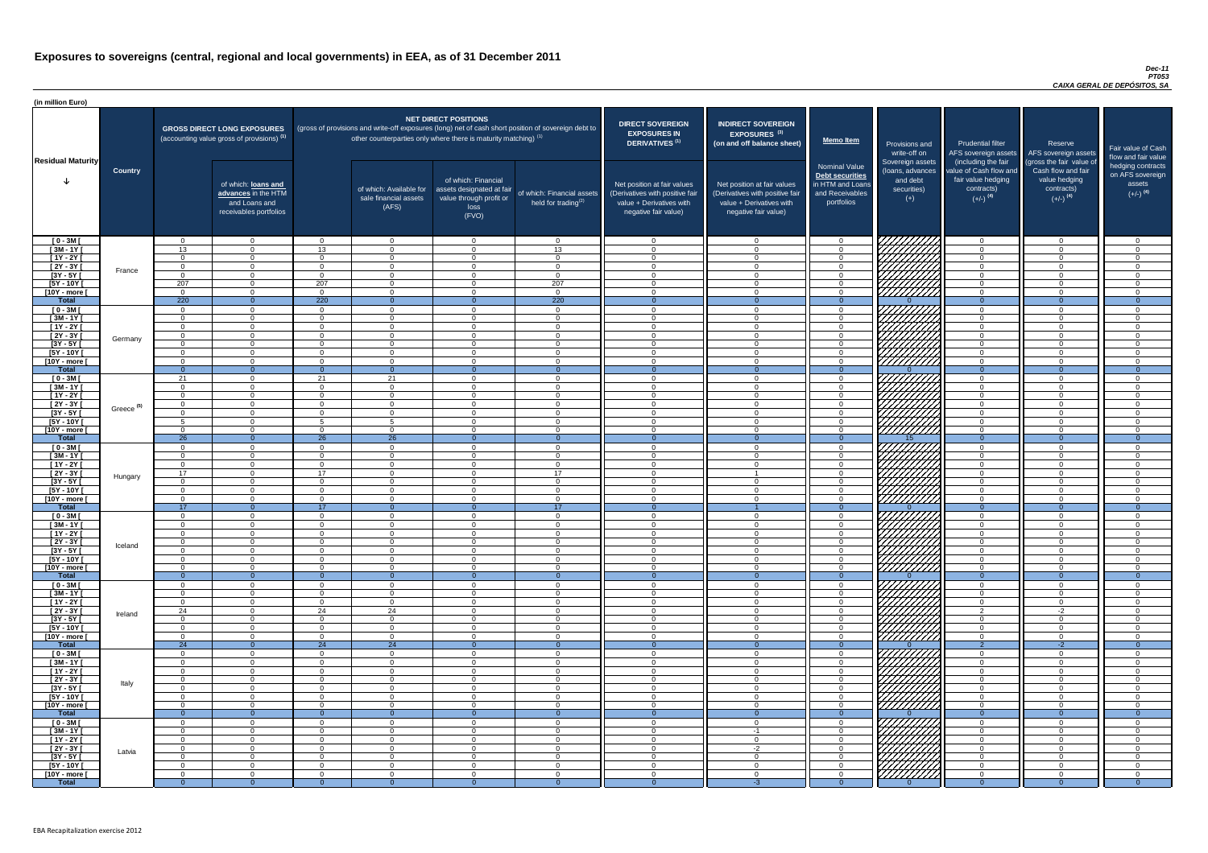#### *Dec-11 PT053 CAIXA GERAL DE DEPÓSITOS, SA*

| (in million Euro)             |                       |                                  |                                                                                             |                             |                                                                                                                                                                          |                                                                                              |                                                      |                                                                                                                    |                                                                                                                    |                                                                                              |                                                                          |                                                                                                             |                                                                                                         |                                                                           |
|-------------------------------|-----------------------|----------------------------------|---------------------------------------------------------------------------------------------|-----------------------------|--------------------------------------------------------------------------------------------------------------------------------------------------------------------------|----------------------------------------------------------------------------------------------|------------------------------------------------------|--------------------------------------------------------------------------------------------------------------------|--------------------------------------------------------------------------------------------------------------------|----------------------------------------------------------------------------------------------|--------------------------------------------------------------------------|-------------------------------------------------------------------------------------------------------------|---------------------------------------------------------------------------------------------------------|---------------------------------------------------------------------------|
| <b>Residual Maturity</b>      |                       |                                  | <b>GROSS DIRECT LONG EXPOSURES</b><br>(accounting value gross of provisions) <sup>(1)</sup> |                             | (gross of provisions and write-off exposures (long) net of cash short position of sovereign debt to<br>other counterparties only where there is maturity matching) $(1)$ | <b>NET DIRECT POSITIONS</b>                                                                  |                                                      | <b>DIRECT SOVEREIGN</b><br><b>EXPOSURES IN</b><br><b>DERIVATIVES (1)</b>                                           | <b>INDIRECT SOVEREIGN</b><br>EXPOSURES <sup>(3)</sup><br>(on and off balance sheet)                                | <b>Memo Item</b>                                                                             | Provisions and<br>write-off on                                           | <b>Prudential filter</b>                                                                                    | Reserve<br>AFS sovereign assets AFS sovereign assets                                                    | Fair value of Cash<br>flow and fair value                                 |
|                               | <b>Country</b>        |                                  | of which: loans and<br>advances in the HTM<br>and Loans and<br>receivables portfolios       |                             | of which: Available for<br>sale financial assets<br>(AFS)                                                                                                                | of which: Financial<br>assets designated at fair<br>value through profit or<br>loss<br>(FVO) | of which: Financial assets<br>held for trading $(2)$ | Net position at fair values<br>(Derivatives with positive fair<br>value + Derivatives with<br>negative fair value) | Net position at fair values<br>(Derivatives with positive fair<br>value + Derivatives with<br>negative fair value) | <b>Nominal Value</b><br>Debt securities<br>in HTM and Loans<br>and Receivables<br>portfolios | Sovereign assets<br>(Ioans, advances<br>and debt<br>securities)<br>$(+)$ | (including the fair<br>value of Cash flow and<br>fair value hedging<br>contracts)<br>$(+/-)$ <sup>(4)</sup> | (gross the fair value of<br>Cash flow and fair<br>value hedging<br>contracts)<br>$(+/-)$ <sup>(4)</sup> | hedging contracts<br>on AFS sovereign<br>assets<br>$(+/-)$ <sup>(4)</sup> |
| $[0 - 3M]$                    |                       | $\Omega$                         | $\Omega$                                                                                    | $\Omega$                    | $\overline{0}$                                                                                                                                                           | $\Omega$                                                                                     | $\overline{0}$                                       | $\Omega$                                                                                                           | $\cap$                                                                                                             | $\overline{0}$                                                                               |                                                                          | $\overline{0}$                                                                                              | $\Omega$                                                                                                | - 0                                                                       |
| $[3M-1Y]$                     |                       | 13                               | $\Omega$<br>$\Omega$                                                                        | 13 <sup>7</sup><br>$\Omega$ | $\Omega$                                                                                                                                                                 | $\Omega$<br>$\Omega$                                                                         | 13                                                   | - 0<br>$\cap$                                                                                                      | $\Omega$                                                                                                           | $\Omega$                                                                                     |                                                                          | $\Omega$                                                                                                    | $\Omega$                                                                                                | $\cap$<br>$\cap$                                                          |
| $[1Y - 2Y]$<br>$[2Y - 3Y]$    |                       | $\Omega$<br>$\Omega$             | $\Omega$                                                                                    | $\Omega$                    | $\Omega$<br>$\Omega$                                                                                                                                                     | $\Omega$                                                                                     | $\overline{0}$<br>$\overline{0}$                     | $\cap$                                                                                                             | $\Omega$                                                                                                           | $\Omega$<br>$\Omega$                                                                         |                                                                          | $\Omega$<br>$\overline{0}$                                                                                  | $\Omega$                                                                                                | $\cap$                                                                    |
| $[3Y - 5Y]$                   | France                | $\Omega$                         | $\Omega$                                                                                    | $\Omega$                    | $\Omega$                                                                                                                                                                 | $\Omega$                                                                                     | $\overline{0}$                                       | $\cap$                                                                                                             | $\Omega$                                                                                                           | $\Omega$                                                                                     | HAHARA KU                                                                | $\overline{0}$                                                                                              | $\Omega$                                                                                                | $\cap$                                                                    |
| $[5Y - 10Y]$                  |                       | 207                              | $\Omega$                                                                                    | 207                         | $\Omega$                                                                                                                                                                 | $\Omega$                                                                                     | 207                                                  | $\cap$                                                                                                             | $\Omega$                                                                                                           | $\Omega$                                                                                     |                                                                          | $\overline{0}$                                                                                              | $\Omega$                                                                                                | $\Omega$                                                                  |
| [10Y - more [                 |                       | $\Omega$                         | $\Omega$                                                                                    | $\Omega$                    | $\overline{0}$                                                                                                                                                           | $\Omega$                                                                                     | $\overline{0}$                                       | $\Omega$                                                                                                           | $\Omega$                                                                                                           | $\overline{0}$                                                                               |                                                                          | $\overline{0}$                                                                                              | $\Omega$                                                                                                | $\Omega$                                                                  |
| <b>Total</b>                  |                       | 220                              | $\overline{0}$                                                                              | 220<br>$\Omega$             | $\Omega$                                                                                                                                                                 | $\Omega$<br>$\Omega$                                                                         | 220                                                  | $\overline{0}$<br>$\Omega$                                                                                         | $\Omega$                                                                                                           | $\Omega$                                                                                     |                                                                          | $\overline{0}$                                                                                              | $\Omega$<br>$\Omega$                                                                                    | $\overline{0}$<br>_റ                                                      |
| $[0 - 3M]$<br>$[3M - 1Y]$     |                       | $\Omega$<br>$\overline{0}$       | $\overline{0}$<br>$\overline{0}$                                                            | $\Omega$                    | $\Omega$<br>$\Omega$                                                                                                                                                     | $\Omega$                                                                                     | $\overline{0}$<br>$\overline{0}$                     | $\Omega$                                                                                                           | $\Omega$                                                                                                           | $\overline{0}$<br>$\overline{0}$                                                             | FIFEHRALD                                                                | $\overline{0}$<br>$\overline{0}$                                                                            | $\Omega$                                                                                                | $\Omega$                                                                  |
| $[1Y - 2Y]$                   |                       | $\overline{0}$                   | $\overline{0}$                                                                              | $\Omega$                    | $\Omega$                                                                                                                                                                 | $\Omega$                                                                                     | $\overline{0}$                                       | - 0                                                                                                                | $\cap$                                                                                                             | $\overline{0}$                                                                               |                                                                          | $\overline{0}$                                                                                              | $\Omega$                                                                                                | $\cap$                                                                    |
| [2Y - 3Y [                    | Germany               | $\overline{0}$                   | $\Omega$                                                                                    | $\Omega$                    | $\Omega$                                                                                                                                                                 | $\Omega$                                                                                     | $\overline{0}$                                       | - 0                                                                                                                | $\Omega$                                                                                                           | $\Omega$                                                                                     |                                                                          | $\overline{0}$                                                                                              | $\Omega$                                                                                                | $\Omega$                                                                  |
| $[3Y - 5Y]$                   |                       | $\Omega$                         | $\overline{0}$                                                                              | $\Omega$                    | $\Omega$                                                                                                                                                                 | $\Omega$                                                                                     | $\overline{0}$                                       | $\Omega$                                                                                                           | $\Omega$                                                                                                           | $\overline{0}$                                                                               |                                                                          | $\overline{0}$                                                                                              | $\Omega$                                                                                                | - 0                                                                       |
| $[5Y - 10Y]$<br>[10Y - more [ |                       | $\Omega$<br>$\Omega$             | $\Omega$<br>$\Omega$                                                                        | $\Omega$<br>$\Omega$        | $\Omega$<br>$\Omega$                                                                                                                                                     | $\Omega$<br>$\cap$                                                                           | $\Omega$<br>$\Omega$                                 | $\Omega$<br>$\cap$                                                                                                 | - വ<br>$\cap$                                                                                                      | $\Omega$<br>$\Omega$                                                                         | <u>777777777</u>                                                         | $\overline{0}$<br>$\Omega$                                                                                  | $\Omega$<br>$\cap$                                                                                      | $\cap$<br>$\cap$                                                          |
| <b>Total</b>                  |                       | $\Omega$                         | $\Omega$                                                                                    |                             | $\Omega$                                                                                                                                                                 |                                                                                              | $\Omega$                                             | _റ                                                                                                                 |                                                                                                                    | $\Omega$                                                                                     |                                                                          | $\overline{0}$                                                                                              |                                                                                                         | - 0                                                                       |
| $[0 - 3M]$                    |                       | 21                               | $\Omega$                                                                                    | 21                          | 21                                                                                                                                                                       | $\cap$                                                                                       | $\Omega$                                             | റ                                                                                                                  | $\Omega$                                                                                                           | $\Omega$                                                                                     | HAHARA KU                                                                | $\overline{0}$                                                                                              | $\cap$                                                                                                  | $\cap$                                                                    |
| $[3M-1Y]$                     |                       | $\Omega$                         | $\Omega$                                                                                    | $\Omega$                    | $\Omega$                                                                                                                                                                 | $\Omega$                                                                                     | $\Omega$                                             | $\cap$                                                                                                             | $\Omega$                                                                                                           | $\Omega$                                                                                     |                                                                          | $\overline{0}$                                                                                              | $\Omega$                                                                                                | $\cap$                                                                    |
| $[1Y - 2Y]$                   |                       | $\Omega$<br>$\Omega$             | $\Omega$<br>$\Omega$                                                                        | $\Omega$<br>$\Omega$        | $\Omega$<br>$\Omega$                                                                                                                                                     | $\Omega$<br>$\Omega$                                                                         | $\overline{0}$<br>$\Omega$                           | $\Omega$<br>$\cap$                                                                                                 | $\Omega$<br>$\Omega$                                                                                               | $\Omega$<br>$\Omega$                                                                         |                                                                          | $\Omega$<br>$\overline{0}$                                                                                  | $\Omega$<br>$\Omega$                                                                                    | $\cap$<br>$\sqrt{ }$                                                      |
| $[2Y - 3Y]$<br>$[3Y - 5Y]$    | Greece <sup>(5)</sup> |                                  |                                                                                             |                             |                                                                                                                                                                          |                                                                                              |                                                      |                                                                                                                    |                                                                                                                    |                                                                                              |                                                                          |                                                                                                             |                                                                                                         |                                                                           |
| $[5Y - 10Y]$                  |                       |                                  | $\Omega$                                                                                    |                             | -5                                                                                                                                                                       | $\Omega$                                                                                     | $\Omega$                                             |                                                                                                                    |                                                                                                                    | $\Omega$                                                                                     | HHHA.                                                                    | $\Omega$                                                                                                    | ∩                                                                                                       |                                                                           |
| [10Y - more [                 |                       | $\Omega$                         | $\cap$                                                                                      | $\Omega$                    | $\Omega$                                                                                                                                                                 | $\Omega$                                                                                     | $\Omega$                                             |                                                                                                                    |                                                                                                                    | $\Omega$                                                                                     |                                                                          | $\Omega$                                                                                                    | $\Omega$                                                                                                |                                                                           |
| <b>Total</b>                  |                       | 26                               | $\overline{0}$                                                                              | 26                          | 26                                                                                                                                                                       | $\Omega$                                                                                     | $\Omega$                                             | $\Omega$                                                                                                           |                                                                                                                    | $\Omega$                                                                                     | 15.                                                                      | $\overline{0}$                                                                                              | $\Omega$                                                                                                | $\Omega$                                                                  |
| $[0 - 3M]$<br>$[3M - 1Y]$     |                       | $\Omega$<br>$\Omega$             | $\Omega$<br>$\Omega$                                                                        | $\Omega$<br>$\Omega$        | $\Omega$<br>$\Omega$                                                                                                                                                     | $\Omega$<br>$\Omega$                                                                         | $\Omega$<br>$\Omega$                                 | - വ<br>- 0                                                                                                         | $\Omega$                                                                                                           | $\Omega$<br>$\Omega$                                                                         |                                                                          | $\Omega$<br>$\Omega$                                                                                        | $\Omega$<br>$\Omega$                                                                                    | $\cap$                                                                    |
| $[1Y - 2Y]$                   |                       | $\Omega$                         | $\Omega$                                                                                    | $\Omega$                    | $\Omega$                                                                                                                                                                 | $\Omega$                                                                                     | $\overline{0}$                                       | $\cap$                                                                                                             | $\Omega$                                                                                                           | $\Omega$                                                                                     |                                                                          | $\overline{0}$                                                                                              | $\Omega$                                                                                                | $\Omega$                                                                  |
| $[2Y - 3Y]$                   | Hungary               | 17 <sup>2</sup>                  | $\Omega$                                                                                    | 17                          | $\Omega$                                                                                                                                                                 | $\Omega$                                                                                     | 17                                                   | $\cap$                                                                                                             |                                                                                                                    | $\Omega$                                                                                     |                                                                          | $\Omega$                                                                                                    | $\Omega$                                                                                                | $\cap$                                                                    |
| $[3Y - 5Y]$                   |                       | $\Omega$                         | $\overline{0}$                                                                              | $\Omega$                    | $\Omega$                                                                                                                                                                 | $\Omega$                                                                                     | $\overline{0}$                                       | $\cap$                                                                                                             | $\cap$                                                                                                             | $\Omega$                                                                                     |                                                                          | $\overline{0}$                                                                                              | $\Omega$                                                                                                | $\cap$                                                                    |
| $[5Y - 10Y]$<br>[10Y - more [ |                       | $\Omega$<br>$\Omega$             | $\overline{0}$<br>$\Omega$                                                                  | $\Omega$<br>$\Omega$        | $\Omega$<br>$\Omega$                                                                                                                                                     | $\Omega$<br>$\Omega$                                                                         | $\overline{0}$<br>$\overline{0}$                     | $\cap$<br>$\cap$                                                                                                   | $\Omega$<br>$\Omega$                                                                                               | $\Omega$<br>$\Omega$                                                                         | 777777777                                                                | $\overline{0}$<br>$\overline{0}$                                                                            | $\Omega$<br>$\Omega$                                                                                    | $\cap$<br>$\Omega$                                                        |
| <b>Total</b>                  |                       | 17                               | $\overline{0}$                                                                              | 17                          | $\Omega$                                                                                                                                                                 | $\Omega$                                                                                     | 17 <sup>2</sup>                                      | $\Omega$                                                                                                           |                                                                                                                    | $\Omega$                                                                                     |                                                                          | $\overline{0}$                                                                                              | $\overline{0}$                                                                                          | $\overline{0}$                                                            |
| $[0 - 3M]$                    |                       | $\overline{0}$                   | $\overline{0}$                                                                              | $\overline{0}$              | $\overline{0}$                                                                                                                                                           | $\Omega$                                                                                     | $\overline{0}$                                       | - 0                                                                                                                | $\Omega$                                                                                                           | $\overline{0}$                                                                               |                                                                          | $\overline{0}$                                                                                              | $\mathbf{0}$                                                                                            | $\cap$                                                                    |
| $[3M - 1Y]$                   |                       | $\Omega$                         | $\Omega$                                                                                    | $\Omega$                    | $\Omega$                                                                                                                                                                 | $\Omega$                                                                                     | $\overline{0}$                                       | - 0                                                                                                                |                                                                                                                    | $\Omega$                                                                                     |                                                                          | $\overline{0}$                                                                                              | $\Omega$                                                                                                | $\cap$                                                                    |
| $[1Y - 2Y]$<br>$[2Y - 3Y]$    |                       | $\overline{0}$<br>$\overline{0}$ | $\Omega$<br>$\overline{0}$                                                                  | $\Omega$<br>$\mathbf{0}$    | $\Omega$<br>$\Omega$                                                                                                                                                     | $\Omega$<br>$\Omega$                                                                         | $\overline{0}$<br>$\mathbf{0}$                       | $\Omega$<br>$\Omega$                                                                                               |                                                                                                                    | $\Omega$<br>$\Omega$                                                                         | 777777777                                                                | $\overline{0}$<br>$\overline{0}$                                                                            | $\Omega$<br>$\Omega$                                                                                    | $\cap$                                                                    |
| $[3Y - 5Y]$                   | Iceland               | - 0                              | $\Omega$                                                                                    | $\Omega$                    | - ೧                                                                                                                                                                      | $\Omega$                                                                                     | $\Omega$                                             | - 0                                                                                                                |                                                                                                                    | $\Omega$                                                                                     | 777777777                                                                | $\Omega$                                                                                                    |                                                                                                         |                                                                           |
| $[5Y - 10Y]$                  |                       | - 0                              | $\Omega$                                                                                    | $\Omega$                    | $\Omega$                                                                                                                                                                 | $\Omega$                                                                                     | $\overline{0}$                                       | - 0                                                                                                                |                                                                                                                    | $\Omega$                                                                                     | 77777777                                                                 | $\Omega$                                                                                                    | $\Omega$                                                                                                |                                                                           |
| [10Y - more [                 |                       | $\Omega$                         | $\Omega$                                                                                    | $\Omega$                    | $\Omega$                                                                                                                                                                 | $\Omega$                                                                                     | $\overline{0}$                                       | $\cap$                                                                                                             | $\cap$                                                                                                             | $\Omega$                                                                                     | <u>//////////</u>                                                        | $\overline{0}$                                                                                              | $\Omega$                                                                                                | $\Omega$                                                                  |
| <b>Total</b>                  |                       | - റ<br>$\Omega$                  | $\overline{0}$<br>$\overline{0}$                                                            | $\Omega$                    | - 0<br>$\Omega$                                                                                                                                                          | $\Omega$                                                                                     | $\Omega$<br>$\overline{0}$                           | $\cap$                                                                                                             | $\cap$                                                                                                             | $\Omega$<br>$\Omega$                                                                         |                                                                          | $\Omega$<br>$\overline{0}$                                                                                  | $\cap$                                                                                                  | $\Omega$<br>$\cap$                                                        |
| $[0 - 3M]$<br>$[3M - 1Y]$     |                       | $\Omega$                         | $\overline{0}$                                                                              | $\overline{0}$              | $\overline{0}$                                                                                                                                                           | $\overline{0}$                                                                               | $\overline{0}$                                       | $\overline{0}$                                                                                                     | $\cap$                                                                                                             | $\overline{0}$                                                                               | HHHHH                                                                    | $\overline{0}$                                                                                              | $\Omega$                                                                                                | $\Omega$                                                                  |
| $[1Y - 2Y]$                   |                       | $\Omega$                         | $\overline{0}$                                                                              | $\Omega$                    | $\overline{0}$                                                                                                                                                           | $\Omega$                                                                                     | $\overline{0}$                                       | - 0                                                                                                                | $\cap$                                                                                                             | $\overline{0}$                                                                               |                                                                          | $\Omega$                                                                                                    | $\Omega$                                                                                                | - 0                                                                       |
| $[2Y - 3Y]$                   | Ireland               | 24                               | $\overline{0}$                                                                              | 24                          | 24                                                                                                                                                                       | $\Omega$                                                                                     | $\overline{0}$                                       | $\cap$                                                                                                             | $\cap$                                                                                                             | $\Omega$                                                                                     | HANNI S                                                                  | $\overline{2}$                                                                                              | $-2$                                                                                                    | $\Omega$                                                                  |
| $[3Y - 5Y]$<br>$[5Y - 10Y]$   |                       | $\Omega$<br>$\Omega$             | $\overline{0}$<br>$\overline{0}$                                                            | $\overline{0}$<br>$\Omega$  | $\overline{0}$<br>$\Omega$                                                                                                                                               | $\overline{0}$<br>$\Omega$                                                                   | $\overline{0}$<br>$\Omega$                           | - 0<br>- വ                                                                                                         | $\Omega$                                                                                                           | $\overline{0}$<br>$\Omega$                                                                   |                                                                          | $\overline{0}$<br>$\overline{0}$                                                                            | $\Omega$<br>$\Omega$                                                                                    | $\Omega$<br>ി                                                             |
| [10Y - more [                 |                       | $\Omega$                         | $\Omega$                                                                                    | $\Omega$                    | $\Omega$                                                                                                                                                                 | $\Omega$                                                                                     | $\Omega$                                             | $\cap$                                                                                                             |                                                                                                                    | $\Omega$                                                                                     | Hittitti                                                                 | $\Omega$                                                                                                    | $\Omega$                                                                                                | $\sqrt{ }$                                                                |
| <b>Total</b>                  |                       | 24                               | $\overline{0}$                                                                              | 24                          | $\overline{24}$                                                                                                                                                          |                                                                                              | $\overline{0}$                                       |                                                                                                                    |                                                                                                                    | $\Omega$                                                                                     |                                                                          | $\overline{2}$                                                                                              | $-2$                                                                                                    | $\Omega$                                                                  |
| $[0 - 3M]$                    |                       | $\Omega$                         | $\Omega$                                                                                    | $\Omega$                    | $\Omega$                                                                                                                                                                 | $\Omega$                                                                                     | $\overline{0}$                                       | - വ                                                                                                                |                                                                                                                    | $\Omega$                                                                                     | 777777777                                                                | $\overline{0}$                                                                                              | $\Omega$                                                                                                | $\cap$                                                                    |
| $[3M - 1Y]$                   |                       | $\Omega$                         | $\Omega$<br>$\Omega$                                                                        | $\Omega$                    | $\Omega$                                                                                                                                                                 | $\Omega$<br>$\Omega$                                                                         | $\Omega$                                             | - 0<br>$\Omega$                                                                                                    | $\Omega$                                                                                                           | $\Omega$                                                                                     |                                                                          | $\Omega$                                                                                                    | $\Omega$<br>$\Omega$                                                                                    | $\cap$<br>$\cap$                                                          |
| $[1Y - 2Y]$<br>$[2Y - 3Y]$    |                       | $\Omega$<br>$\Omega$             | $\Omega$                                                                                    | $\Omega$<br>$\Omega$        | $\Omega$<br>$\Omega$                                                                                                                                                     | $\Omega$                                                                                     | $\overline{0}$<br>$\Omega$                           | $\cap$                                                                                                             | $\Omega$                                                                                                           | $\Omega$<br>$\Omega$                                                                         |                                                                          | $\overline{0}$<br>$\Omega$                                                                                  | $\Omega$                                                                                                | $\cap$                                                                    |
| $[3Y - 5Y]$                   | Italy                 | $\Omega$                         | $\Omega$                                                                                    | $\Omega$                    | $\Omega$                                                                                                                                                                 | $\Omega$                                                                                     | $\Omega$                                             | $\Omega$                                                                                                           | ∩                                                                                                                  | $\Omega$                                                                                     |                                                                          | $\Omega$                                                                                                    | $\Omega$                                                                                                | ി                                                                         |
| $[5Y - 10Y]$                  |                       | $\Omega$                         | $\Omega$                                                                                    | $\Omega$                    | $\Omega$                                                                                                                                                                 | $\Omega$                                                                                     | $\Omega$                                             | $\cap$                                                                                                             | $\Omega$                                                                                                           | $\Omega$                                                                                     |                                                                          | $\Omega$                                                                                                    | $\Omega$                                                                                                | $\Omega$                                                                  |
| [10Y - more [                 |                       | $\Omega$                         | $\Omega$                                                                                    | $\Omega$                    | $\Omega$                                                                                                                                                                 | $\Omega$                                                                                     | $\overline{0}$                                       | $\Omega$                                                                                                           | $\Omega$                                                                                                           | $\Omega$                                                                                     | ////////////                                                             | $\overline{0}$                                                                                              | $\Omega$                                                                                                | $\cap$                                                                    |
| <b>Total</b><br>$[0 - 3M]$    |                       | $\Omega$<br>$\Omega$             | $\overline{0}$<br>$\overline{0}$                                                            | $\Omega$<br>$\Omega$        | $\Omega$<br>$\Omega$                                                                                                                                                     | $\Omega$<br>$\Omega$                                                                         | $\overline{0}$<br>$\Omega$                           | $\Omega$<br>$\Omega$                                                                                               | $\Omega$<br>$\Omega$                                                                                               | $\Omega$<br>$\Omega$                                                                         | VIIIIIIII                                                                | $\Omega$<br>$\Omega$                                                                                        | $\theta$<br>$\Omega$                                                                                    | $\overline{0}$                                                            |
| $[3M-1Y]$                     |                       | $\Omega$                         | $\Omega$                                                                                    | $\Omega$                    | $\Omega$                                                                                                                                                                 | $\Omega$                                                                                     | $\overline{0}$                                       | - വ                                                                                                                | $-1$                                                                                                               | $\Omega$                                                                                     |                                                                          | $\Omega$                                                                                                    | $\Omega$                                                                                                |                                                                           |
| $[1Y - 2Y]$                   |                       | $\overline{0}$                   | $\overline{0}$                                                                              | $\Omega$                    | $\Omega$                                                                                                                                                                 | $\overline{0}$                                                                               | $\overline{0}$                                       | $\Omega$                                                                                                           | $\Omega$                                                                                                           | $\overline{0}$                                                                               | <b>MATHA</b>                                                             | $\overline{0}$                                                                                              | $\Omega$                                                                                                | $\Omega$                                                                  |
| $[2Y - 3Y]$                   | Latvia                | $\overline{0}$                   | $\overline{0}$                                                                              | $\Omega$                    | $\Omega$                                                                                                                                                                 | $\Omega$                                                                                     | $\overline{0}$                                       | $\overline{0}$                                                                                                     | $-2$                                                                                                               | $\overline{0}$                                                                               |                                                                          | $\overline{0}$                                                                                              | $\Omega$                                                                                                | $\Omega$                                                                  |
| $[3Y - 5Y]$<br>$[5Y - 10Y]$   |                       | - 0<br>- 0                       | $\Omega$<br>$\Omega$                                                                        | $\Omega$<br>$\Omega$        | - 0<br>- 0                                                                                                                                                               | $\Omega$<br>$\Omega$                                                                         | $\overline{0}$<br>$\overline{0}$                     | - ೧<br>- 0                                                                                                         | $\Omega$<br>$\Omega$                                                                                               | $\Omega$<br>$\Omega$                                                                         | HAAAB                                                                    | $\overline{0}$<br>$\overline{0}$                                                                            | $\Omega$<br>$\Omega$                                                                                    | $\Omega$                                                                  |
| [10Y - more [                 |                       | - 0                              | $\overline{0}$                                                                              | $\Omega$                    | $\Omega$                                                                                                                                                                 | $\Omega$                                                                                     | $\overline{0}$                                       | $\overline{0}$                                                                                                     | $\Omega$                                                                                                           | $\Omega$                                                                                     |                                                                          | $\overline{0}$                                                                                              | $\Omega$                                                                                                | $\Omega$                                                                  |
| <b>Total</b>                  |                       | -0-                              | $\Omega$                                                                                    | $\Omega$                    | -0                                                                                                                                                                       | $\Omega$                                                                                     | $\Omega$                                             |                                                                                                                    | -3                                                                                                                 | $\Omega$                                                                                     |                                                                          | - റ                                                                                                         |                                                                                                         | - 0                                                                       |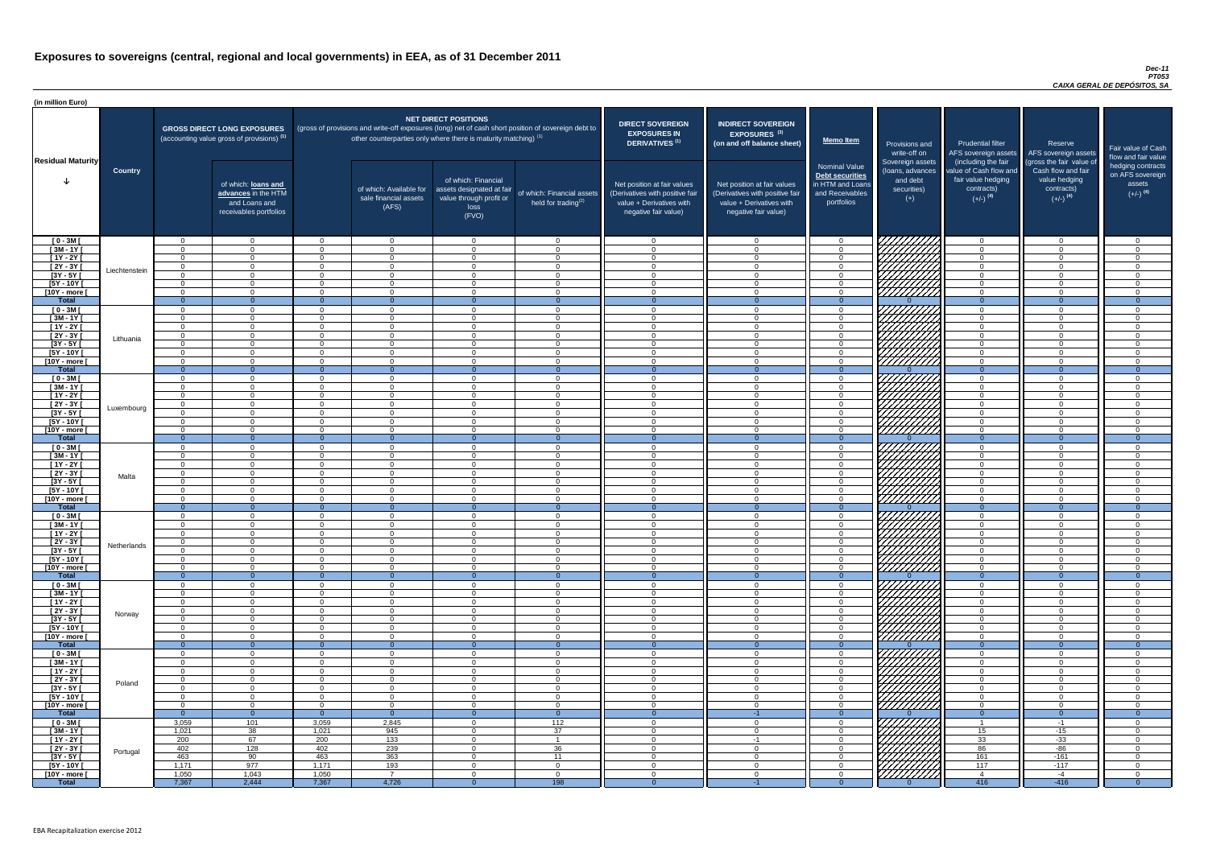#### *Dec-11 PT053 CAIXA GERAL DE DEPÓSITOS, SA*

| <b>DIRECT SOVEREIGN</b><br><b>EXPOSURES IN</b><br><b>DERIVATIVES<sup>(1)</sup></b><br>Net position at fair values<br>(Derivatives with positive fair<br>value + Derivatives with<br>negative fair value) | <b>INDIRECT SOVEREIGN</b><br>EXPOSURES <sup>(3)</sup><br>(on and off balance sheet)<br>Net position at fair values<br>(Derivatives with positive fair<br>value + Derivatives with<br>negative fair value) | <b>Memo Item</b><br><b>Nominal Value</b><br>Debt securities<br>in HTM and Loans<br>and Receivables<br>portfolios | Provisions and<br>write-off on<br>Sovereign assets<br>(loans, advances<br>and debt<br>securities)<br>$(+)$ | <b>Prudential filter</b><br>AFS sovereign assets<br>(including the fair<br>value of Cash flow and<br>fair value hedging<br>contracts)<br>$(+/-)$ <sup>(4)</sup> | Reserve<br>AFS sovereign assets<br>(gross the fair value of<br>Cash flow and fair<br>value hedging<br>contracts)<br>$(+/-)$ <sup>(4)</sup> | Fair value of Cash<br>flow and fair value<br>hedging contracts<br>on AFS sovereign<br>assets<br>$(+/-)$ <sup>(4)</sup> |
|----------------------------------------------------------------------------------------------------------------------------------------------------------------------------------------------------------|-----------------------------------------------------------------------------------------------------------------------------------------------------------------------------------------------------------|------------------------------------------------------------------------------------------------------------------|------------------------------------------------------------------------------------------------------------|-----------------------------------------------------------------------------------------------------------------------------------------------------------------|--------------------------------------------------------------------------------------------------------------------------------------------|------------------------------------------------------------------------------------------------------------------------|
| $\mathbf 0$                                                                                                                                                                                              | $\overline{0}$                                                                                                                                                                                            | $\mathbf 0$                                                                                                      |                                                                                                            | $\mathbf 0$                                                                                                                                                     | $\mathbf 0$                                                                                                                                | 0                                                                                                                      |
| $\mathbf 0$                                                                                                                                                                                              | $\mathbf 0$                                                                                                                                                                                               | $\mathbf 0$                                                                                                      |                                                                                                            | 0                                                                                                                                                               | $\mathbf 0$                                                                                                                                | 0                                                                                                                      |
| $\mathbf 0$                                                                                                                                                                                              | $\mathbf 0$                                                                                                                                                                                               | $\mathbf 0$                                                                                                      |                                                                                                            | $\mathbf 0$                                                                                                                                                     | $\mathbf 0$                                                                                                                                | 0                                                                                                                      |
| $\pmb{0}$                                                                                                                                                                                                | $\mathbf 0$                                                                                                                                                                                               | $\mathbf 0$                                                                                                      |                                                                                                            | $\mathbf 0$                                                                                                                                                     | $\mathbf 0$                                                                                                                                | 0                                                                                                                      |
| $\mathbf 0$                                                                                                                                                                                              | $\mathbf 0$                                                                                                                                                                                               | $\mathbf 0$                                                                                                      |                                                                                                            | $\mathbf 0$                                                                                                                                                     | $\mathbf 0$                                                                                                                                | 0                                                                                                                      |
| $\mathbf 0$                                                                                                                                                                                              | $\mathbf 0$                                                                                                                                                                                               | $\mathbf 0$                                                                                                      |                                                                                                            | $\mathbf 0$                                                                                                                                                     | $\mathbf 0$                                                                                                                                | $\overline{0}$                                                                                                         |
| $\mathbf 0$<br>$\mathbf{0}$                                                                                                                                                                              | $\mathbf 0$<br>$\overline{0}$                                                                                                                                                                             | $\mathsf 0$<br>$\overline{0}$                                                                                    |                                                                                                            | $\mathbf 0$<br>$\overline{0}$                                                                                                                                   | $\overline{0}$<br>$\overline{0}$                                                                                                           | 0<br>$\overline{0}$                                                                                                    |
| $\mathbf 0$                                                                                                                                                                                              | $\mathbf 0$                                                                                                                                                                                               | $\mathbf 0$                                                                                                      |                                                                                                            | $\mathbf 0$                                                                                                                                                     | $\mathbf 0$                                                                                                                                | 0                                                                                                                      |
| $\mathbf 0$                                                                                                                                                                                              | $\mathbf 0$                                                                                                                                                                                               | $\mathbf 0$                                                                                                      |                                                                                                            | $\mathbf 0$                                                                                                                                                     | $\mathbf 0$                                                                                                                                | 0                                                                                                                      |
| $\mathbf 0$                                                                                                                                                                                              | $\mathbf 0$                                                                                                                                                                                               | $\mathbf 0$                                                                                                      |                                                                                                            | $\mathbf 0$                                                                                                                                                     | $\mathbf 0$                                                                                                                                | 0                                                                                                                      |
| $\mathbf 0$                                                                                                                                                                                              | $\mathbf 0$                                                                                                                                                                                               | $\mathbf 0$                                                                                                      |                                                                                                            | $\mathbf 0$                                                                                                                                                     | $\mathbf 0$                                                                                                                                | 0                                                                                                                      |
| $\mathbf 0$                                                                                                                                                                                              | $\mathbf 0$                                                                                                                                                                                               | $\mathbf 0$                                                                                                      |                                                                                                            | $\mathbf 0$                                                                                                                                                     | $\mathbf 0$                                                                                                                                | 0                                                                                                                      |
| $\mathbf 0$                                                                                                                                                                                              | $\mathbf 0$                                                                                                                                                                                               | $\mathbf 0$                                                                                                      |                                                                                                            | $\mathbf 0$                                                                                                                                                     | $\mathbf 0$                                                                                                                                | 0                                                                                                                      |
| $\mathbf 0$<br>$\mathbf{0}$                                                                                                                                                                              | 0<br>$\overline{0}$                                                                                                                                                                                       | $\mathbf 0$<br>$\overline{0}$                                                                                    | ∩                                                                                                          | $\mathbf 0$<br>$\overline{0}$                                                                                                                                   | 0<br>$\overline{0}$                                                                                                                        | 0<br>$\overline{0}$                                                                                                    |
| 0                                                                                                                                                                                                        | $\mathbf 0$                                                                                                                                                                                               | $\mathbf 0$                                                                                                      |                                                                                                            | $\mathbf 0$                                                                                                                                                     | 0                                                                                                                                          | 0                                                                                                                      |
| $\mathbf 0$                                                                                                                                                                                              | $\mathbf 0$                                                                                                                                                                                               | $\mathbf 0$                                                                                                      |                                                                                                            | $\mathbf 0$                                                                                                                                                     | $\mathbf 0$                                                                                                                                | 0                                                                                                                      |
| $\mathbf 0$                                                                                                                                                                                              | $\mathbf 0$                                                                                                                                                                                               | $\mathsf 0$                                                                                                      |                                                                                                            | $\mathbf 0$                                                                                                                                                     | $\mathbf 0$                                                                                                                                | 0                                                                                                                      |
| $\mathbf 0$                                                                                                                                                                                              | $\mathbf 0$                                                                                                                                                                                               | $\mathbf 0$                                                                                                      |                                                                                                            | $\mathbf 0$                                                                                                                                                     | $\mathbf 0$                                                                                                                                | 0                                                                                                                      |
| $\mathbf 0$                                                                                                                                                                                              | $\mathbf 0$                                                                                                                                                                                               | $\mathbf 0$                                                                                                      |                                                                                                            | 0                                                                                                                                                               | $\mathbf 0$                                                                                                                                | 0                                                                                                                      |
| 0                                                                                                                                                                                                        | 0                                                                                                                                                                                                         | 0                                                                                                                |                                                                                                            | 0                                                                                                                                                               | 0                                                                                                                                          | 0                                                                                                                      |
| $\mathbf 0$<br>$\mathbf{0}$                                                                                                                                                                              | $\mathbf{0}$<br>$\overline{0}$                                                                                                                                                                            | $\mathbf 0$<br>$\overline{0}$                                                                                    | $\overline{0}$                                                                                             | 0<br>$\overline{0}$                                                                                                                                             | $\overline{0}$<br>$\overline{0}$                                                                                                           | 0<br>$\mathbf{0}$                                                                                                      |
| 0                                                                                                                                                                                                        | 0                                                                                                                                                                                                         | $\mathbf 0$                                                                                                      |                                                                                                            | $\mathbf 0$                                                                                                                                                     | 0                                                                                                                                          | 0                                                                                                                      |
| $\mathbf 0$                                                                                                                                                                                              | $\boldsymbol{0}$                                                                                                                                                                                          | $\boldsymbol{0}$                                                                                                 |                                                                                                            | $\mathbf 0$                                                                                                                                                     | $\mathbf 0$                                                                                                                                | 0                                                                                                                      |
| $\mathbf 0$                                                                                                                                                                                              | $\boldsymbol{0}$                                                                                                                                                                                          | $\boldsymbol{0}$                                                                                                 |                                                                                                            | $\mathbf 0$                                                                                                                                                     | $\mathbf 0$                                                                                                                                | 0                                                                                                                      |
| $\mathbf 0$                                                                                                                                                                                              | $\mathbf 0$                                                                                                                                                                                               | $\boldsymbol{0}$                                                                                                 |                                                                                                            | $\pmb{0}$                                                                                                                                                       | $\mathbf 0$                                                                                                                                | 0                                                                                                                      |
| $\mathbf 0$<br>$\mathbf 0$                                                                                                                                                                               | $\mathbf 0$<br>$\boldsymbol{0}$                                                                                                                                                                           | $\mathbf 0$<br>$\mathbf 0$                                                                                       |                                                                                                            | $\mathbf 0$<br>$\pmb{0}$                                                                                                                                        | $\overline{0}$<br>$\overline{0}$                                                                                                           | 0<br>0                                                                                                                 |
| $\mathbf 0$                                                                                                                                                                                              | $\mathbf 0$                                                                                                                                                                                               | $\mathbf 0$                                                                                                      | $Z\!Z$                                                                                                     | $\mathbf 0$                                                                                                                                                     | $\mathbf 0$                                                                                                                                | 0                                                                                                                      |
| $\overline{0}$                                                                                                                                                                                           | $\overline{0}$                                                                                                                                                                                            | $\mathbf{0}$                                                                                                     | $\overline{0}$                                                                                             | $\overline{0}$                                                                                                                                                  | $\overline{0}$                                                                                                                             | $\mathbf{0}$                                                                                                           |
| $\mathbf 0$                                                                                                                                                                                              | $\mathbf 0$                                                                                                                                                                                               | $\mathbf 0$                                                                                                      |                                                                                                            | $\pmb{0}$                                                                                                                                                       | $\mathbf 0$                                                                                                                                | 0                                                                                                                      |
| $\mathbf 0$                                                                                                                                                                                              | $\mathbf 0$                                                                                                                                                                                               | $\mathbf 0$                                                                                                      |                                                                                                            | $\mathbf 0$                                                                                                                                                     | $\mathbf 0$                                                                                                                                | 0                                                                                                                      |
| $\mathbf 0$                                                                                                                                                                                              | $\mathbf 0$                                                                                                                                                                                               | $\mathbf 0$                                                                                                      |                                                                                                            | $\mathbf 0$                                                                                                                                                     | $\mathbf 0$                                                                                                                                | 0                                                                                                                      |
| 0<br>0                                                                                                                                                                                                   | $\mathbf 0$<br>$\mathbf 0$                                                                                                                                                                                | $\boldsymbol{0}$<br>$\mathbf 0$                                                                                  |                                                                                                            | $\mathbf 0$<br>0                                                                                                                                                | $\mathbf 0$<br>$\mathbf 0$                                                                                                                 | 0<br>0                                                                                                                 |
| $\mathbf 0$                                                                                                                                                                                              | $\mathbf 0$                                                                                                                                                                                               | $\pmb{0}$                                                                                                        |                                                                                                            | 0                                                                                                                                                               | $\mathbf 0$                                                                                                                                | 0                                                                                                                      |
| $\mathbf 0$                                                                                                                                                                                              | $\mathbf 0$                                                                                                                                                                                               | $\mathbf 0$                                                                                                      |                                                                                                            | $\mathbf 0$                                                                                                                                                     | $\mathbf 0$                                                                                                                                | 0                                                                                                                      |
| $\overline{0}$                                                                                                                                                                                           | $\overline{0}$                                                                                                                                                                                            | $\overline{0}$                                                                                                   | $\overline{0}$                                                                                             | $\overline{0}$                                                                                                                                                  | $\overline{0}$                                                                                                                             | $\boldsymbol{0}$                                                                                                       |
| $\mathbf 0$                                                                                                                                                                                              | $\mathbf 0$                                                                                                                                                                                               | $\mathbf 0$                                                                                                      |                                                                                                            | $\mathbf 0$                                                                                                                                                     | 0                                                                                                                                          | 0                                                                                                                      |
| 0                                                                                                                                                                                                        | $\mathbf 0$                                                                                                                                                                                               | $\mathsf 0$                                                                                                      |                                                                                                            | $\mathbf 0$                                                                                                                                                     | $\mathbf 0$                                                                                                                                | 0                                                                                                                      |
| 0<br>$\mathbf 0$                                                                                                                                                                                         | 0<br>$\mathbf 0$                                                                                                                                                                                          | $\mathbf 0$<br>$\mathsf 0$                                                                                       |                                                                                                            | 0<br>$\mathbf 0$                                                                                                                                                | 0<br>0                                                                                                                                     | 0<br>0                                                                                                                 |
| $\mathbf 0$                                                                                                                                                                                              | $\mathbf 0$                                                                                                                                                                                               | $\mathbf 0$                                                                                                      |                                                                                                            | $\mathbf 0$                                                                                                                                                     | $\mathbf 0$                                                                                                                                | 0                                                                                                                      |
| 0                                                                                                                                                                                                        | 0                                                                                                                                                                                                         | $\mathbf 0$                                                                                                      |                                                                                                            | 0                                                                                                                                                               | 0                                                                                                                                          | 0                                                                                                                      |
| 0                                                                                                                                                                                                        | 0                                                                                                                                                                                                         | $\mathbf 0$                                                                                                      |                                                                                                            | 0                                                                                                                                                               | 0                                                                                                                                          | 0                                                                                                                      |
| $\mathbf{0}$                                                                                                                                                                                             | $\overline{0}$                                                                                                                                                                                            | $\overline{0}$                                                                                                   | $\overline{0}$                                                                                             | $\overline{0}$                                                                                                                                                  | $\overline{0}$                                                                                                                             | $\overline{0}$                                                                                                         |
| 0                                                                                                                                                                                                        | 0                                                                                                                                                                                                         | $\mathbf 0$                                                                                                      |                                                                                                            | 0                                                                                                                                                               | 0                                                                                                                                          | 0                                                                                                                      |
| $\mathbf 0$<br>$\mathbf 0$                                                                                                                                                                               | $\mathbf 0$<br>$\mathbf 0$                                                                                                                                                                                | $\mathbf 0$<br>$\mathbf 0$                                                                                       |                                                                                                            | 0<br>$\mathbf 0$                                                                                                                                                | $\mathbf 0$<br>$\mathbf 0$                                                                                                                 | 0<br>0                                                                                                                 |
| $\mathbf 0$                                                                                                                                                                                              | $\mathbf 0$                                                                                                                                                                                               | $\mathbf 0$                                                                                                      |                                                                                                            | $\mathbf 0$                                                                                                                                                     | $\overline{0}$                                                                                                                             | 0                                                                                                                      |
| $\mathbf 0$                                                                                                                                                                                              | $\mathbf 0$                                                                                                                                                                                               | $\mathbf 0$                                                                                                      |                                                                                                            | $\mathbf 0$                                                                                                                                                     | $\mathbf 0$                                                                                                                                | 0                                                                                                                      |
| $\mathbf 0$                                                                                                                                                                                              | $\mathbf 0$                                                                                                                                                                                               | $\mathbf 0$                                                                                                      |                                                                                                            | $\mathbf 0$                                                                                                                                                     | $\overline{0}$                                                                                                                             | 0                                                                                                                      |
| $\mathbf 0$                                                                                                                                                                                              | $\mathbf 0$                                                                                                                                                                                               | $\mathbf 0$                                                                                                      |                                                                                                            | $\mathbf 0$                                                                                                                                                     | 0                                                                                                                                          | 0                                                                                                                      |
| $\mathbf{0}$                                                                                                                                                                                             | $-1$                                                                                                                                                                                                      | $\overline{0}$                                                                                                   | $\mathbf{0}$                                                                                               | $\overline{O}$                                                                                                                                                  | $\overline{0}$                                                                                                                             | $\overline{0}$                                                                                                         |
| $\mathbf 0$<br>$\mathbf 0$                                                                                                                                                                               | $\mathbf 0$<br>$\Omega$                                                                                                                                                                                   | $\mathbf 0$<br>$\mathbf 0$                                                                                       |                                                                                                            | 1<br>15                                                                                                                                                         | $-1$<br>$-15$                                                                                                                              | 0<br>0                                                                                                                 |
| $\mathbf 0$                                                                                                                                                                                              | -1                                                                                                                                                                                                        | $\mathbf 0$                                                                                                      |                                                                                                            | 33                                                                                                                                                              | $-33$                                                                                                                                      | 0                                                                                                                      |
| $\mathbf 0$                                                                                                                                                                                              | $\mathbf 0$                                                                                                                                                                                               | $\mathbf 0$                                                                                                      |                                                                                                            | 86                                                                                                                                                              | $-86$                                                                                                                                      | $\overline{0}$                                                                                                         |
| $\mathbf 0$                                                                                                                                                                                              | $\overline{0}$                                                                                                                                                                                            | $\mathbf 0$                                                                                                      |                                                                                                            | 161                                                                                                                                                             | $-161$                                                                                                                                     | 0                                                                                                                      |
| $\mathsf 0$                                                                                                                                                                                              | $\mathbf 0$                                                                                                                                                                                               | $\pmb{0}$                                                                                                        |                                                                                                            | 117                                                                                                                                                             | $-117$                                                                                                                                     | 0                                                                                                                      |
| $\mathsf 0$                                                                                                                                                                                              | $\boldsymbol{0}$                                                                                                                                                                                          | $\mathsf{O}\xspace$                                                                                              |                                                                                                            | $\overline{4}$                                                                                                                                                  | $-4$                                                                                                                                       | 0                                                                                                                      |
| $\overline{0}$                                                                                                                                                                                           | $-1$                                                                                                                                                                                                      | $\overline{0}$                                                                                                   | $\Omega$                                                                                                   | 416                                                                                                                                                             | $-416$                                                                                                                                     | $\overline{0}$                                                                                                         |

| (in million Euro)             |                |                            |                                                                                             |                      |                                                                      |                                                                                              |                                                                                                     |                                                                                                                    |                                                                                                                    |                                                                                       |                                                                          |                                                                                                             |                                                                                                         |                                                   |
|-------------------------------|----------------|----------------------------|---------------------------------------------------------------------------------------------|----------------------|----------------------------------------------------------------------|----------------------------------------------------------------------------------------------|-----------------------------------------------------------------------------------------------------|--------------------------------------------------------------------------------------------------------------------|--------------------------------------------------------------------------------------------------------------------|---------------------------------------------------------------------------------------|--------------------------------------------------------------------------|-------------------------------------------------------------------------------------------------------------|---------------------------------------------------------------------------------------------------------|---------------------------------------------------|
|                               |                |                            | <b>GROSS DIRECT LONG EXPOSURES</b><br>(accounting value gross of provisions) <sup>(1)</sup> |                      | other counterparties only where there is maturity matching) $^{(1)}$ | <b>NET DIRECT POSITIONS</b>                                                                  | (gross of provisions and write-off exposures (long) net of cash short position of sovereign debt to | <b>DIRECT SOVEREIGN</b><br><b>EXPOSURES IN</b><br>DERIVATIVES <sup>(1)</sup>                                       | <b>INDIRECT SOVEREIGN</b><br><b>EXPOSURES<sup>(3)</sup></b><br>(on and off balance sheet)                          | <b>Memo Item</b>                                                                      | Provisions and<br>write-off on                                           | <b>Prudential filter</b><br>AFS sovereign assets                                                            | Reserve<br>AFS sovereign assets                                                                         | Fair value<br>flow and f                          |
| <b>Residual Maturity</b>      | <b>Country</b> |                            | of which: loans and<br>advances in the HTM<br>and Loans and<br>receivables portfolios       |                      | of which: Available for<br>sale financial assets<br>(AFS)            | of which: Financial<br>assets designated at fair<br>value through profit or<br>loss<br>(FVO) | of which: Financial assets<br>held for trading <sup>(2)</sup>                                       | Net position at fair values<br>(Derivatives with positive fair<br>value + Derivatives with<br>negative fair value) | Net position at fair values<br>(Derivatives with positive fair<br>value + Derivatives with<br>negative fair value) | Nominal Value<br>Debt securities<br>in HTM and Loans<br>and Receivables<br>portfolios | Sovereign assets<br>(loans, advances<br>and debt<br>securities)<br>$(+)$ | (including the fair<br>value of Cash flow and<br>fair value hedging<br>contracts)<br>$(+/-)$ <sup>(4)</sup> | (gross the fair value of<br>Cash flow and fair<br>value hedging<br>contracts)<br>$(+/-)$ <sup>(4)</sup> | hedging o<br>on AFS <sub>s</sub><br>ass<br>$(+/-$ |
| $[0 - 3M]$                    |                | $\Omega$                   | $\Omega$                                                                                    | $\Omega$             | $\Omega$                                                             | $\Omega$                                                                                     | $\cap$                                                                                              | $\cap$                                                                                                             | $\Omega$                                                                                                           | $\Omega$                                                                              | 777777777                                                                | $\Omega$                                                                                                    | $\Omega$                                                                                                |                                                   |
| $\sqrt{3M-1Y}$                |                | $\cap$<br>$\Omega$         | $\Omega$<br>$\Omega$                                                                        | $\Omega$<br>$\Omega$ | $\Omega$<br>$\Omega$                                                 | $\Omega$<br>$\Omega$                                                                         | $\Omega$<br>$\Omega$                                                                                | $\Omega$                                                                                                           | $\Omega$<br>$\cap$                                                                                                 | $\Omega$<br>$\Omega$                                                                  |                                                                          | $\Omega$<br>$\overline{0}$                                                                                  | $\Omega$<br>$\Omega$                                                                                    |                                                   |
| $[1Y - 2Y]$<br>$[2Y - 3Y]$    |                | $\Omega$                   | $\Omega$                                                                                    | $\Omega$             | $\Omega$                                                             | $\Omega$                                                                                     | $\cap$                                                                                              | $\Omega$                                                                                                           | $\cap$                                                                                                             | $\Omega$                                                                              |                                                                          | $\Omega$                                                                                                    | $\Omega$                                                                                                |                                                   |
| $[3Y - 5Y]$                   | Liechtenstein  | $\Omega$                   | $\Omega$                                                                                    | $\Omega$             | $\Omega$                                                             | $\Omega$                                                                                     | $\Omega$                                                                                            | $\Omega$                                                                                                           | $\cap$                                                                                                             | $\Omega$                                                                              | HAAA<br>HAAAA                                                            | $\overline{0}$                                                                                              | $\Omega$                                                                                                |                                                   |
| $[5Y - 10Y]$                  |                | $\Omega$                   | $\Omega$                                                                                    | $\Omega$             | $\overline{0}$                                                       | $\Omega$                                                                                     | $\Omega$                                                                                            | $\Omega$                                                                                                           | $\Omega$                                                                                                           | $\Omega$                                                                              |                                                                          | $\Omega$                                                                                                    | $\Omega$                                                                                                |                                                   |
| [10Y - more [<br><b>Total</b> |                | $\Omega$<br>$\overline{0}$ | $\Omega$<br>$\Omega$                                                                        | $\Omega$<br>- 0      | $\overline{0}$<br>$\Omega$                                           | $\Omega$<br>$\Omega$                                                                         | $\Omega$<br>$\Omega$                                                                                | $\Omega$                                                                                                           | $\Omega$                                                                                                           | $\Omega$<br>$\Omega$                                                                  | /////////                                                                | $\overline{0}$<br>$\overline{0}$                                                                            | $\Omega$<br>$\Omega$                                                                                    |                                                   |
| $[0 - 3M]$                    |                | $\Omega$                   | $\Omega$                                                                                    | $\Omega$             | $\Omega$                                                             | $\Omega$                                                                                     | $\Omega$                                                                                            | $\Omega$                                                                                                           | $\cap$                                                                                                             | $\Omega$                                                                              |                                                                          | $\Omega$                                                                                                    | $\Omega$                                                                                                |                                                   |
| $[3M - 1Y]$                   |                | $\Omega$                   | $\Omega$                                                                                    | $\Omega$             | $\Omega$                                                             | $\Omega$                                                                                     | $\Omega$                                                                                            | $\cap$                                                                                                             | $\cap$                                                                                                             | $\Omega$                                                                              |                                                                          | $\Omega$                                                                                                    | $\Omega$                                                                                                |                                                   |
| $[1Y - 2Y]$                   |                | $\cap$                     | $\Omega$                                                                                    | $\Omega$             | $\Omega$                                                             | $\Omega$                                                                                     |                                                                                                     |                                                                                                                    | $\Omega$                                                                                                           | $\Omega$                                                                              |                                                                          | $\Omega$                                                                                                    | $\Omega$                                                                                                |                                                   |
| $[2Y - 3Y]$<br>$[3Y - 5Y]$    | Lithuania      | $\Omega$<br>$\Omega$       | $\Omega$<br>$\Omega$                                                                        | $\Omega$<br>$\Omega$ | $\Omega$<br>$\Omega$                                                 | $\Omega$<br>$\Omega$                                                                         | $\cap$                                                                                              | $\cap$                                                                                                             | $\cap$<br>$\Omega$                                                                                                 | $\Omega$<br>$\Omega$                                                                  |                                                                          | $\Omega$<br>$\Omega$                                                                                        | $\Omega$<br>$\Omega$                                                                                    |                                                   |
| $[5Y - 10Y]$                  |                | $\cap$                     | $\Omega$                                                                                    | $\Omega$             | $\Omega$                                                             | $\Omega$                                                                                     |                                                                                                     | $\Omega$                                                                                                           | $\cap$                                                                                                             | $\Omega$                                                                              |                                                                          | $\Omega$                                                                                                    | $\Omega$                                                                                                |                                                   |
| [10Y - more [                 |                | $\cap$                     | $\Omega$                                                                                    | $\Omega$             | $\Omega$                                                             | $\Omega$                                                                                     | $\Omega$                                                                                            | $\Omega$                                                                                                           | $\cap$                                                                                                             | $\Omega$                                                                              |                                                                          | $\overline{0}$                                                                                              | $\Omega$                                                                                                |                                                   |
| <b>Total</b>                  |                | $\overline{0}$             | റ                                                                                           | - 0                  | $\Omega$                                                             | $\Omega$                                                                                     |                                                                                                     |                                                                                                                    |                                                                                                                    | $\Omega$                                                                              | 77777777                                                                 | $\Omega$                                                                                                    | $\Omega$                                                                                                |                                                   |
| $[0 - 3M]$<br>$[3M - 1Y]$     |                | $\Omega$<br>$\Omega$       | $\Omega$<br>$\Omega$                                                                        | $\Omega$<br>$\Omega$ | $\Omega$<br>$\Omega$                                                 | $\Omega$<br>$\Omega$                                                                         | $\Omega$<br>$\Omega$                                                                                | $\Omega$<br>$\Omega$                                                                                               | $\Omega$<br>$\cap$                                                                                                 | . വ<br>$\Omega$                                                                       |                                                                          | $\Omega$<br>$\Omega$                                                                                        | $\Omega$<br>$\Omega$                                                                                    |                                                   |
| $[1Y - 2Y]$                   |                | $\Omega$                   | $\Omega$                                                                                    | $\Omega$             | $\overline{0}$                                                       | $\Omega$                                                                                     | $\cap$                                                                                              | $\Omega$                                                                                                           | $\Omega$                                                                                                           | $\Omega$                                                                              |                                                                          | $\Omega$                                                                                                    | $\overline{0}$                                                                                          |                                                   |
| $[2Y - 3Y]$                   | Luxembourg     | $\Omega$                   | $\cap$                                                                                      | $\Omega$             | $\Omega$                                                             | $\Omega$                                                                                     |                                                                                                     |                                                                                                                    | $\cap$                                                                                                             | $\Omega$                                                                              | <i>VIIIII</i> IA                                                         | $\Omega$                                                                                                    | $\Omega$                                                                                                |                                                   |
| $[3Y - 5Y]$                   |                |                            |                                                                                             |                      |                                                                      |                                                                                              |                                                                                                     |                                                                                                                    |                                                                                                                    |                                                                                       | 1 <i>0/////////</i>                                                      |                                                                                                             |                                                                                                         |                                                   |
| [5Y - 10Y [<br>[10Y - more [  |                | $\cap$                     | $\Omega$<br>$\Omega$                                                                        | - 0<br>$\Omega$      | $\overline{0}$<br>$\Omega$                                           | $\overline{0}$<br>$\Omega$                                                                   |                                                                                                     |                                                                                                                    | $\Omega$<br>∩                                                                                                      | $\Omega$<br>$\cap$                                                                    | <u>777777777</u>                                                         | $\Omega$<br>$\Omega$                                                                                        | $\Omega$<br>$\Omega$                                                                                    |                                                   |
| <b>Total</b>                  |                | $\Omega$                   | $\Omega$                                                                                    | $\Omega$             | $\Omega$                                                             | - 0                                                                                          | $\Omega$                                                                                            |                                                                                                                    | $\Omega$                                                                                                           | $\Omega$                                                                              |                                                                          | $\Omega$                                                                                                    | $\Omega$                                                                                                |                                                   |
| $[0 - 3M]$                    |                | $\Omega$                   | $\Omega$                                                                                    | $\Omega$             | $\overline{0}$                                                       | - 0                                                                                          | $\Omega$                                                                                            | $\Omega$                                                                                                           | $\Omega$                                                                                                           | $\Omega$                                                                              |                                                                          | $\Omega$                                                                                                    | $\Omega$                                                                                                |                                                   |
| $[3M - 1Y]$                   |                | റ<br>$\cap$                | $\Omega$                                                                                    | - 0                  | $\Omega$                                                             | $\Omega$                                                                                     | $\cap$<br>$\Omega$                                                                                  | $\cap$<br>$\cap$                                                                                                   | $\Omega$                                                                                                           | $\Omega$                                                                              |                                                                          | $\Omega$                                                                                                    | $\Omega$                                                                                                |                                                   |
| $[1Y - 2Y]$<br>$[2Y - 3Y]$    |                | $\cap$                     | $\Omega$<br>$\Omega$                                                                        | $\Omega$<br>$\Omega$ | $\overline{0}$<br>$\overline{0}$                                     | - റ<br>$\Omega$                                                                              | $\Omega$                                                                                            | $\Omega$                                                                                                           | $\Omega$<br>$\Omega$                                                                                               | $\Omega$<br>$\Omega$                                                                  | ⊬                                                                        | $\overline{0}$<br>$\Omega$                                                                                  | $\Omega$<br>$\Omega$                                                                                    |                                                   |
| $[3Y - 5Y]$                   | Malta          | $\Omega$                   | $\Omega$                                                                                    | $\Omega$             | $\overline{0}$                                                       | $\Omega$                                                                                     | $\Omega$                                                                                            | $\Omega$                                                                                                           | $\Omega$                                                                                                           | $\Omega$                                                                              |                                                                          | $\overline{0}$                                                                                              | $\Omega$                                                                                                |                                                   |
| $[5Y - 10Y]$                  |                | $\Omega$                   | $\overline{0}$                                                                              | $\Omega$             | $\overline{0}$                                                       | $\Omega$                                                                                     | $\Omega$                                                                                            | $\Omega$                                                                                                           | $\Omega$                                                                                                           | $\Omega$                                                                              |                                                                          | $\overline{0}$                                                                                              | $\Omega$                                                                                                |                                                   |
| [10Y - more [<br><b>Total</b> |                | $\Omega$<br>$\overline{0}$ | $\Omega$<br>$\Omega$                                                                        | $\Omega$<br>$\Omega$ | $\Omega$<br>$\Omega$                                                 | $\Omega$<br>$\Omega$                                                                         | $\Omega$<br>$\overline{0}$                                                                          |                                                                                                                    | $\Omega$<br>$\Omega$                                                                                               | $\Omega$<br>$\Omega$                                                                  | ////////////                                                             | $\Omega$<br>$\overline{0}$                                                                                  | $\Omega$<br>$\Omega$                                                                                    |                                                   |
| $[0 - 3M]$                    |                | $\Omega$                   | $\Omega$                                                                                    | $\Omega$             | $\overline{0}$                                                       | $\Omega$                                                                                     | $\Omega$                                                                                            | $\cap$                                                                                                             | $\Omega$                                                                                                           | $\Omega$                                                                              |                                                                          | $\Omega$                                                                                                    | $\Omega$                                                                                                |                                                   |
| $[3M - 1Y]$                   |                |                            | $\Omega$                                                                                    | $\Omega$             | $\Omega$                                                             | $\Omega$                                                                                     |                                                                                                     |                                                                                                                    |                                                                                                                    | $\Omega$                                                                              |                                                                          | $\Omega$                                                                                                    | $\Omega$                                                                                                |                                                   |
| $[1Y - 2Y]$                   |                |                            | $\Omega$                                                                                    | $\Omega$             | $\Omega$                                                             | $\Omega$                                                                                     |                                                                                                     |                                                                                                                    | $\Omega$                                                                                                           | $\Omega$                                                                              |                                                                          | $\Omega$                                                                                                    | $\Omega$                                                                                                |                                                   |
| $[2Y - 3Y]$                   | Netherlands    | $\Omega$<br>$\cap$         | $\overline{0}$                                                                              | $\Omega$<br>$\Omega$ | $\overline{0}$                                                       | $\Omega$                                                                                     |                                                                                                     |                                                                                                                    | $\Omega$<br>$\cap$                                                                                                 | റ<br>$\Omega$                                                                         |                                                                          | $\Omega$<br>$\Omega$                                                                                        | $\Omega$<br>$\Omega$                                                                                    |                                                   |
| $[3Y - 5Y]$<br>[5Y - 10Y [    |                | $\cap$                     | $\Omega$<br>$\Omega$                                                                        | $\Omega$             | $\Omega$<br>$\Omega$                                                 | $\Omega$<br>$\Omega$                                                                         | $\cap$                                                                                              |                                                                                                                    | $\cap$                                                                                                             | $\Omega$                                                                              |                                                                          | $\Omega$                                                                                                    | $\Omega$                                                                                                |                                                   |
| [10Y - more [                 |                | $\Omega$                   | $\Omega$                                                                                    | $\Omega$             | $\Omega$                                                             | $\Omega$                                                                                     | ∩                                                                                                   | $\cap$                                                                                                             | $\cap$                                                                                                             | $\Omega$                                                                              |                                                                          | $\overline{0}$                                                                                              | $\Omega$                                                                                                |                                                   |
| <b>Total</b>                  |                | $\overline{0}$             | $\overline{0}$                                                                              | - ೧                  | $\Omega$                                                             | $\Omega$                                                                                     | - 0                                                                                                 |                                                                                                                    |                                                                                                                    | $\Omega$                                                                              |                                                                          | $\overline{0}$                                                                                              | $\Omega$                                                                                                |                                                   |
| $[0 - 3M]$<br>$[3M - 1Y]$     |                | $\cap$<br>$\Omega$         | $\Omega$<br>$\Omega$                                                                        | - റ<br>$\Omega$      | $\overline{0}$<br>$\overline{0}$                                     | $\Omega$<br>$\Omega$                                                                         | $\Omega$<br>$\Omega$                                                                                | ∩<br>$\Omega$                                                                                                      | $\cap$<br>$\Omega$                                                                                                 | $\Omega$<br>$\Omega$                                                                  | 777777                                                                   | $\Omega$<br>$\overline{0}$                                                                                  | $\Omega$<br>$\Omega$                                                                                    |                                                   |
| $[1Y - 2Y]$                   |                | $\Omega$                   | $\Omega$                                                                                    | $\Omega$             | $\Omega$                                                             | $\Omega$                                                                                     | $\Omega$                                                                                            | $\Omega$                                                                                                           | $\Omega$                                                                                                           | $\Omega$                                                                              |                                                                          | $\Omega$                                                                                                    | $\Omega$                                                                                                |                                                   |
| $[2Y - 3Y]$                   | Norway         | $\Omega$                   | $\Omega$                                                                                    | - റ                  | $\overline{0}$                                                       | $\Omega$                                                                                     |                                                                                                     |                                                                                                                    | $\Omega$                                                                                                           | $\overline{0}$                                                                        |                                                                          | $\Omega$                                                                                                    | $\Omega$                                                                                                |                                                   |
| $\overline{3Y - 5Y}$          |                | $\Omega$                   | $\Omega$                                                                                    | - ೧                  | $\Omega$                                                             | $\Omega$                                                                                     |                                                                                                     |                                                                                                                    | $\Omega$                                                                                                           | $\Omega$                                                                              |                                                                          | $\Omega$                                                                                                    | $\Omega$                                                                                                |                                                   |
| $[5Y - 10Y]$<br>[10Y - more ] |                | $\cap$<br>$\Omega$         | $\Omega$<br>$\Omega$                                                                        | $\Omega$<br>$\Omega$ | $\Omega$<br>$\Omega$                                                 | $\Omega$<br>$\Omega$                                                                         |                                                                                                     |                                                                                                                    | $\Omega$<br>$\Omega$                                                                                               | $\cap$<br>$\Omega$                                                                    | HIIII B                                                                  | $\Omega$<br>$\Omega$                                                                                        | $\Omega$<br>$\Omega$                                                                                    |                                                   |
| <b>Total</b>                  |                | $\Omega$                   |                                                                                             |                      | $\Omega$                                                             |                                                                                              |                                                                                                     |                                                                                                                    |                                                                                                                    |                                                                                       |                                                                          | $\overline{0}$                                                                                              | -0                                                                                                      |                                                   |
| $[0 - 3M]$                    |                | $\cap$                     | $\Omega$                                                                                    | $\Omega$             | $\Omega$                                                             | $\Omega$                                                                                     | $\cap$                                                                                              |                                                                                                                    | $\cap$                                                                                                             | റ                                                                                     |                                                                          | $\Omega$                                                                                                    | $\Omega$                                                                                                |                                                   |
| $[3M - 1Y]$                   |                | $\cap$                     | $\Omega$                                                                                    | $\Omega$             | $\Omega$                                                             | $\Omega$                                                                                     | $\cap$                                                                                              |                                                                                                                    | $\Omega$                                                                                                           | $\Omega$                                                                              |                                                                          | $\Omega$                                                                                                    | $\Omega$                                                                                                |                                                   |
| $[1Y - 2Y]$<br>$[2Y - 3Y]$    |                | $\Omega$<br>$\Omega$       | $\Omega$<br>$\Omega$                                                                        | $\Omega$<br>$\Omega$ | $\overline{0}$<br>$\Omega$                                           | $\Omega$<br>$\Omega$                                                                         | $\Omega$<br>$\cap$                                                                                  | $\Omega$<br>$\cap$                                                                                                 | $\Omega$<br>$\Omega$                                                                                               | $\Omega$<br>$\Omega$                                                                  | ⊬                                                                        | $\overline{0}$<br>$\overline{0}$                                                                            | $\Omega$<br>$\Omega$                                                                                    |                                                   |
| $[3Y - 5Y]$                   | Poland         | $\Omega$                   | $\Omega$                                                                                    | $\Omega$             | $\Omega$                                                             | $\Omega$                                                                                     | $\Omega$                                                                                            |                                                                                                                    | $\Omega$                                                                                                           | $\Omega$                                                                              |                                                                          | $\Omega$                                                                                                    | $\Omega$                                                                                                |                                                   |
| $[5Y - 10Y]$                  |                | $\Omega$                   | $\Omega$                                                                                    | $\Omega$             | $\overline{0}$                                                       | $\Omega$                                                                                     | $\Omega$                                                                                            | ∩                                                                                                                  | $\Omega$                                                                                                           | $\Omega$                                                                              |                                                                          | $\Omega$                                                                                                    | $\Omega$                                                                                                |                                                   |
| [10Y - more [<br><b>Total</b> |                | $\Omega$<br>$\overline{0}$ | $\Omega$                                                                                    | $\Omega$             | $\Omega$<br>$\Omega$                                                 | $\Omega$                                                                                     | $\Omega$                                                                                            | $\cap$                                                                                                             | $\cap$                                                                                                             | $\Omega$<br>$\Omega$                                                                  | 7777777777                                                               | $\Omega$<br>$\overline{0}$                                                                                  | $\Omega$                                                                                                |                                                   |
| $[0 - 3M]$                    |                | 3,059                      | $\Omega$<br>101                                                                             | $\Omega$<br>3,059    | 2,845                                                                | $\Omega$                                                                                     | $\overline{0}$<br>112                                                                               |                                                                                                                    | $-1$                                                                                                               | $\Omega$                                                                              | 1 <i>77777777</i> 7                                                      |                                                                                                             | - 0<br>-1                                                                                               |                                                   |
| $[3M-1Y]$                     |                | 1,021                      | 38                                                                                          | 1,021                | 945                                                                  | $\overline{0}$                                                                               | 37                                                                                                  | ∩                                                                                                                  | $\Omega$                                                                                                           | $\Omega$                                                                              |                                                                          | 15 <sub>1</sub>                                                                                             | $-15$                                                                                                   |                                                   |
| $[1Y - 2Y]$                   |                | 200                        | 67                                                                                          | 200                  | 133                                                                  | $\overline{0}$                                                                               | $\overline{1}$                                                                                      | $\cap$                                                                                                             | -1                                                                                                                 | $\Omega$                                                                              |                                                                          | 33                                                                                                          | $-33$                                                                                                   |                                                   |
| $[2Y - 3Y]$                   | Portugal       | 402<br>463                 | 128                                                                                         | 402                  | 239                                                                  | $\overline{0}$                                                                               | 36                                                                                                  | $\Omega$                                                                                                           | $\Omega$<br>$\Omega$                                                                                               | $\overline{0}$<br>$\Omega$                                                            |                                                                          | 86                                                                                                          | $-86$                                                                                                   |                                                   |
| $[3Y - 5Y]$<br>[5Y - 10Y [    |                | 1,171                      | 90<br>977                                                                                   | 463<br>1,171         | 363<br>193                                                           | $\overline{0}$<br>$\Omega$                                                                   | 11<br>$\cap$                                                                                        | $\cap$                                                                                                             | $\Omega$                                                                                                           | $\Omega$                                                                              | <i>VIIIIIIII</i>                                                         | 161<br>117                                                                                                  | $-161$<br>$-117$                                                                                        |                                                   |
| [10Y - more [                 |                | 1,050                      | 1,043                                                                                       | 1,050                | $\overline{7}$                                                       | $\overline{0}$                                                                               | $\Omega$                                                                                            | $\cap$                                                                                                             | $\Omega$                                                                                                           | $\Omega$                                                                              | <i>VIIIIII</i> A                                                         | $\overline{4}$                                                                                              | $-4$                                                                                                    |                                                   |
| <b>Total</b>                  |                | 7,367                      | 2,444                                                                                       | 7,367                | 4,726                                                                | - റ                                                                                          | 198                                                                                                 |                                                                                                                    |                                                                                                                    |                                                                                       |                                                                          | 416                                                                                                         | $-416$                                                                                                  |                                                   |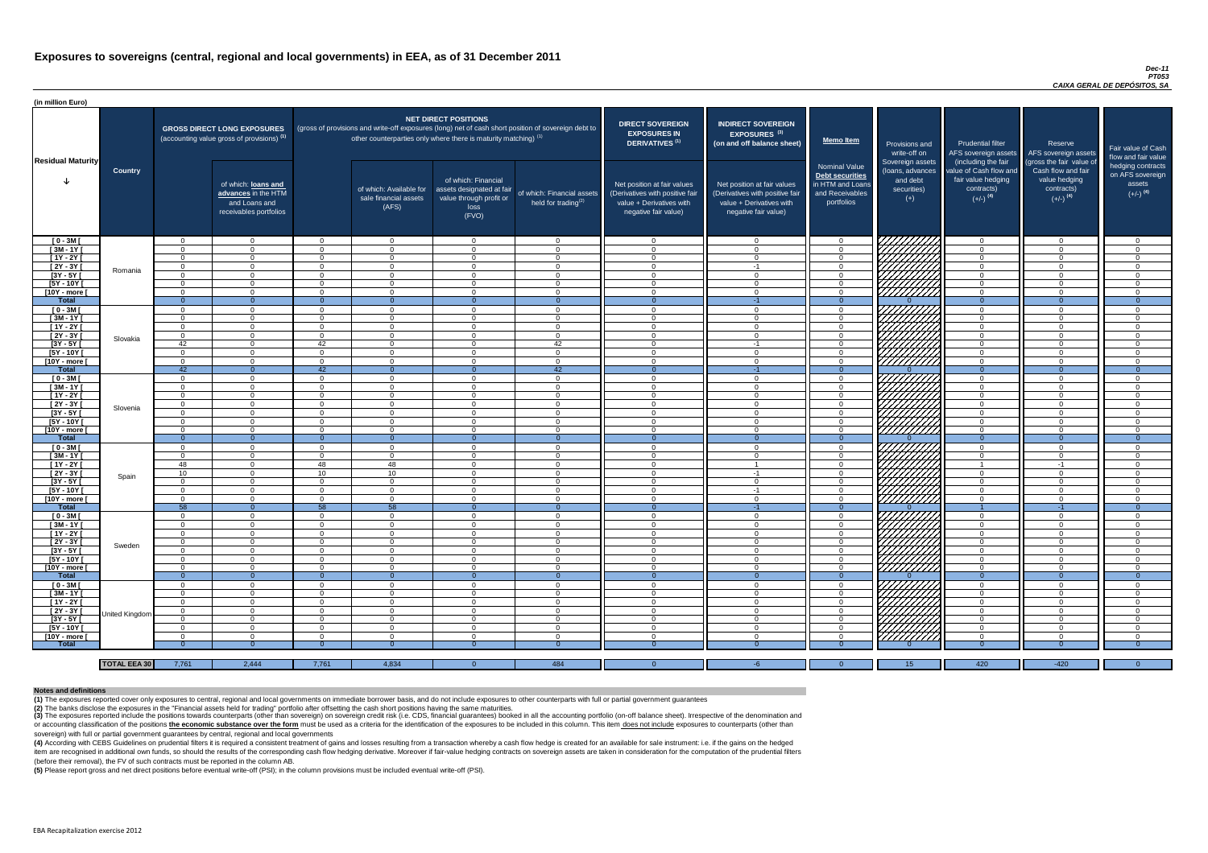#### *Dec-11 PT053 CAIXA GERAL DE DEPÓSITOS, SA*

(4) According with CEBS Guidelines on prudential filters it is required a consistent treatment of gains and losses resulting from a transaction whereby a cash flow hedge is created for an available for sale instrument: i.e item are recognised in additional own funds, so should the results of the corresponding cash flow hedging derivative. Moreover if fair-value hedging contracts on sovereign assets are taken in consideration for the computat (before their removal), the FV of such contracts must be reported in the column AB.

| (in million Euro)          |                     |                      |                                                                                             |                      |                                                                                                                                                                                                                  |                                                                                              |                                                         |                                                                                                                    |                                                                                                                    |                                                                                              |                                                                                                                                                                                                                                  |                                                                                      |                                                                                                         |                                                                           |
|----------------------------|---------------------|----------------------|---------------------------------------------------------------------------------------------|----------------------|------------------------------------------------------------------------------------------------------------------------------------------------------------------------------------------------------------------|----------------------------------------------------------------------------------------------|---------------------------------------------------------|--------------------------------------------------------------------------------------------------------------------|--------------------------------------------------------------------------------------------------------------------|----------------------------------------------------------------------------------------------|----------------------------------------------------------------------------------------------------------------------------------------------------------------------------------------------------------------------------------|--------------------------------------------------------------------------------------|---------------------------------------------------------------------------------------------------------|---------------------------------------------------------------------------|
| <b>Residual Maturity</b>   |                     |                      | <b>GROSS DIRECT LONG EXPOSURES</b><br>(accounting value gross of provisions) <sup>(1)</sup> |                      | <b>NET DIRECT POSITIONS</b><br>(gross of provisions and write-off exposures (long) net of cash short position of sovereign debt to<br>other counterparties only where there is maturity matching) <sup>(1)</sup> |                                                                                              |                                                         | <b>DIRECT SOVEREIGN</b><br><b>EXPOSURES IN</b><br><b>DERIVATIVES (1)</b>                                           | <b>INDIRECT SOVEREIGN</b><br><b>EXPOSURES<sup>(3)</sup></b><br>(on and off balance sheet)                          | <b>Memo Item</b>                                                                             | Provisions and<br>write-off on                                                                                                                                                                                                   | Prudential filter<br>AFS sovereign assets<br>(including the fair                     | Reserve<br>AFS sovereign assets                                                                         | Fair value of Cash<br>flow and fair value                                 |
|                            | <b>Country</b>      |                      | of which: loans and<br>advances in the HTM<br>and Loans and<br>receivables portfolios       |                      | of which: Available for<br>sale financial assets<br>(AFS)                                                                                                                                                        | of which: Financial<br>assets designated at fair<br>value through profit or<br>loss<br>(FVO) | of which: Financial assets<br>held for trading $^{(2)}$ | Net position at fair values<br>(Derivatives with positive fair<br>value + Derivatives with<br>negative fair value) | Net position at fair values<br>(Derivatives with positive fair<br>value + Derivatives with<br>negative fair value) | <b>Nominal Value</b><br>Debt securities<br>in HTM and Loans<br>and Receivables<br>portfolios | Sovereign assets<br>(loans, advances<br>and debt<br>securities)<br>$(+)$                                                                                                                                                         | value of Cash flow and<br>fair value hedging<br>contracts)<br>$(+/-)$ <sup>(4)</sup> | (gross the fair value of<br>Cash flow and fair<br>value hedging<br>contracts)<br>$(+/-)$ <sup>(4)</sup> | hedging contracts<br>on AFS sovereign<br>assets<br>$(+/-)$ <sup>(4)</sup> |
| $[0 - 3M]$                 |                     | $\Omega$             | $\Omega$                                                                                    | _റ                   | $\Omega$                                                                                                                                                                                                         | $\Omega$                                                                                     | $\overline{0}$                                          | റ                                                                                                                  |                                                                                                                    | $\Omega$                                                                                     | 777777772                                                                                                                                                                                                                        | $\overline{0}$                                                                       | റ                                                                                                       | $\overline{0}$                                                            |
| $[3M - 1Y]$                |                     | $\Omega$             | $\Omega$                                                                                    | $\cap$               | $\Omega$                                                                                                                                                                                                         | $\cap$                                                                                       | $\overline{0}$                                          | $\sqrt{ }$                                                                                                         |                                                                                                                    | $\overline{0}$                                                                               |                                                                                                                                                                                                                                  | $\overline{0}$                                                                       | $\sim$                                                                                                  | $\overline{0}$                                                            |
| $[1Y - 2Y]$                |                     | $\Omega$             | $\cap$                                                                                      | $\Omega$             | $\Omega$                                                                                                                                                                                                         | $\cap$                                                                                       | $\Omega$                                                | $\cap$                                                                                                             |                                                                                                                    | $\Omega$                                                                                     |                                                                                                                                                                                                                                  | $\overline{0}$                                                                       |                                                                                                         | $\Omega$                                                                  |
| [2Y - 3Y [                 | Romania             | $\Omega$             | $\cap$                                                                                      | $\cap$               | $\Omega$                                                                                                                                                                                                         | $\cap$                                                                                       | $\Omega$                                                | $\cap$<br>$\cap$                                                                                                   | $-1$                                                                                                               | $\Omega$                                                                                     |                                                                                                                                                                                                                                  | $\overline{0}$                                                                       |                                                                                                         | $\Omega$                                                                  |
| $[3Y - 5Y]$<br>[5Y - 10Y [ |                     | $\Omega$<br>$\Omega$ | $\cap$                                                                                      | $\Omega$<br>$\Omega$ | $\Omega$<br>$\Omega$                                                                                                                                                                                             | $\Omega$                                                                                     | $\Omega$<br>$\Omega$                                    | $\cap$                                                                                                             |                                                                                                                    | $\Omega$<br>$\Omega$                                                                         |                                                                                                                                                                                                                                  | $\overline{0}$<br>$\overline{0}$                                                     |                                                                                                         | $\Omega$<br>$\Omega$                                                      |
| [10Y - more [              |                     | $\Omega$             | റ                                                                                           | $\Omega$             | $\Omega$                                                                                                                                                                                                         | $\cap$                                                                                       | $\Omega$                                                | - 0                                                                                                                |                                                                                                                    | $\Omega$                                                                                     | VIIIIIII                                                                                                                                                                                                                         | $\overline{0}$                                                                       |                                                                                                         | $\Omega$                                                                  |
| <b>Total</b>               |                     | $\Omega$             | $\Omega$                                                                                    |                      | $\Omega$                                                                                                                                                                                                         | $\Omega$                                                                                     | $\Omega$                                                | - 0                                                                                                                | $-1$                                                                                                               | $\Omega$                                                                                     |                                                                                                                                                                                                                                  | $\Omega$                                                                             | $\Omega$                                                                                                | $\Omega$                                                                  |
| $[0 - 3M]$                 |                     | $\Omega$             | $\Omega$                                                                                    | $\Omega$             | $\Omega$                                                                                                                                                                                                         | $\cap$                                                                                       | $\Omega$                                                | $\cap$                                                                                                             | $\Omega$                                                                                                           | $\Omega$                                                                                     | HAHARA KATALANG KATALOGI KANG PANGHANGGAN PANGGANGGAN PANGGANGGAN PANGGANGGAN PANGGANGGAN PANGGANGGAN PANGGANG<br>PALIMANGGAN PANGGANGGAN PANGGANGGAN PANGGANGGAN PANGGAN PANGGAN PANGGAN PANGGAN PANGGAN PANGGAN PANGGAN PANGGA | $\overline{0}$                                                                       |                                                                                                         | $\Omega$                                                                  |
| $[3M-1Y]$                  |                     | $\Omega$             | $\Omega$                                                                                    | $\cap$               | $\Omega$                                                                                                                                                                                                         | $\cap$                                                                                       | $\overline{0}$                                          | $\cap$                                                                                                             | $\Omega$                                                                                                           | $\Omega$                                                                                     |                                                                                                                                                                                                                                  | $\overline{0}$                                                                       | $\Omega$                                                                                                | $\overline{0}$                                                            |
| $[1Y - 2Y]$                |                     | $\Omega$             | $\Omega$                                                                                    | $\cap$               | $\Omega$                                                                                                                                                                                                         | $\cap$                                                                                       | $\Omega$                                                | $\cap$                                                                                                             | $\Omega$                                                                                                           | $\overline{0}$                                                                               |                                                                                                                                                                                                                                  | $\overline{0}$                                                                       | $\Omega$                                                                                                | $\overline{0}$                                                            |
| $[2Y - 3Y]$                | Slovakia            | $\Omega$             | $\Omega$                                                                                    | $\cap$               | $\Omega$                                                                                                                                                                                                         | $\cap$                                                                                       | $\overline{0}$                                          | $\cap$                                                                                                             | $\Omega$                                                                                                           | $\Omega$                                                                                     |                                                                                                                                                                                                                                  | $\overline{0}$                                                                       | $\Omega$                                                                                                | $\overline{0}$                                                            |
| $[3Y - 5Y]$                |                     | 42                   | $\Omega$                                                                                    | 42                   | $\overline{0}$                                                                                                                                                                                                   | $\Omega$                                                                                     | 42                                                      | $\Omega$                                                                                                           | $-1$                                                                                                               | $\overline{0}$                                                                               |                                                                                                                                                                                                                                  | $\overline{0}$                                                                       | $\Omega$                                                                                                | $\overline{0}$                                                            |
| $[5Y - 10Y]$               |                     | $\Omega$             | $\Omega$                                                                                    | $\Omega$             | $\Omega$                                                                                                                                                                                                         | $\Omega$                                                                                     | $\overline{0}$                                          | $\Omega$                                                                                                           | $\cap$                                                                                                             | $\overline{0}$                                                                               | HHHH                                                                                                                                                                                                                             | $\overline{0}$                                                                       | $\Omega$                                                                                                | $\overline{0}$                                                            |
| [10Y - more [              |                     | $\Omega$             | $\Omega$                                                                                    | $\Omega$             | $\Omega$                                                                                                                                                                                                         | $\Omega$                                                                                     | $\overline{0}$                                          | $\cap$                                                                                                             | $\Omega$                                                                                                           | $\Omega$                                                                                     |                                                                                                                                                                                                                                  | $\overline{0}$                                                                       | $\Omega$                                                                                                | $\Omega$                                                                  |
| <b>Total</b>               |                     | 42                   | $\overline{0}$                                                                              | 42                   | $\Omega$                                                                                                                                                                                                         |                                                                                              | 42                                                      | $\Omega$                                                                                                           |                                                                                                                    |                                                                                              |                                                                                                                                                                                                                                  | $\Omega$                                                                             |                                                                                                         | $\Omega$                                                                  |
| $[0 - 3M]$                 |                     | $\Omega$             | $\Omega$                                                                                    | $\Omega$             | $\Omega$                                                                                                                                                                                                         | $\Omega$                                                                                     | $\overline{0}$                                          | - റ                                                                                                                | $\cap$                                                                                                             | $\Omega$                                                                                     | HHHHA                                                                                                                                                                                                                            | $\overline{0}$                                                                       | $\cap$<br>$\Omega$                                                                                      | $\Omega$                                                                  |
| $[3M - 1Y]$                |                     | $\Omega$             | $\Omega$                                                                                    | $\Omega$             | $\Omega$                                                                                                                                                                                                         | $\cap$                                                                                       | $\overline{0}$                                          | $\cap$                                                                                                             | $\cap$                                                                                                             | $\Omega$                                                                                     |                                                                                                                                                                                                                                  | $\overline{0}$                                                                       | $\cap$                                                                                                  | $\Omega$                                                                  |
| $[1Y - 2Y]$<br>$[2Y - 3Y]$ |                     | $\Omega$<br>$\Omega$ | $\Omega$<br>$\Omega$                                                                        | - റ<br>$\Omega$      | $\Omega$<br>$\Omega$                                                                                                                                                                                             | $\Omega$<br>$\cap$                                                                           | $\overline{0}$<br>$\Omega$                              | - റ<br>- വ                                                                                                         | $\Omega$                                                                                                           | $\Omega$<br>$\Omega$                                                                         |                                                                                                                                                                                                                                  | $\overline{0}$<br>$\Omega$                                                           | റ                                                                                                       | $\Omega$<br>$\Omega$                                                      |
|                            | Slovenia            |                      |                                                                                             |                      | - ( )                                                                                                                                                                                                            |                                                                                              | - 0                                                     |                                                                                                                    |                                                                                                                    |                                                                                              | HAHAS SAHAS SEDERAN DENGAN DENGAN DENGAN DENGAN DENGAN DENGAN DENGAN DENGAN DENGAN DENGAN DENGAN DENGAN DENGA<br>DENGAN DENGAN DENGAN DENGAN DENGAN DENGAN DENGAN DENGAN DENGAN DENGAN DENGAN DENGAN DENGAN DENGAN DENGAN DENGA  | 0                                                                                    |                                                                                                         |                                                                           |
| [3Y - 5Y [<br>$[5Y - 10Y]$ |                     | $\Omega$             | $\Omega$                                                                                    | - റ                  | $\Omega$                                                                                                                                                                                                         | $\Omega$                                                                                     | $\overline{0}$                                          | $\cap$                                                                                                             |                                                                                                                    | $\Omega$                                                                                     |                                                                                                                                                                                                                                  | $\overline{0}$                                                                       | $\cap$                                                                                                  | -0<br>$\Omega$                                                            |
| [10Y - more [              |                     | $\Omega$             | - റ                                                                                         | - റ                  | $\Omega$                                                                                                                                                                                                         | $\Omega$                                                                                     | $\overline{0}$                                          | $\Omega$                                                                                                           | $\Omega$                                                                                                           | $\Omega$                                                                                     |                                                                                                                                                                                                                                  | $\overline{0}$                                                                       | $\Omega$                                                                                                | $\Omega$                                                                  |
| <b>Total</b>               |                     | $\Omega$             | $\overline{0}$                                                                              | $\Omega$             | $\Omega$                                                                                                                                                                                                         | $\Omega$                                                                                     | $\overline{0}$                                          | - 0                                                                                                                |                                                                                                                    |                                                                                              |                                                                                                                                                                                                                                  | $\Omega$                                                                             | $\Omega$                                                                                                | $\Omega$                                                                  |
| $[0 - 3M]$                 |                     | $\Omega$             | $\Omega$                                                                                    | - റ                  | $\Omega$                                                                                                                                                                                                         | - റ                                                                                          | $\overline{0}$                                          | $\cap$                                                                                                             | $\cap$                                                                                                             | $\Omega$                                                                                     |                                                                                                                                                                                                                                  | $\overline{0}$                                                                       | റ                                                                                                       | $\overline{0}$                                                            |
| $[3M - 1Y]$                |                     | $\Omega$             | $\Omega$                                                                                    | $\Omega$             | $\Omega$                                                                                                                                                                                                         | $\Omega$                                                                                     | $\overline{0}$                                          | $\cap$                                                                                                             | $\Omega$                                                                                                           | $\Omega$                                                                                     |                                                                                                                                                                                                                                  | $\overline{0}$                                                                       | $\Omega$                                                                                                | $\Omega$                                                                  |
| $[1Y - 2Y]$                |                     | 48                   | $\Omega$                                                                                    | 48                   | 48                                                                                                                                                                                                               | $\Omega$                                                                                     | $\overline{0}$                                          | $\Omega$                                                                                                           |                                                                                                                    | $\Omega$                                                                                     |                                                                                                                                                                                                                                  |                                                                                      | -1                                                                                                      | $\Omega$                                                                  |
| [2Y - 3Y [                 | Spain               | 10 <sup>1</sup>      | $\Omega$                                                                                    | 10 <sup>°</sup>      | 10 <sup>1</sup>                                                                                                                                                                                                  | $\Omega$                                                                                     | $\Omega$                                                | റ                                                                                                                  | -1                                                                                                                 | $\Omega$                                                                                     |                                                                                                                                                                                                                                  | $\Omega$                                                                             | $\cap$                                                                                                  | $\Omega$                                                                  |
| $[3Y - 5Y]$                |                     | $\Omega$             | റ                                                                                           | $\Omega$             | $\Omega$                                                                                                                                                                                                         | $\Omega$                                                                                     | $\Omega$                                                | $\cap$                                                                                                             | $\Omega$                                                                                                           | $\Omega$                                                                                     |                                                                                                                                                                                                                                  | $\Omega$                                                                             |                                                                                                         | $\Omega$                                                                  |
| [5Y - 10Y [                |                     | $\Omega$             | $\Omega$                                                                                    | $\Omega$             | $\Omega$                                                                                                                                                                                                         | $\Omega$                                                                                     | $\Omega$                                                | - വ                                                                                                                | -1                                                                                                                 | $\Omega$                                                                                     |                                                                                                                                                                                                                                  | $\Omega$                                                                             |                                                                                                         | $\Omega$                                                                  |
| [10Y - more [              |                     | - 0                  | $\cap$                                                                                      | $\Omega$             | $\Omega$                                                                                                                                                                                                         | $\cap$                                                                                       | $\Omega$                                                | റ                                                                                                                  |                                                                                                                    | $\Omega$                                                                                     |                                                                                                                                                                                                                                  | $\overline{0}$                                                                       |                                                                                                         | $\Omega$                                                                  |
| <b>Total</b>               |                     | 58                   | $\overline{0}$                                                                              | 58                   | 58                                                                                                                                                                                                               | $\Omega$                                                                                     | $\Omega$                                                | $\Omega$                                                                                                           | $-1$<br>$\cap$                                                                                                     | $\Omega$                                                                                     |                                                                                                                                                                                                                                  |                                                                                      | $-1$<br>$\cap$                                                                                          | $\Omega$                                                                  |
| $[0 - 3M]$                 |                     | $\Omega$<br>$\Omega$ | $\Omega$<br>$\cap$                                                                          | $\Omega$<br>$\Omega$ | $\Omega$<br>$\Omega$                                                                                                                                                                                             | $\Omega$<br>$\Omega$                                                                         | $\overline{0}$                                          | $\cap$<br>$\cap$                                                                                                   | $\Omega$                                                                                                           | $\Omega$                                                                                     |                                                                                                                                                                                                                                  | $\overline{0}$                                                                       | $\cap$                                                                                                  | $\Omega$<br>$\Omega$                                                      |
| $[3M - 1Y]$<br>$[1Y - 2Y]$ |                     | $\Omega$             | $\Omega$                                                                                    | $\Omega$             | $\Omega$                                                                                                                                                                                                         | $\Omega$                                                                                     | $\overline{0}$<br>$\overline{0}$                        | $\Omega$                                                                                                           | $\Omega$                                                                                                           | $\Omega$<br>$\Omega$                                                                         |                                                                                                                                                                                                                                  | $\Omega$<br>$\overline{0}$                                                           | $\Omega$                                                                                                | $\Omega$                                                                  |
| $[2Y - 3Y]$                |                     | $\Omega$             | $\Omega$                                                                                    | $\Omega$             | $\Omega$                                                                                                                                                                                                         | $\Omega$                                                                                     | $\overline{0}$                                          | $\Omega$                                                                                                           | $\Omega$                                                                                                           | $\overline{0}$                                                                               |                                                                                                                                                                                                                                  | $\overline{0}$                                                                       | $\Omega$                                                                                                | $\Omega$                                                                  |
| $[3Y - 5Y]$                | Sweden              | $\Omega$             | $\Omega$                                                                                    | $\Omega$             | $\Omega$                                                                                                                                                                                                         | $\Omega$                                                                                     | $\overline{0}$                                          | $\Omega$                                                                                                           | $\cap$                                                                                                             | $\Omega$                                                                                     |                                                                                                                                                                                                                                  | $\overline{0}$                                                                       | $\cap$                                                                                                  | $\Omega$                                                                  |
| $[5Y - 10Y]$               |                     | $\Omega$             | $\Omega$                                                                                    | $\Omega$             | $\Omega$                                                                                                                                                                                                         | $\Omega$                                                                                     | $\overline{0}$                                          | - 0                                                                                                                | $\Omega$                                                                                                           | $\Omega$                                                                                     |                                                                                                                                                                                                                                  | $\overline{0}$                                                                       | $\Omega$                                                                                                | $\Omega$                                                                  |
| [10Y - more ]              |                     | $\Omega$             | $\Omega$                                                                                    | $\Omega$             | $\Omega$                                                                                                                                                                                                         | $\Omega$                                                                                     | $\overline{0}$                                          | - 0                                                                                                                | $\cap$                                                                                                             | $\overline{0}$                                                                               | UNITA<br>UNITA                                                                                                                                                                                                                   | $\overline{0}$                                                                       | $\Omega$                                                                                                | $\Omega$                                                                  |
| <b>Total</b>               |                     | $\Omega$             | $\overline{0}$                                                                              | $\Omega$             | - 0                                                                                                                                                                                                              | $\Omega$                                                                                     | $\mathbf{0}$                                            | $\overline{0}$                                                                                                     |                                                                                                                    | $\Omega$                                                                                     |                                                                                                                                                                                                                                  | $\overline{0}$                                                                       |                                                                                                         | - ೧                                                                       |
| $[0 - 3M]$                 |                     | $\Omega$             | $\Omega$                                                                                    | $\Omega$             | $\Omega$                                                                                                                                                                                                         | $\Omega$                                                                                     | $\overline{0}$                                          | $\Omega$                                                                                                           | $\cap$                                                                                                             | $\Omega$                                                                                     | ZZZZZZZZZZ<br>CZZZZZZZZZZZ                                                                                                                                                                                                       | $\overline{0}$                                                                       | $\cap$                                                                                                  | $\Omega$                                                                  |
| $[3M - 1Y]$                |                     | $\Omega$             | $\Omega$                                                                                    | $\Omega$             | $\Omega$                                                                                                                                                                                                         | $\Omega$                                                                                     | $\overline{0}$                                          | $\overline{0}$                                                                                                     | ∩                                                                                                                  | $\Omega$                                                                                     |                                                                                                                                                                                                                                  | $\overline{0}$                                                                       | $\cap$                                                                                                  | $\Omega$                                                                  |
| $[1Y - 2Y]$                |                     | - 0                  | $\Omega$                                                                                    | $\Omega$             | - 0                                                                                                                                                                                                              | $\Omega$                                                                                     | $\overline{0}$                                          | - ೧                                                                                                                |                                                                                                                    | $\Omega$                                                                                     |                                                                                                                                                                                                                                  | $\overline{0}$                                                                       |                                                                                                         | $\Omega$                                                                  |
| $[2Y - 3Y]$                | United Kingdom      | $\Omega$             | $\Omega$                                                                                    | $\Omega$             | $\Omega$                                                                                                                                                                                                         | $\Omega$                                                                                     | $\overline{0}$                                          | - 0                                                                                                                |                                                                                                                    | $\Omega$                                                                                     | UMMA                                                                                                                                                                                                                             | $\overline{0}$                                                                       |                                                                                                         | $\Omega$                                                                  |
| $[3Y - 5Y]$                |                     | - 0                  | $\Omega$                                                                                    | $\Omega$             | $\Omega$                                                                                                                                                                                                         | $\Omega$                                                                                     | $\overline{0}$                                          | $\overline{0}$                                                                                                     | $\Omega$                                                                                                           | $\Omega$                                                                                     |                                                                                                                                                                                                                                  | $\overline{0}$                                                                       | $\Omega$                                                                                                | $\Omega$                                                                  |
| $[5Y - 10Y]$               |                     | $\Omega$             | - റ                                                                                         | - റ                  | $\Omega$                                                                                                                                                                                                         | - റ                                                                                          | $\overline{0}$                                          | റ                                                                                                                  | $\cap$                                                                                                             | $\Omega$                                                                                     |                                                                                                                                                                                                                                  | $\Omega$                                                                             | $\cap$                                                                                                  | $\Omega$                                                                  |
| [10Y - more [              |                     | റ                    | $\cap$                                                                                      | $\Omega$             | $\cap$                                                                                                                                                                                                           | $\cap$                                                                                       | $\Omega$                                                | $\Omega$                                                                                                           |                                                                                                                    | $\Omega$                                                                                     | 777777777                                                                                                                                                                                                                        | $\Omega$                                                                             | ⌒                                                                                                       | $\Omega$                                                                  |
| <b>Total</b>               |                     |                      |                                                                                             |                      |                                                                                                                                                                                                                  |                                                                                              |                                                         |                                                                                                                    |                                                                                                                    |                                                                                              |                                                                                                                                                                                                                                  |                                                                                      |                                                                                                         | n                                                                         |
|                            |                     |                      |                                                                                             |                      |                                                                                                                                                                                                                  |                                                                                              |                                                         |                                                                                                                    |                                                                                                                    |                                                                                              |                                                                                                                                                                                                                                  |                                                                                      |                                                                                                         |                                                                           |
|                            | <b>TOTAL EEA 30</b> | 7,761                | 2,444                                                                                       | 7,761                | 4,834                                                                                                                                                                                                            | $\Omega$                                                                                     | 484                                                     | $\Omega$                                                                                                           |                                                                                                                    | $\Omega$                                                                                     | 15                                                                                                                                                                                                                               | 420                                                                                  | $-420$                                                                                                  | $\Omega$                                                                  |

(3) The exposures reported include the positions towards counterparts (other than sovereign) on sovereign credit risk (i.e. CDS, financial guarantees) booked in all the accounting portfolio (on-off balance sheet). Irrespec or accounting classification of the positions the economic substance over the form must be used as a criteria for the identification of the exposures to be included in this column. This item does not include exposures to c sovereign) with full or partial government guarantees by central, regional and local governments

**(5)** Please report gross and net direct positions before eventual write-off (PSI); in the column provisions must be included eventual write-off (PSI).

#### **Notes and definitions**

**(1)** The exposures reported cover only exposures to central, regional and local governments on immediate borrower basis, and do not include exposures to other counterparts with full or partial government guarantees **(2)** The banks disclose the exposures in the "Financial assets held for trading" portfolio after offsetting the cash short positions having the same maturities.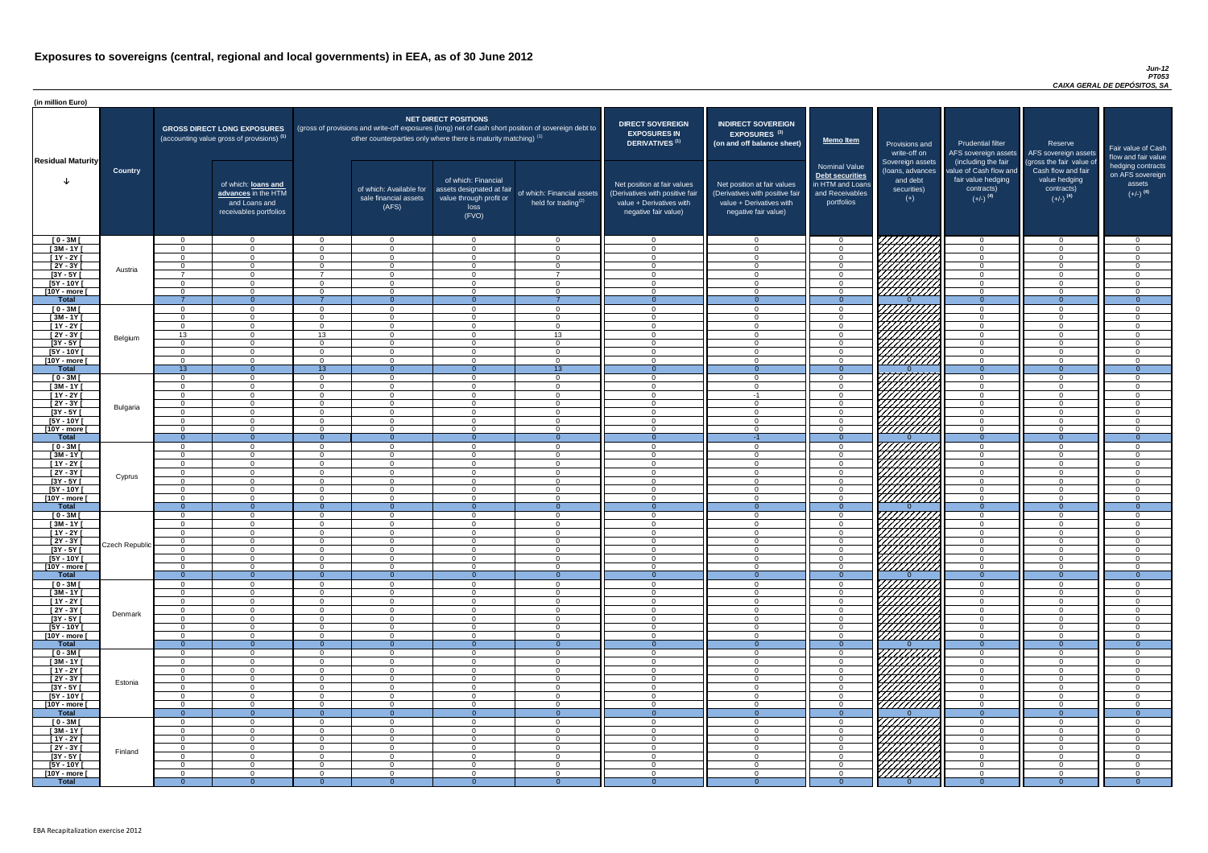| (in million Euro)                                |                |                      |                                                                                       |                            |                                                                   |                                                                                              |                                                                                                     |                                                                                                                    |                                                                                                                    |                                                                                              |                                                                          |                                                                                                             |                                                                                                         |                                                   |
|--------------------------------------------------|----------------|----------------------|---------------------------------------------------------------------------------------|----------------------------|-------------------------------------------------------------------|----------------------------------------------------------------------------------------------|-----------------------------------------------------------------------------------------------------|--------------------------------------------------------------------------------------------------------------------|--------------------------------------------------------------------------------------------------------------------|----------------------------------------------------------------------------------------------|--------------------------------------------------------------------------|-------------------------------------------------------------------------------------------------------------|---------------------------------------------------------------------------------------------------------|---------------------------------------------------|
|                                                  |                |                      | <b>GROSS DIRECT LONG EXPOSURES</b><br>(accounting value gross of provisions) (1)      |                            | other counterparties only where there is maturity matching) $(1)$ | <b>NET DIRECT POSITIONS</b>                                                                  | (gross of provisions and write-off exposures (long) net of cash short position of sovereign debt to | <b>DIRECT SOVEREIGN</b><br><b>EXPOSURES IN</b><br>DERIVATIVES <sup>(1)</sup>                                       | <b>INDIRECT SOVEREIGN</b><br><b>EXPOSURES<sup>(3)</sup></b><br>(on and off balance sheet)                          | <b>Memo Item</b>                                                                             | Provisions and<br>write-off on                                           | <b>Prudential filter</b><br>AFS sovereign assets                                                            | Reserve<br>AFS sovereign assets                                                                         | <b>Fair value</b><br>flow and t                   |
| <b>Residual Maturity</b>                         | <b>Country</b> |                      | of which: loans and<br>advances in the HTM<br>and Loans and<br>receivables portfolios |                            | of which: Available for<br>sale financial assets<br>(AFS)         | of which: Financial<br>assets designated at fair<br>value through profit or<br>loss<br>(FVO) | of which: Financial assets<br>held for trading <sup>(2)</sup>                                       | Net position at fair values<br>(Derivatives with positive fair<br>value + Derivatives with<br>negative fair value) | Net position at fair values<br>(Derivatives with positive fair<br>value + Derivatives with<br>negative fair value) | <b>Nominal Value</b><br>Debt securities<br>in HTM and Loans<br>and Receivables<br>portfolios | Sovereign assets<br>(loans, advances<br>and debt<br>securities)<br>$(+)$ | (including the fair<br>value of Cash flow and<br>fair value hedging<br>contracts)<br>$(+/-)$ <sup>(4)</sup> | (gross the fair value of<br>Cash flow and fair<br>value hedging<br>contracts)<br>$(+/-)$ <sup>(4)</sup> | hedging o<br>on AFS <sub>s</sub><br>ass<br>$(+/-$ |
| $[0 - 3M]$                                       |                | $\Omega$             | $\Omega$                                                                              | $\Omega$                   | $\overline{0}$                                                    | $\Omega$                                                                                     | $\cap$                                                                                              | $\cap$                                                                                                             | $\Omega$                                                                                                           | - 0                                                                                          | 77777777                                                                 | $\Omega$                                                                                                    | $\overline{0}$                                                                                          |                                                   |
| $[3M - 1Y]$<br>$[1Y - 2Y]$                       |                | $\Omega$<br>$\cap$   | $\Omega$<br>$\Omega$                                                                  | $\Omega$<br>$\Omega$       | $\overline{0}$<br>$\overline{0}$                                  | $\Omega$<br>$\Omega$                                                                         |                                                                                                     | $\Omega$                                                                                                           | $\cap$                                                                                                             | $\Omega$<br>$\overline{0}$                                                                   |                                                                          | $\Omega$<br>$\Omega$                                                                                        | $\Omega$<br>$\Omega$                                                                                    |                                                   |
| $[2Y - 3Y]$                                      |                | $\cap$               | $\Omega$                                                                              | $\Omega$                   | $\Omega$                                                          | $\Omega$                                                                                     | $\Omega$                                                                                            | $\Omega$                                                                                                           | $\Omega$                                                                                                           | $\Omega$                                                                                     |                                                                          | $\Omega$                                                                                                    | $\Omega$                                                                                                |                                                   |
| $[3Y - 5Y]$                                      | Austria        | $\overline{ }$       | $\Omega$                                                                              | -                          | $\Omega$                                                          | $\Omega$                                                                                     |                                                                                                     | $\Omega$                                                                                                           | $\cap$                                                                                                             | $\Omega$                                                                                     | <i>Chilli</i> a                                                          | $\Omega$                                                                                                    | $\Omega$                                                                                                |                                                   |
| $[5Y - 10Y]$                                     |                |                      | $\Omega$                                                                              | - റ                        | $\Omega$                                                          | $\Omega$                                                                                     |                                                                                                     |                                                                                                                    |                                                                                                                    | $\Omega$                                                                                     |                                                                          | $\Omega$                                                                                                    | $\Omega$                                                                                                |                                                   |
| [10Y - more [<br><b>Total</b>                    |                |                      | $\Omega$<br>റ                                                                         | $\Omega$                   | $\Omega$<br>$\Omega$                                              | $\Omega$<br>$\Omega$                                                                         |                                                                                                     |                                                                                                                    | $\Omega$                                                                                                           | $\Omega$<br>$\Omega$                                                                         | 777777777                                                                | $\Omega$<br>$\Omega$                                                                                        | $\Omega$<br>$\Omega$                                                                                    |                                                   |
| $[0 - 3M]$                                       |                | $\cap$               | $\Omega$                                                                              | $\Omega$                   | $\Omega$                                                          | $\Omega$                                                                                     | $\Omega$                                                                                            | $\cap$                                                                                                             | $\Omega$                                                                                                           | $\Omega$                                                                                     |                                                                          | $\Omega$                                                                                                    | $\Omega$                                                                                                |                                                   |
| $[3M - 1Y]$                                      |                | $\Omega$             | $\Omega$                                                                              | $\Omega$                   | $\overline{0}$                                                    | $\Omega$                                                                                     | $\Omega$                                                                                            | $\Omega$                                                                                                           | $\cap$                                                                                                             | $\overline{0}$                                                                               | CHHAA                                                                    | $\overline{0}$                                                                                              | $\Omega$                                                                                                |                                                   |
| $[1Y - 2Y]$                                      |                | $\Omega$             | $\Omega$                                                                              | $\Omega$                   | $\Omega$                                                          | $\Omega$                                                                                     | - റ                                                                                                 | $\cap$                                                                                                             | $\Omega$                                                                                                           | $\Omega$                                                                                     |                                                                          | $\overline{0}$                                                                                              | $\Omega$                                                                                                |                                                   |
| $[2Y - 3Y]$<br>$[3Y - 5Y]$                       | Belgium        | 13<br>$\Omega$       | $\Omega$<br>$\Omega$                                                                  | 13<br>$\Omega$             | $\Omega$<br>$\overline{0}$                                        | $\Omega$<br>$\Omega$                                                                         | 13<br>$\Omega$                                                                                      | $\Omega$<br>$\Omega$                                                                                               | $\cap$<br>$\Omega$                                                                                                 | $\Omega$<br>$\overline{0}$                                                                   |                                                                          | $\overline{0}$<br>$\overline{0}$                                                                            | $\Omega$<br>$\Omega$                                                                                    |                                                   |
| $[5Y - 10Y]$                                     |                | $\overline{0}$       | $\Omega$                                                                              | $\Omega$                   | $\overline{0}$                                                    | $\Omega$                                                                                     | $\Omega$                                                                                            | $\cap$                                                                                                             | $\Omega$                                                                                                           | $\Omega$                                                                                     |                                                                          | $\Omega$                                                                                                    | $\overline{0}$                                                                                          |                                                   |
| [10Y - more [                                    |                | $\Omega$             | $\Omega$                                                                              | $\Omega$                   | $\Omega$                                                          | $\Omega$                                                                                     | റ                                                                                                   |                                                                                                                    | $\cap$                                                                                                             | $\Omega$                                                                                     | 777777777                                                                | $\overline{0}$                                                                                              | $\Omega$                                                                                                |                                                   |
| <b>Total</b>                                     |                | 13                   | $\Omega$                                                                              | $\overline{13}$            | $\Omega$                                                          | $\Omega$                                                                                     | 13<br>$\Omega$                                                                                      | $\cap$                                                                                                             |                                                                                                                    | $\Omega$                                                                                     |                                                                          | $\Omega$                                                                                                    | $\Omega$                                                                                                |                                                   |
| $[0 - 3M]$<br>$[3M - 1Y]$                        |                | $\Omega$<br>$\cap$   | $\Omega$<br>$\Omega$                                                                  | $\Omega$<br>$\Omega$       | $\Omega$<br>$\Omega$                                              | $\Omega$<br>$\Omega$                                                                         |                                                                                                     |                                                                                                                    | $\Omega$<br>$\Omega$                                                                                               | $\Omega$<br>$\Omega$                                                                         | <i>הדרדרדר</i> ל                                                         | $\overline{0}$<br>$\Omega$                                                                                  | $\Omega$<br>$\Omega$                                                                                    |                                                   |
| $[1Y - 2Y]$                                      |                | $\cap$               | $\Omega$                                                                              | $\Omega$                   | $\Omega$                                                          | $\Omega$                                                                                     |                                                                                                     |                                                                                                                    |                                                                                                                    | $\Omega$                                                                                     |                                                                          | $\Omega$                                                                                                    | $\Omega$                                                                                                |                                                   |
| $[2Y - 3Y]$                                      | Bulgaria       | $\Omega$             | $\Omega$                                                                              | $\Omega$                   | $\Omega$                                                          | $\Omega$                                                                                     | $\Omega$                                                                                            | $\Omega$                                                                                                           | $\Omega$                                                                                                           | $\Omega$                                                                                     | <i>WAHAA</i>                                                             | $\Omega$                                                                                                    | $\Omega$                                                                                                |                                                   |
| <u>[3Y - 5Y [</u>                                |                |                      |                                                                                       |                            |                                                                   |                                                                                              |                                                                                                     |                                                                                                                    |                                                                                                                    |                                                                                              | VIIIIIII                                                                 |                                                                                                             |                                                                                                         |                                                   |
| $[5Y - 10Y]$<br>$\sqrt{10Y}$ - more $\sqrt{10Y}$ |                | $\cap$<br>$\Omega$   | $\Omega$<br>$\Omega$                                                                  | $\Omega$<br>$\Omega$       | $\overline{0}$<br>$\overline{0}$                                  | $\Omega$<br>$\Omega$                                                                         | $\Omega$                                                                                            | $\Omega$                                                                                                           | $\Omega$<br>$\cap$                                                                                                 | $\Omega$<br>$\Omega$                                                                         | 777777777                                                                | $\overline{0}$<br>$\overline{0}$                                                                            | $\cap$<br>$\Omega$                                                                                      |                                                   |
| <b>Total</b>                                     |                | $\overline{0}$       | $\Omega$                                                                              | - ೧                        | $\Omega$                                                          | - 0                                                                                          | $\Omega$                                                                                            |                                                                                                                    | $-1$                                                                                                               | $\Omega$                                                                                     |                                                                          | $\overline{0}$                                                                                              | $\Omega$                                                                                                |                                                   |
| $[0 - 3M]$                                       |                | $\cap$               | $\Omega$                                                                              | - റ                        | $\overline{0}$                                                    | $\Omega$                                                                                     |                                                                                                     |                                                                                                                    | $\Omega$                                                                                                           | $\Omega$                                                                                     |                                                                          | $\Omega$                                                                                                    | $\Omega$                                                                                                |                                                   |
| $[3M - 1Y]$                                      |                | $\Omega$             | $\overline{0}$                                                                        | $\Omega$                   | $\overline{0}$                                                    | $\overline{0}$                                                                               | $\Omega$<br>$\cap$                                                                                  | $\Omega$<br>$\cap$                                                                                                 | $\Omega$                                                                                                           | $\Omega$                                                                                     |                                                                          | $\overline{0}$                                                                                              | $\Omega$                                                                                                |                                                   |
| $[1Y - 2Y]$<br>$[2Y - 3Y]$                       |                | $\Omega$<br>$\Omega$ | $\Omega$<br>$\Omega$                                                                  | $\Omega$<br>- ೧            | $\Omega$<br>$\overline{0}$                                        | $\Omega$<br>$\Omega$                                                                         |                                                                                                     |                                                                                                                    | $\Omega$<br>$\Omega$                                                                                               | $\Omega$<br>$\Omega$                                                                         |                                                                          | $\overline{0}$<br>$\Omega$                                                                                  | $\Omega$<br>$\Omega$                                                                                    |                                                   |
| $[3Y - 5Y]$                                      | Cyprus         |                      | $\Omega$                                                                              | $\Omega$                   | $\overline{0}$                                                    | $\Omega$                                                                                     |                                                                                                     |                                                                                                                    |                                                                                                                    | $\Omega$                                                                                     |                                                                          | $\Omega$                                                                                                    | $\Omega$                                                                                                |                                                   |
| [5Y - 10Y [                                      |                |                      | $\Omega$                                                                              | - ೧                        | $\overline{0}$                                                    | $\Omega$                                                                                     |                                                                                                     |                                                                                                                    | $\Omega$                                                                                                           | - 0                                                                                          | VIIIIIIIII                                                               | $\Omega$                                                                                                    | $\Omega$                                                                                                |                                                   |
| [10Y - more [<br><b>Total</b>                    |                | $\cap$<br>- 0        | $\Omega$<br>-0                                                                        | - 0<br>$\Omega$            | $\Omega$<br>$\Omega$                                              | $\Omega$                                                                                     | $\cap$                                                                                              |                                                                                                                    | $\Omega$                                                                                                           | $\cap$<br>$\Omega$                                                                           | 77777777                                                                 | $\Omega$<br>$\Omega$                                                                                        | $\Omega$<br>$\Omega$                                                                                    |                                                   |
| $[0 - 3M]$                                       |                | $\cap$               | $\Omega$                                                                              | $\Omega$                   | $\Omega$                                                          | $\Omega$                                                                                     | $\cap$                                                                                              | $\cap$                                                                                                             | $\Omega$                                                                                                           | $\Omega$                                                                                     |                                                                          | $\Omega$                                                                                                    | $\Omega$                                                                                                |                                                   |
| $[3M - 1Y]$                                      |                | $\Omega$             | $\Omega$                                                                              | $\Omega$                   | $\Omega$                                                          | $\Omega$                                                                                     | $\cap$                                                                                              | $\cap$                                                                                                             | $\Omega$                                                                                                           | $\Omega$                                                                                     |                                                                          | $\overline{0}$                                                                                              | $\Omega$                                                                                                |                                                   |
| $[1Y - 2Y]$                                      |                | $\Omega$             | $\Omega$                                                                              | $\Omega$                   | $\overline{0}$                                                    | $\Omega$                                                                                     | $\Omega$                                                                                            | $\Omega$                                                                                                           | $\Omega$                                                                                                           | $\overline{0}$                                                                               |                                                                          | $\Omega$                                                                                                    | $\Omega$                                                                                                |                                                   |
| $\overline{[2Y-3Y]}$                             | Czech Republic | $\Omega$<br>$\Omega$ | $\Omega$<br>$\Omega$                                                                  | $\Omega$<br>$\Omega$       | $\overline{0}$                                                    | $\Omega$<br>$\Omega$                                                                         | $\Omega$<br>$\Omega$                                                                                | $\Omega$<br>$\Omega$                                                                                               | $\Omega$<br>$\Omega$                                                                                               | $\Omega$<br>$\Omega$                                                                         |                                                                          | $\overline{0}$                                                                                              | $\Omega$                                                                                                |                                                   |
| $[3Y - 5Y]$<br>$[5Y - 10Y]$                      |                | $\Omega$             | $\Omega$                                                                              | $\Omega$                   | $\overline{0}$<br>$\overline{0}$                                  | $\Omega$                                                                                     | $\Omega$                                                                                            |                                                                                                                    | $\Omega$                                                                                                           | $\Omega$                                                                                     | HAAA<br>HAAAA                                                            | $\overline{0}$<br>$\Omega$                                                                                  | $\overline{0}$<br>$\Omega$                                                                              |                                                   |
| [10Y - more [                                    |                | $\Omega$             | $\Omega$                                                                              | $\Omega$                   | $\overline{0}$                                                    | $\Omega$                                                                                     | $\Omega$                                                                                            |                                                                                                                    | $\Omega$                                                                                                           | $\Omega$                                                                                     |                                                                          | $\Omega$                                                                                                    | $\Omega$                                                                                                |                                                   |
| <b>Total</b>                                     |                | $\overline{0}$       | $\Omega$                                                                              | $\Omega$                   | $\overline{0}$                                                    |                                                                                              | $\Omega$                                                                                            |                                                                                                                    |                                                                                                                    | $\Omega$                                                                                     |                                                                          | $\overline{0}$                                                                                              | - 0                                                                                                     |                                                   |
| $[0 - 3M]$<br>$3M - 1Y$                          |                | $\Omega$             | $\overline{0}$<br>$\overline{0}$                                                      | $\Omega$<br>$\Omega$       | $\Omega$<br>$\Omega$                                              | $\Omega$<br>-0                                                                               |                                                                                                     |                                                                                                                    | $\Omega$                                                                                                           | $\Omega$<br>$\Omega$                                                                         | 777777777                                                                | $\Omega$<br>$\Omega$                                                                                        | $\Omega$<br>$\Omega$                                                                                    |                                                   |
| $\sqrt{1Y-2Y}$                                   |                |                      | $\overline{0}$                                                                        | - ೧                        | $\overline{0}$                                                    | $\Omega$                                                                                     | $\Omega$                                                                                            |                                                                                                                    | $\Omega$                                                                                                           | $\Omega$                                                                                     |                                                                          | $\Omega$                                                                                                    | $\Omega$                                                                                                |                                                   |
| $\overline{[2Y-3Y]}$                             | Denmark        | $\cap$               | $\Omega$                                                                              | $\Omega$                   | $\Omega$                                                          | $\Omega$                                                                                     |                                                                                                     | $\cap$                                                                                                             | $\cap$                                                                                                             | $\Omega$                                                                                     |                                                                          | $\Omega$                                                                                                    | $\Omega$                                                                                                |                                                   |
| $[3Y - 5Y]$                                      |                | $\Omega$             | $\Omega$                                                                              | $\Omega$                   | $\overline{0}$                                                    | $\Omega$                                                                                     | $\cap$                                                                                              |                                                                                                                    | $\Omega$                                                                                                           | $\Omega$                                                                                     |                                                                          | $\overline{0}$                                                                                              | $\Omega$                                                                                                |                                                   |
| $[5Y - 10Y]$<br>[10Y - more [                    |                | $\Omega$<br>$\Omega$ | $\overline{0}$<br>$\Omega$                                                            | $\Omega$<br>$\Omega$       | $\overline{0}$<br>$\Omega$                                        | $\Omega$<br>$\Omega$                                                                         | $\Omega$<br>$\cap$                                                                                  | $\Omega$<br>$\cap$                                                                                                 | $\Omega$<br>$\cap$                                                                                                 | $\Omega$<br>$\Omega$                                                                         | 7777777777                                                               | $\overline{0}$<br>$\overline{0}$                                                                            | $\Omega$<br>$\Omega$                                                                                    |                                                   |
| <b>Total</b>                                     |                | $\overline{0}$       | $\overline{0}$                                                                        | $\Omega$                   | $\Omega$                                                          | - 0                                                                                          | $\overline{0}$                                                                                      |                                                                                                                    | $\Omega$                                                                                                           | $\overline{0}$                                                                               |                                                                          | $\overline{0}$                                                                                              | $\Omega$                                                                                                |                                                   |
| $[0 - 3M]$                                       |                | $\Omega$             | $\Omega$                                                                              | $\Omega$                   | $\overline{0}$                                                    | $\Omega$                                                                                     | $\Omega$                                                                                            | $\Omega$                                                                                                           | $\Omega$                                                                                                           | $\Omega$                                                                                     | 77777                                                                    | $\overline{0}$                                                                                              | $\Omega$                                                                                                |                                                   |
| $[3M - 1Y]$                                      |                | $\Omega$             | $\Omega$                                                                              | $\Omega$                   | $\Omega$                                                          | $\Omega$                                                                                     | $\Omega$                                                                                            | $\Omega$                                                                                                           | $\Omega$                                                                                                           | $\Omega$                                                                                     |                                                                          | $\Omega$                                                                                                    | $\Omega$                                                                                                |                                                   |
| $[1Y - 2Y]$<br>$\overline{[2Y-3Y]}$              |                | $\cap$<br>$\Omega$   | $\Omega$<br>$\Omega$                                                                  | - റ<br>$\Omega$            | $\overline{0}$<br>$\Omega$                                        | $\Omega$<br>$\Omega$                                                                         |                                                                                                     |                                                                                                                    | $\Omega$<br>$\Omega$                                                                                               | $\Omega$<br>$\overline{0}$                                                                   |                                                                          | $\Omega$<br>$\Omega$                                                                                        | $\Omega$<br>$\Omega$                                                                                    |                                                   |
| $[3Y - 5Y]$                                      | Estonia        | $\cap$               | $\Omega$                                                                              | $\Omega$                   | $\Omega$                                                          | $\Omega$                                                                                     | $\cap$                                                                                              | $\cap$                                                                                                             | $\Omega$                                                                                                           | $\Omega$                                                                                     |                                                                          | $\Omega$                                                                                                    | $\Omega$                                                                                                |                                                   |
| [5Y - 10Y [                                      |                |                      | $\Omega$                                                                              | $\Omega$                   | $\Omega$                                                          | $\Omega$                                                                                     |                                                                                                     |                                                                                                                    | $\Omega$                                                                                                           | $\cap$                                                                                       |                                                                          | $\Omega$                                                                                                    | $\Omega$                                                                                                |                                                   |
| $\sqrt{10Y}$ - more $\sqrt{10Y}$                 |                |                      | $\Omega$                                                                              | $\Omega$                   | $\Omega$                                                          | $\Omega$                                                                                     |                                                                                                     |                                                                                                                    | $\Omega$                                                                                                           | $\Omega$                                                                                     | 77777777                                                                 | $\Omega$                                                                                                    | $\Omega$                                                                                                |                                                   |
| <b>Total</b><br>$[0 - 3M]$                       |                |                      | $\Omega$                                                                              | $\Omega$                   | $\Omega$<br>$\Omega$                                              | $\Omega$                                                                                     |                                                                                                     |                                                                                                                    |                                                                                                                    | $\cap$                                                                                       | V <i>ezizizizm</i>                                                       | $\Omega$<br>$\Omega$                                                                                        | $\Omega$                                                                                                |                                                   |
| $[3M - 1Y]$                                      |                | $\Omega$             | $\overline{0}$                                                                        | $\Omega$                   | $\overline{0}$                                                    | $\overline{0}$                                                                               | $\Omega$                                                                                            | $\Omega$                                                                                                           | $\overline{0}$                                                                                                     | $\overline{0}$                                                                               |                                                                          | $\overline{0}$                                                                                              | $\overline{0}$                                                                                          |                                                   |
| $[1Y - 2Y]$                                      |                | $\Omega$             | $\Omega$                                                                              | $\Omega$                   | $\overline{0}$                                                    | $\Omega$                                                                                     | $\Omega$                                                                                            | $\Omega$                                                                                                           | $\Omega$                                                                                                           | $\overline{0}$                                                                               | <b>Commons</b>                                                           | $\overline{0}$                                                                                              | $\overline{0}$                                                                                          |                                                   |
| $[2Y - 3Y]$                                      | Finland        | $\overline{0}$       | $\overline{0}$                                                                        | $\overline{0}$             | $\overline{0}$                                                    | $\overline{0}$                                                                               | $\Omega$                                                                                            | $\Omega$                                                                                                           | $\overline{0}$                                                                                                     | $\overline{0}$                                                                               |                                                                          | $\overline{0}$                                                                                              | $\overline{0}$                                                                                          |                                                   |
| $[3Y - 5Y]$<br>$[5Y - 10Y]$                      |                | $\Omega$<br>$\Omega$ | $\overline{0}$<br>$\overline{0}$                                                      | $\overline{0}$<br>$\Omega$ | $\overline{0}$<br>$\Omega$                                        | $\overline{0}$<br>$\overline{0}$                                                             | $\Omega$<br>$\Omega$                                                                                | $\Omega$<br>$\Omega$                                                                                               | $\overline{0}$<br>$\overline{0}$                                                                                   | $\overline{0}$<br>$\overline{0}$                                                             |                                                                          | $\overline{0}$<br>$\overline{0}$                                                                            | $\overline{0}$<br>$\overline{0}$                                                                        | $\cap$                                            |
| [10Y - more [                                    |                | $\cap$               | $\Omega$                                                                              | $\Omega$                   | $\Omega$                                                          | $\Omega$                                                                                     | $\cap$                                                                                              | $\Omega$                                                                                                           | $\cap$                                                                                                             | $\Omega$                                                                                     | Hillittin                                                                | $\Omega$                                                                                                    | $\Omega$                                                                                                | $\cap$                                            |
| <b>Total</b>                                     |                | $\Omega$             | $\Omega$                                                                              | -0                         | $\Omega$                                                          | $\Omega$                                                                                     | $\overline{0}$                                                                                      |                                                                                                                    |                                                                                                                    |                                                                                              |                                                                          | $\overline{0}$                                                                                              | - 0                                                                                                     |                                                   |

#### *Jun-12 PT053 CAIXA GERAL DE DEPÓSITOS, SA*

| <b>DIRECT SOVEREIGN</b><br><b>EXPOSURES IN</b><br><b>DERIVATIVES<sup>(1)</sup></b><br>Net position at fair values<br>(Derivatives with positive fair<br>value + Derivatives with<br>negative fair value) | <b>INDIRECT SOVEREIGN</b><br>EXPOSURES <sup>(3)</sup><br>(on and off balance sheet)<br>Net position at fair values<br>(Derivatives with positive fair<br>value + Derivatives with<br>negative fair value) | <b>Memo Item</b><br><b>Nominal Value</b><br>Debt securities<br>in HTM and Loans<br>and Receivables<br>portfolios | Provisions and<br>write-off on<br>Sovereign assets<br>(loans, advances<br>and debt<br>securities)<br>$(+)$ | <b>Prudential filter</b><br>AFS sovereign assets<br>(including the fair<br>value of Cash flow and<br>fair value hedging<br>contracts)<br>$(+/-)$ <sup>(4)</sup> | Reserve<br>AFS sovereign assets<br>(gross the fair value of<br>Cash flow and fair<br>value hedging<br>contracts)<br>$(+/-)$ <sup>(4)</sup> | Fair value of Cash<br>flow and fair value<br>hedging contracts<br>on AFS sovereign<br>assets<br>$(+/-)$ <sup>(4)</sup> |
|----------------------------------------------------------------------------------------------------------------------------------------------------------------------------------------------------------|-----------------------------------------------------------------------------------------------------------------------------------------------------------------------------------------------------------|------------------------------------------------------------------------------------------------------------------|------------------------------------------------------------------------------------------------------------|-----------------------------------------------------------------------------------------------------------------------------------------------------------------|--------------------------------------------------------------------------------------------------------------------------------------------|------------------------------------------------------------------------------------------------------------------------|
| 0                                                                                                                                                                                                        | $\mathbf 0$                                                                                                                                                                                               | $\mathbf 0$                                                                                                      |                                                                                                            | $\mathbf 0$                                                                                                                                                     | $\mathbf 0$                                                                                                                                | 0                                                                                                                      |
| $\mathbf 0$                                                                                                                                                                                              | $\mathbf 0$                                                                                                                                                                                               | $\pmb{0}$                                                                                                        |                                                                                                            | $\mathbf 0$                                                                                                                                                     | $\mathbf 0$                                                                                                                                | 0                                                                                                                      |
| $\mathbf 0$                                                                                                                                                                                              | $\mathbf 0$                                                                                                                                                                                               | $\pmb{0}$                                                                                                        |                                                                                                            | 0                                                                                                                                                               | $\mathbf 0$                                                                                                                                | $\mathbf 0$                                                                                                            |
| $\mathbf 0$                                                                                                                                                                                              | $\mathbf 0$                                                                                                                                                                                               | $\mathbf 0$                                                                                                      |                                                                                                            | 0                                                                                                                                                               | $\mathbf 0$                                                                                                                                | $\mathbf 0$                                                                                                            |
| $\mathbf 0$<br>$\pmb{0}$                                                                                                                                                                                 | $\mathbf 0$<br>$\mathbf 0$                                                                                                                                                                                | $\pmb{0}$<br>$\pmb{0}$                                                                                           |                                                                                                            | 0<br>0                                                                                                                                                          | $\mathbf 0$<br>$\mathbf 0$                                                                                                                 | $\mathbf 0$<br>$\mathbf 0$                                                                                             |
| $\pmb{0}$                                                                                                                                                                                                | $\mathbf 0$                                                                                                                                                                                               | $\pmb{0}$                                                                                                        |                                                                                                            | 0                                                                                                                                                               | $\mathbf 0$                                                                                                                                | $\mathbf 0$                                                                                                            |
| $\overline{0}$                                                                                                                                                                                           | $\overline{0}$                                                                                                                                                                                            | $\overline{0}$                                                                                                   | ∩                                                                                                          | $\overline{0}$                                                                                                                                                  | $\overline{0}$                                                                                                                             | $\overline{0}$                                                                                                         |
| $\mathbf 0$                                                                                                                                                                                              | $\mathbf 0$                                                                                                                                                                                               | $\mathbf 0$                                                                                                      |                                                                                                            | $\mathbf 0$                                                                                                                                                     | $\mathbf 0$                                                                                                                                | $\mathbf 0$                                                                                                            |
| $\mathbf 0$                                                                                                                                                                                              | $\mathbf 0$                                                                                                                                                                                               | $\mathbf 0$                                                                                                      |                                                                                                            | $\mathbf 0$                                                                                                                                                     | $\mathbf 0$                                                                                                                                | $\mathbf 0$                                                                                                            |
| $\mathbf 0$<br>$\pmb{0}$                                                                                                                                                                                 | $\mathbf 0$<br>$\pmb{0}$                                                                                                                                                                                  | $\mathsf 0$<br>$\pmb{0}$                                                                                         |                                                                                                            | $\mathbf 0$<br>$\mathbf 0$                                                                                                                                      | $\mathbf 0$<br>$\mathbf 0$                                                                                                                 | $\mathbf 0$<br>$\pmb{0}$                                                                                               |
| $\mathbf 0$                                                                                                                                                                                              | $\mathbf 0$                                                                                                                                                                                               | $\mathbf 0$                                                                                                      |                                                                                                            | $\mathbf 0$                                                                                                                                                     | $\mathbf 0$                                                                                                                                | $\mathbf 0$                                                                                                            |
| $\mathbf 0$                                                                                                                                                                                              | $\mathbf 0$                                                                                                                                                                                               | $\pmb{0}$                                                                                                        |                                                                                                            | $\mathbf 0$                                                                                                                                                     | $\mathbf 0$                                                                                                                                | $\pmb{0}$                                                                                                              |
| $\mathbf 0$                                                                                                                                                                                              | $\mathbf 0$                                                                                                                                                                                               | $\mathbf 0$                                                                                                      |                                                                                                            | $\mathbf 0$                                                                                                                                                     | $\mathbf 0$                                                                                                                                | $\mathbf 0$                                                                                                            |
| $\mathbf{0}$                                                                                                                                                                                             | $\overline{0}$                                                                                                                                                                                            | $\overline{0}$                                                                                                   | $\Omega$                                                                                                   | $\overline{0}$                                                                                                                                                  | $\overline{0}$                                                                                                                             | $\overline{0}$                                                                                                         |
| 0<br>$\mathbf 0$                                                                                                                                                                                         | 0                                                                                                                                                                                                         | $\mathsf 0$                                                                                                      |                                                                                                            | $\mathbf 0$<br>$\pmb{0}$                                                                                                                                        | 0                                                                                                                                          | $\mathbf 0$<br>$\mathsf 0$                                                                                             |
| $\mathbf 0$                                                                                                                                                                                              | $\mathbf 0$<br>$-1$                                                                                                                                                                                       | $\pmb{0}$<br>$\boldsymbol{0}$                                                                                    |                                                                                                            | $\mathbf 0$                                                                                                                                                     | $\mathbf 0$<br>$\mathbf 0$                                                                                                                 | $\mathbf 0$                                                                                                            |
| $\mathbf 0$                                                                                                                                                                                              | $\mathbf 0$                                                                                                                                                                                               | $\pmb{0}$                                                                                                        |                                                                                                            | $\pmb{0}$                                                                                                                                                       | $\mathbf 0$                                                                                                                                | $\pmb{0}$                                                                                                              |
| $\mathbf 0$                                                                                                                                                                                              | $\mathbf 0$                                                                                                                                                                                               | $\mathbf 0$                                                                                                      |                                                                                                            | $\mathbf 0$                                                                                                                                                     | $\overline{0}$                                                                                                                             | $\mathbf 0$                                                                                                            |
| 0                                                                                                                                                                                                        | 0                                                                                                                                                                                                         | 0                                                                                                                | <u>HHHH</u>                                                                                                | 0                                                                                                                                                               | 0                                                                                                                                          | 0                                                                                                                      |
| 0<br>$\mathbf{0}$                                                                                                                                                                                        | 0<br>$-1$                                                                                                                                                                                                 | 0<br>$\mathbf{0}$                                                                                                | $\mathbf{0}$                                                                                               | $\mathbf{0}$<br>$\overline{0}$                                                                                                                                  | 0<br>$\overline{0}$                                                                                                                        | 0<br>$\mathbf 0$                                                                                                       |
| $\mathbf 0$                                                                                                                                                                                              | 0                                                                                                                                                                                                         | $\pmb{0}$                                                                                                        |                                                                                                            | 0                                                                                                                                                               | $\mathsf 0$                                                                                                                                | 0                                                                                                                      |
| $\mathbf 0$                                                                                                                                                                                              | 0                                                                                                                                                                                                         | $\pmb{0}$                                                                                                        |                                                                                                            | 0                                                                                                                                                               | 0                                                                                                                                          | 0                                                                                                                      |
| 0                                                                                                                                                                                                        | 0                                                                                                                                                                                                         | $\pmb{0}$                                                                                                        |                                                                                                            | 0                                                                                                                                                               | 0                                                                                                                                          | $\mathbf 0$                                                                                                            |
| 0                                                                                                                                                                                                        | 0                                                                                                                                                                                                         | $\pmb{0}$                                                                                                        |                                                                                                            | 0                                                                                                                                                               | 0                                                                                                                                          | $\mathbf 0$                                                                                                            |
| $\mathbf 0$<br>$\mathbf 0$                                                                                                                                                                               | $\mathbf 0$<br>$\mathbf 0$                                                                                                                                                                                | $\mathbf 0$<br>$\pmb{0}$                                                                                         |                                                                                                            | 0<br>$\mathbf 0$                                                                                                                                                | 0<br>$\mathbf 0$                                                                                                                           | 0<br>$\mathbf 0$                                                                                                       |
| $\mathbf 0$                                                                                                                                                                                              | 0                                                                                                                                                                                                         | $\pmb{0}$                                                                                                        |                                                                                                            | 0                                                                                                                                                               | $\mathsf 0$                                                                                                                                | $\mathbf 0$                                                                                                            |
| $\mathbf{0}$                                                                                                                                                                                             | $\overline{0}$                                                                                                                                                                                            | $\overline{0}$                                                                                                   | $\overline{0}$                                                                                             | $\overline{0}$                                                                                                                                                  | $\overline{0}$                                                                                                                             | $\overline{0}$                                                                                                         |
| $\mathbf 0$                                                                                                                                                                                              | 0                                                                                                                                                                                                         | 0                                                                                                                |                                                                                                            | $\mathbf 0$                                                                                                                                                     | $\mathbf 0$                                                                                                                                | $\mathbf 0$                                                                                                            |
| $\mathbf 0$                                                                                                                                                                                              | $\mathbf 0$                                                                                                                                                                                               | $\mathbf 0$                                                                                                      |                                                                                                            | $\mathbf 0$                                                                                                                                                     | $\mathbf 0$                                                                                                                                | $\mathbf 0$                                                                                                            |
| $\mathbf 0$<br>$\mathbf 0$                                                                                                                                                                               | $\mathbf 0$<br>$\mathbf 0$                                                                                                                                                                                | 0<br>$\pmb{0}$                                                                                                   |                                                                                                            | 0<br>$\mathbf 0$                                                                                                                                                | $\mathbf 0$<br>$\mathbf 0$                                                                                                                 | 0<br>$\pmb{0}$                                                                                                         |
| $\mathbf 0$                                                                                                                                                                                              | $\mathbf 0$                                                                                                                                                                                               | $\pmb{0}$                                                                                                        |                                                                                                            | $\mathbf{0}$                                                                                                                                                    | $\mathbf 0$                                                                                                                                | $\pmb{0}$                                                                                                              |
| $\mathbf 0$                                                                                                                                                                                              | $\mathbf 0$                                                                                                                                                                                               | $\mathbf 0$                                                                                                      |                                                                                                            | 0                                                                                                                                                               | $\mathbf 0$                                                                                                                                | $\mathbf 0$                                                                                                            |
| 0                                                                                                                                                                                                        | 0                                                                                                                                                                                                         | 0                                                                                                                |                                                                                                            | $\mathbf 0$                                                                                                                                                     | $\mathbf 0$                                                                                                                                | $\mathbf 0$                                                                                                            |
| $\mathbf{0}$                                                                                                                                                                                             | $\overline{0}$                                                                                                                                                                                            | $\mathbf{0}$                                                                                                     | $\overline{0}$                                                                                             | $\mathbf{0}$                                                                                                                                                    | $\overline{0}$                                                                                                                             | $\mathbf 0$                                                                                                            |
| 0<br>$\mathbf 0$                                                                                                                                                                                         | $\mathbf 0$<br>$\mathbf 0$                                                                                                                                                                                | $\pmb{0}$<br>$\pmb{0}$                                                                                           |                                                                                                            | 0<br>$\mathbf 0$                                                                                                                                                | 0<br>$\mathsf 0$                                                                                                                           | 0<br>0                                                                                                                 |
| $\mathbf 0$                                                                                                                                                                                              | $\mathbf 0$                                                                                                                                                                                               | $\pmb{0}$                                                                                                        |                                                                                                            | $\mathbf 0$                                                                                                                                                     | $\mathbf 0$                                                                                                                                | $\pmb{0}$                                                                                                              |
| $\mathbf 0$                                                                                                                                                                                              | $\mathbf 0$                                                                                                                                                                                               | $\pmb{0}$                                                                                                        |                                                                                                            | $\mathbf 0$                                                                                                                                                     | $\mathsf 0$                                                                                                                                | 0                                                                                                                      |
| $\mathbf 0$                                                                                                                                                                                              | 0                                                                                                                                                                                                         | $\pmb{0}$                                                                                                        |                                                                                                            | $\mathbf 0$                                                                                                                                                     | $\mathbf 0$                                                                                                                                | $\mathbf 0$                                                                                                            |
| 0                                                                                                                                                                                                        | 0                                                                                                                                                                                                         | $\pmb{0}$                                                                                                        |                                                                                                            | $\mathbf 0$                                                                                                                                                     | $\mathbf 0$                                                                                                                                | $\mathbf 0$                                                                                                            |
| $\mathbf 0$<br>$\mathbf{0}$                                                                                                                                                                              | 0<br>$\overline{0}$                                                                                                                                                                                       | 0<br>$\mathbf{0}$                                                                                                | <u> 777 - </u><br>$\overline{0}$                                                                           | 0<br>$\mathbf{0}$                                                                                                                                               | 0<br>$\overline{0}$                                                                                                                        | 0<br>$\mathbf 0$                                                                                                       |
| 0                                                                                                                                                                                                        | 0                                                                                                                                                                                                         | $\mathbf 0$                                                                                                      |                                                                                                            | 0                                                                                                                                                               | 0                                                                                                                                          | $\mathbf 0$                                                                                                            |
| $\mathbf 0$                                                                                                                                                                                              | 0                                                                                                                                                                                                         | $\mathbf 0$                                                                                                      |                                                                                                            | 0                                                                                                                                                               | 0                                                                                                                                          | 0                                                                                                                      |
| 0                                                                                                                                                                                                        | $\mathbf 0$                                                                                                                                                                                               | $\mathbf 0$                                                                                                      |                                                                                                            | 0                                                                                                                                                               | 0                                                                                                                                          | 0                                                                                                                      |
| 0                                                                                                                                                                                                        | 0                                                                                                                                                                                                         | $\mathbf 0$                                                                                                      |                                                                                                            | 0                                                                                                                                                               | 0                                                                                                                                          | 0                                                                                                                      |
| 0<br>$\mathbf 0$                                                                                                                                                                                         | $\mathbf 0$<br>0                                                                                                                                                                                          | 0<br>$\mathbf 0$                                                                                                 |                                                                                                            | 0<br>0                                                                                                                                                          | 0<br>0                                                                                                                                     | 0<br>$\mathbf 0$                                                                                                       |
| $\mathbf 0$                                                                                                                                                                                              | 0                                                                                                                                                                                                         | $\pmb{0}$                                                                                                        |                                                                                                            | 0                                                                                                                                                               | $\mathbf 0$                                                                                                                                | $\mathbf 0$                                                                                                            |
| $\mathbf{0}$                                                                                                                                                                                             | $\overline{0}$                                                                                                                                                                                            | $\overline{0}$                                                                                                   | $\overline{0}$                                                                                             | $\Omega$                                                                                                                                                        | $\overline{0}$                                                                                                                             | $\overline{0}$                                                                                                         |
| $\mathbf 0$                                                                                                                                                                                              | 0                                                                                                                                                                                                         | $\mathbf 0$                                                                                                      |                                                                                                            | 0                                                                                                                                                               | 0                                                                                                                                          | 0                                                                                                                      |
| 0                                                                                                                                                                                                        | $\Omega$                                                                                                                                                                                                  | 0                                                                                                                |                                                                                                            | $\mathbf 0$                                                                                                                                                     | $\mathbf 0$                                                                                                                                | $\overline{0}$                                                                                                         |
| $\mathbf 0$<br>$\mathbf 0$                                                                                                                                                                               | $\mathbf 0$<br>$\mathbf 0$                                                                                                                                                                                | $\mathbf 0$<br>$\mathsf 0$                                                                                       |                                                                                                            | $\mathbf 0$<br>$\overline{0}$                                                                                                                                   | $\mathbf 0$<br>$\overline{0}$                                                                                                              | $\mathbf 0$<br>$\mathbf 0$                                                                                             |
| $\mathbf 0$                                                                                                                                                                                              | $\mathbf 0$                                                                                                                                                                                               | $\mathsf 0$                                                                                                      |                                                                                                            | $\mathbf 0$                                                                                                                                                     | $\overline{0}$                                                                                                                             | $\mathbf 0$                                                                                                            |
| $\mathbf 0$                                                                                                                                                                                              | $\mathbf 0$                                                                                                                                                                                               | $\pmb{0}$                                                                                                        |                                                                                                            | $\mathbf 0$                                                                                                                                                     | $\overline{0}$                                                                                                                             | $\mathbf 0$                                                                                                            |
| $\mathbf 0$                                                                                                                                                                                              | $\mathbf 0$                                                                                                                                                                                               | $\mathsf 0$                                                                                                      |                                                                                                            | $\mathbf 0$                                                                                                                                                     | $\overline{0}$                                                                                                                             | $\mathbf 0$                                                                                                            |
| $\overline{0}$                                                                                                                                                                                           | $\overline{0}$                                                                                                                                                                                            | $\overline{0}$                                                                                                   | $\Omega$                                                                                                   | $\overline{0}$                                                                                                                                                  | $\overline{0}$                                                                                                                             | $\overline{0}$                                                                                                         |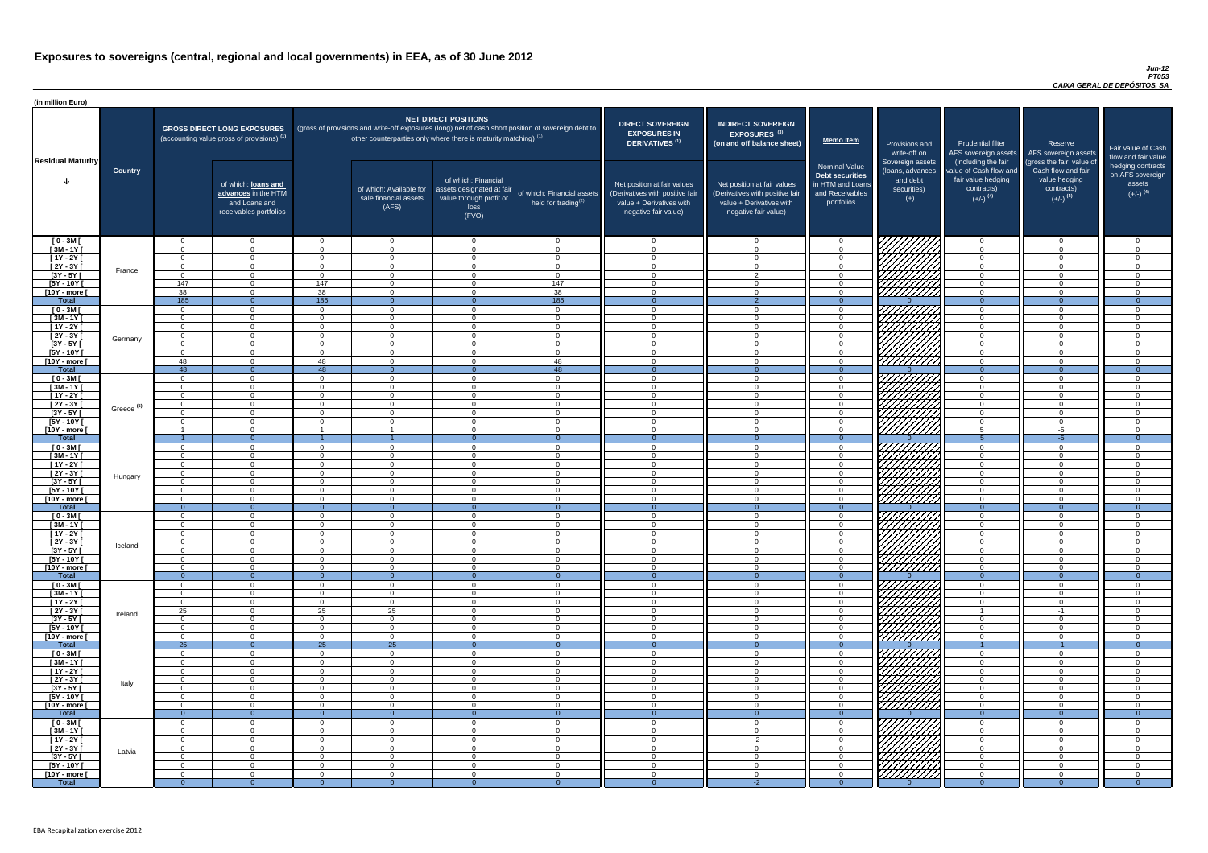#### *Jun-12 PT053 CAIXA GERAL DE DEPÓSITOS, SA*

| (in million Euro)             |                       |                      |                                                                                             |                      |                                                                                                                                                                                   |                                                                                              |                                                      |                                                                                                                    |                                                                                                                    |                                                                                              |                                                                                                   |                                                                                      |                                                                                  |                                                                           |
|-------------------------------|-----------------------|----------------------|---------------------------------------------------------------------------------------------|----------------------|-----------------------------------------------------------------------------------------------------------------------------------------------------------------------------------|----------------------------------------------------------------------------------------------|------------------------------------------------------|--------------------------------------------------------------------------------------------------------------------|--------------------------------------------------------------------------------------------------------------------|----------------------------------------------------------------------------------------------|---------------------------------------------------------------------------------------------------|--------------------------------------------------------------------------------------|----------------------------------------------------------------------------------|---------------------------------------------------------------------------|
| <b>Residual Maturity</b>      |                       |                      | <b>GROSS DIRECT LONG EXPOSURES</b><br>(accounting value gross of provisions) <sup>(1)</sup> |                      | (gross of provisions and write-off exposures (long) net of cash short position of sovereign debt to<br>other counterparties only where there is maturity matching) <sup>(1)</sup> | <b>NET DIRECT POSITIONS</b>                                                                  |                                                      | <b>DIRECT SOVEREIGN</b><br><b>EXPOSURES IN</b><br><b>DERIVATIVES (1)</b>                                           | <b>INDIRECT SOVEREIGN</b><br><b>EXPOSURES<sup>(3)</sup></b><br>(on and off balance sheet)                          | <b>Memo Item</b>                                                                             | Provisions and<br>write-off on                                                                    | <b>Prudential filter</b><br>(including the fair                                      | Reserve<br>AFS sovereign assets AFS sovereign assets<br>(gross the fair value of | Fair value of Cash<br>flow and fair value                                 |
|                               | <b>Country</b>        |                      | of which: loans and<br>advances in the HTM<br>and Loans and<br>receivables portfolios       |                      | of which: Available for<br>sale financial assets<br>(AFS)                                                                                                                         | of which: Financial<br>assets designated at fair<br>value through profit or<br>loss<br>(FVO) | of which: Financial assets<br>held for trading $(2)$ | Net position at fair values<br>(Derivatives with positive fair<br>value + Derivatives with<br>negative fair value) | Net position at fair values<br>(Derivatives with positive fair<br>value + Derivatives with<br>negative fair value) | <b>Nominal Value</b><br>Debt securities<br>in HTM and Loans<br>and Receivables<br>portfolios | Sovereign assets<br>(loans, advances<br>and debt<br>securities)<br>$(+)$                          | value of Cash flow and<br>fair value hedging<br>contracts)<br>$(+/-)$ <sup>(4)</sup> | Cash flow and fair<br>value hedging<br>contracts)<br>$(+/-)$ <sup>(4)</sup>      | hedging contracts<br>on AFS sovereign<br>assets<br>$(+/-)$ <sup>(4)</sup> |
| $[0 - 3M]$                    |                       | . വ                  | $\overline{0}$                                                                              | $\cap$               | $\overline{0}$                                                                                                                                                                    | $\Omega$                                                                                     | $\overline{0}$                                       | റ                                                                                                                  | $\cap$                                                                                                             | $\overline{0}$                                                                               | 7777777777                                                                                        | $\overline{0}$                                                                       | $\Omega$                                                                         | $\cap$                                                                    |
| $[3M - 1Y]$                   |                       |                      | $\overline{0}$                                                                              | ∩                    | $\Omega$                                                                                                                                                                          | $\Omega$                                                                                     | $\overline{0}$                                       | - 0                                                                                                                | $\Omega$                                                                                                           | $\Omega$                                                                                     |                                                                                                   | $\overline{0}$                                                                       | $\Omega$                                                                         | $\Omega$                                                                  |
| $[1Y - 2Y]$<br>$[2Y - 3Y]$    |                       | $\Omega$<br>$\Omega$ | $\Omega$<br>$\Omega$                                                                        | $\Omega$<br>$\Omega$ | $\Omega$<br>$\Omega$                                                                                                                                                              | $\Omega$<br>$\Omega$                                                                         | $\overline{0}$<br>$\overline{0}$                     | $\Omega$<br>$\overline{0}$                                                                                         | $\cap$                                                                                                             | $\Omega$<br>$\Omega$                                                                         |                                                                                                   | $\overline{0}$<br>$\Omega$                                                           | $\Omega$<br>$\Omega$                                                             | $\Omega$<br>- 0                                                           |
| $[3Y - 5Y]$                   | France                | $\Omega$             | $\Omega$                                                                                    | $\cap$               | $\Omega$                                                                                                                                                                          | $\Omega$                                                                                     | $\overline{0}$                                       | $\Omega$                                                                                                           | $\mathcal{D}$                                                                                                      | $\Omega$                                                                                     | HAHA K                                                                                            | $\overline{0}$                                                                       | $\Omega$                                                                         | - 0                                                                       |
| $[5Y - 10Y]$                  |                       | 147                  | $\Omega$                                                                                    | 147                  | $\Omega$                                                                                                                                                                          | $\Omega$                                                                                     | 147                                                  | $\cap$                                                                                                             |                                                                                                                    | $\Omega$                                                                                     |                                                                                                   | $\Omega$                                                                             | $\Omega$                                                                         | $\Omega$                                                                  |
| [10Y - more [                 |                       | 38                   | $\Omega$                                                                                    | 38                   | $\Omega$                                                                                                                                                                          | $\Omega$                                                                                     | 38                                                   | $\cap$                                                                                                             | $\cap$                                                                                                             | $\Omega$                                                                                     |                                                                                                   | $\Omega$                                                                             | $\Omega$                                                                         | - വ                                                                       |
| <b>Total</b>                  |                       | 185                  | $\Omega$                                                                                    | 185                  | $\Omega$                                                                                                                                                                          |                                                                                              | 185                                                  | - റ                                                                                                                |                                                                                                                    | $\Omega$                                                                                     |                                                                                                   | $\Omega$                                                                             | $\Omega$                                                                         | $\overline{0}$                                                            |
| $[0 - 3M]$<br>$[3M - 1Y]$     |                       | $\Omega$<br>$\Omega$ | $\Omega$<br>$\overline{0}$                                                                  | $\cap$<br>$\Omega$   | $\Omega$<br>$\overline{0}$                                                                                                                                                        | $\Omega$<br>$\Omega$                                                                         | $\overline{0}$<br>$\overline{0}$                     | $\cap$<br>$\cap$                                                                                                   | $\Omega$<br>$\Omega$                                                                                               | $\Omega$<br>$\Omega$                                                                         |                                                                                                   | $\Omega$<br>$\overline{0}$                                                           | $\Omega$<br>$\Omega$                                                             | $\cap$<br><b>O</b>                                                        |
| $[1Y - 2Y]$                   |                       | $\Omega$             | $\overline{0}$                                                                              | $\Omega$             | $\Omega$                                                                                                                                                                          | $\Omega$                                                                                     | $\overline{0}$                                       | $\cap$                                                                                                             |                                                                                                                    | $\Omega$                                                                                     |                                                                                                   | $\overline{0}$                                                                       | $\Omega$                                                                         | $\Omega$                                                                  |
| $[2Y - 3Y]$                   |                       | $\Omega$             | $\overline{0}$                                                                              |                      | $\Omega$                                                                                                                                                                          | $\Omega$                                                                                     | $\Omega$                                             | $\cap$                                                                                                             |                                                                                                                    | $\Omega$                                                                                     |                                                                                                   | $\overline{0}$                                                                       | $\Omega$                                                                         | $\cap$                                                                    |
| $[3Y - 5Y]$                   | Germany               |                      | $\overline{0}$                                                                              |                      | $\Omega$                                                                                                                                                                          | $\Omega$                                                                                     | $\Omega$                                             | $\cap$                                                                                                             |                                                                                                                    | $\Omega$                                                                                     |                                                                                                   | $\overline{0}$                                                                       | $\Omega$                                                                         | $\cap$                                                                    |
| $[5Y - 10Y]$                  |                       |                      | $\Omega$                                                                                    |                      | $\Omega$                                                                                                                                                                          | $\Omega$                                                                                     | $\Omega$                                             | $\cap$                                                                                                             |                                                                                                                    | $\Omega$                                                                                     |                                                                                                   | $\Omega$                                                                             | ∩                                                                                | $\Omega$                                                                  |
| [10Y - more [<br><b>Total</b> |                       | 48<br>48             | $\Omega$<br>$\Omega$                                                                        | 48<br>48             | $\Omega$<br>$\Omega$                                                                                                                                                              | $\Omega$<br>$\Omega$                                                                         | 48<br>48                                             | $\cap$<br>- 0                                                                                                      |                                                                                                                    | $\Omega$<br>$\Omega$                                                                         | <u>VIIIIIIII</u>                                                                                  | $\Omega$<br>$\Omega$                                                                 | $\Omega$<br>$\Omega$                                                             | $\Omega$<br>$\overline{0}$                                                |
| $[0 - 3M]$                    |                       | $\cap$               | $\Omega$                                                                                    |                      | $\Omega$                                                                                                                                                                          | $\cap$                                                                                       | $\Omega$                                             | $\cap$                                                                                                             |                                                                                                                    | $\Omega$                                                                                     |                                                                                                   | $\Omega$                                                                             | $\Omega$                                                                         | $\cap$                                                                    |
| $[3M - 1Y]$                   |                       | $\cap$               | $\Omega$                                                                                    |                      | $\Omega$                                                                                                                                                                          | $\Omega$                                                                                     | $\overline{0}$                                       | $\cap$                                                                                                             |                                                                                                                    | $\Omega$                                                                                     |                                                                                                   | $\overline{0}$                                                                       | $\Omega$                                                                         | $\Omega$                                                                  |
| $[1Y - 2Y]$                   |                       | $\cap$               | $\Omega$                                                                                    |                      | $\Omega$                                                                                                                                                                          | $\Omega$                                                                                     | $\overline{0}$                                       | $\cap$                                                                                                             |                                                                                                                    | $\Omega$                                                                                     |                                                                                                   | $\overline{0}$                                                                       | $\Omega$                                                                         | $\cap$                                                                    |
| $\sqrt{2Y-3Y}$                | Greece <sup>(5)</sup> | $\Omega$             | $\Omega$                                                                                    | $\cap$               | $\Omega$                                                                                                                                                                          | $\Omega$                                                                                     | $\Omega$                                             | $\sqrt{ }$                                                                                                         | $\Omega$                                                                                                           | $\overline{0}$                                                                               | <i>VHHHA</i>                                                                                      | $\overline{0}$                                                                       | $\Omega$                                                                         | $\cap$                                                                    |
| [3Y - 5Y<br>$[5Y - 10Y]$      |                       |                      | $\Omega$                                                                                    |                      | $\Omega$                                                                                                                                                                          | $\Omega$                                                                                     | $\Omega$                                             | $\Omega$                                                                                                           |                                                                                                                    | $\overline{0}$                                                                               | <i>UHHH</i> A                                                                                     | $\overline{0}$                                                                       | $\Omega$                                                                         | ി                                                                         |
| [10Y - more [                 |                       |                      | $\Omega$                                                                                    |                      |                                                                                                                                                                                   | $\Omega$                                                                                     | $\Omega$                                             | $\cap$                                                                                                             | $\Omega$                                                                                                           | $\Omega$                                                                                     | 77777777777                                                                                       | $5\overline{)}$                                                                      | $-5$                                                                             | $\cap$                                                                    |
| <b>Total</b>                  |                       |                      | $\Omega$                                                                                    |                      |                                                                                                                                                                                   |                                                                                              | $\Omega$                                             | $\Omega$                                                                                                           |                                                                                                                    | $\Omega$                                                                                     |                                                                                                   | 5                                                                                    | $-5$                                                                             | $\Omega$                                                                  |
| $[0 - 3M]$                    |                       |                      | $\overline{0}$                                                                              | $\Omega$             | $\Omega$                                                                                                                                                                          | $\Omega$                                                                                     | $\overline{0}$                                       | $\cap$                                                                                                             | $\cap$                                                                                                             | $\Omega$                                                                                     |                                                                                                   | $\overline{0}$                                                                       | $\Omega$                                                                         | $\cap$                                                                    |
| $1$ 3M - 1Y                   |                       |                      | $\overline{0}$                                                                              | ∩                    | $\Omega$                                                                                                                                                                          | $\Omega$                                                                                     | $\overline{0}$                                       | - 0                                                                                                                |                                                                                                                    | $\Omega$                                                                                     | 777777777                                                                                         | $\overline{0}$                                                                       | $\Omega$                                                                         | $\cap$                                                                    |
| $[1Y - 2Y]$<br>[2Y - 3Y [     |                       | $\Omega$<br>- 0      | $\overline{0}$<br>$\Omega$                                                                  | $\Omega$<br>$\Omega$ | $\Omega$<br>$\Omega$                                                                                                                                                              | $\Omega$<br>$\Omega$                                                                         | $\overline{0}$<br>$\Omega$                           | - 0<br>- 0                                                                                                         | ∩                                                                                                                  | $\Omega$<br>$\Omega$                                                                         |                                                                                                   | $\overline{0}$<br>$\overline{0}$                                                     | $\Omega$<br>$\Omega$                                                             | $\Omega$<br>ി                                                             |
| $[3Y - 5Y]$                   | Hungary               | $\Omega$             | $\Omega$                                                                                    | $\Omega$             | $\Omega$                                                                                                                                                                          | $\Omega$                                                                                     | $\overline{0}$                                       | $\cap$                                                                                                             | $\cap$                                                                                                             | $\Omega$                                                                                     | ШША.                                                                                              | $\overline{0}$                                                                       | $\Omega$                                                                         | ി                                                                         |
| [5Y - 10Y]                    |                       | $\Omega$             | $\Omega$                                                                                    | $\Omega$             | - 0                                                                                                                                                                               | $\Omega$                                                                                     | $\overline{0}$                                       | $\overline{0}$                                                                                                     | $\Omega$                                                                                                           | $\Omega$                                                                                     | Millith                                                                                           | $\overline{0}$                                                                       | $\Omega$                                                                         | - 0                                                                       |
| [10Y - more [                 |                       | . വ                  | $\Omega$                                                                                    | $\Omega$             | - റ                                                                                                                                                                               | $\Omega$                                                                                     | $\overline{0}$                                       | റ                                                                                                                  | $\cap$                                                                                                             | $\Omega$                                                                                     |                                                                                                   | $\overline{0}$                                                                       | $\cap$                                                                           | റ                                                                         |
| <b>Total</b>                  |                       | $\Omega$             | $\Omega$                                                                                    |                      | - 0                                                                                                                                                                               |                                                                                              |                                                      | - റ                                                                                                                | $\Omega$                                                                                                           | -0                                                                                           |                                                                                                   | $\Omega$                                                                             |                                                                                  |                                                                           |
| $[0 - 3M]$<br>$[3M - 1Y]$     |                       | . റ<br>$\Omega$      | $\overline{0}$<br>$\overline{0}$                                                            | $\Omega$<br>$\Omega$ | $\Omega$<br>$\overline{0}$                                                                                                                                                        | $\Omega$<br>$\Omega$                                                                         | $\overline{0}$<br>$\overline{0}$                     | - 0<br>$\cap$                                                                                                      | $\Omega$                                                                                                           | $\Omega$<br>$\Omega$                                                                         | VIIIIIIII                                                                                         | $\overline{0}$<br>$\overline{0}$                                                     | $\Omega$<br>$\Omega$                                                             | - 0<br>$\Omega$                                                           |
| $[1Y - 2Y]$                   |                       | $\Omega$             | $\overline{0}$                                                                              | $\Omega$             | $\Omega$                                                                                                                                                                          | $\Omega$                                                                                     | $\overline{0}$                                       | $\Omega$                                                                                                           | $\Omega$                                                                                                           | $\Omega$                                                                                     |                                                                                                   | $\overline{0}$                                                                       | $\Omega$                                                                         | $\Omega$                                                                  |
| $[2Y - 3Y]$                   | Iceland               | $\Omega$             | $\overline{0}$                                                                              | $\Omega$             | $\overline{0}$                                                                                                                                                                    | $\Omega$                                                                                     | $\overline{0}$                                       | $\Omega$                                                                                                           | $\cap$                                                                                                             | $\overline{0}$                                                                               | ЧННН                                                                                              | $\overline{0}$                                                                       | $\Omega$                                                                         | $\Omega$                                                                  |
| $[3Y - 5Y]$                   |                       |                      | $\overline{0}$                                                                              | $\Omega$             | $\Omega$                                                                                                                                                                          | $\Omega$                                                                                     | $\Omega$                                             | - വ                                                                                                                |                                                                                                                    | $\Omega$                                                                                     |                                                                                                   | $\overline{0}$                                                                       | $\Omega$                                                                         | ി                                                                         |
| $[5Y - 10Y]$                  |                       | $\Omega$             | $\Omega$<br>$\Omega$                                                                        | $\Omega$<br>$\Omega$ | $\Omega$<br>$\Omega$                                                                                                                                                              | $\Omega$<br>$\Omega$                                                                         | $\Omega$<br>$\Omega$                                 | $\cap$<br>$\cap$                                                                                                   |                                                                                                                    | $\Omega$                                                                                     |                                                                                                   | $\Omega$                                                                             | $\Omega$<br>$\Omega$                                                             | $\sqrt{ }$<br>$\cap$                                                      |
| [10Y - more [<br><b>Total</b> |                       | $\Omega$             | $\theta$                                                                                    | $\Omega$             | $\Omega$                                                                                                                                                                          |                                                                                              | $\Omega$                                             |                                                                                                                    |                                                                                                                    | $\Omega$<br>$\Omega$                                                                         | 77777777                                                                                          | $\Omega$<br>$\Omega$                                                                 | $\Omega$                                                                         | $\Omega$                                                                  |
| $[0 - 3M]$                    |                       |                      | $\Omega$                                                                                    | $\Omega$             | $\Omega$                                                                                                                                                                          | $\Omega$                                                                                     | $\Omega$                                             | റ                                                                                                                  |                                                                                                                    | $\Omega$                                                                                     |                                                                                                   | $\Omega$                                                                             |                                                                                  |                                                                           |
| $[3M - 1Y]$                   |                       | $\Omega$             | $\Omega$                                                                                    | $\Omega$             | $\Omega$                                                                                                                                                                          | $\Omega$                                                                                     | $\overline{0}$                                       | $\cap$                                                                                                             |                                                                                                                    | $\Omega$                                                                                     |                                                                                                   | $\overline{0}$                                                                       | $\Omega$                                                                         | $\Omega$                                                                  |
| $[1Y - 2Y]$                   |                       | $\Omega$             | $\Omega$                                                                                    | $\Omega$             | $\Omega$                                                                                                                                                                          | $\Omega$                                                                                     | $\Omega$                                             | $\cap$<br>$\cap$                                                                                                   |                                                                                                                    | $\Omega$                                                                                     | UMMI                                                                                              | $\Omega$                                                                             | $\Omega$                                                                         | $\Omega$<br>$\Omega$                                                      |
| $[2Y - 3Y]$<br>$[3Y - 5Y]$    | Ireland               | 25<br>$\cap$         | $\overline{0}$<br>$\overline{0}$                                                            | 25<br>$\Omega$       | 25<br>$\Omega$                                                                                                                                                                    | $\Omega$<br>$\Omega$                                                                         | $\Omega$<br>$\Omega$                                 | $\cap$                                                                                                             | $\Omega$                                                                                                           | $\Omega$<br>$\Omega$                                                                         |                                                                                                   | $\overline{0}$                                                                       | $-1$<br>$\Omega$                                                                 | $\Omega$                                                                  |
| $[5Y - 10Y]$                  |                       | $\Omega$             | $\Omega$                                                                                    | $\Omega$             | $\Omega$                                                                                                                                                                          | $\Omega$                                                                                     | $\Omega$                                             | $\cap$                                                                                                             |                                                                                                                    | $\Omega$                                                                                     |                                                                                                   | $\overline{0}$                                                                       | $\Omega$                                                                         | $\Omega$                                                                  |
| [10Y - more [                 |                       | $\Omega$             | $\Omega$                                                                                    | $\Omega$             | $\Omega$                                                                                                                                                                          | $\Omega$                                                                                     | $\Omega$                                             | - 0                                                                                                                | $\Omega$                                                                                                           | $\Omega$                                                                                     | <u>UMMA</u>                                                                                       | $\overline{0}$                                                                       | $\Omega$                                                                         | $\Omega$                                                                  |
| <b>Total</b>                  |                       | $\overline{25}$      | $\Omega$                                                                                    | $\overline{25}$      | 25                                                                                                                                                                                |                                                                                              | $\theta$                                             | $\Omega$                                                                                                           |                                                                                                                    | $\Omega$                                                                                     |                                                                                                   |                                                                                      | -1                                                                               | $\Omega$                                                                  |
| $[0 - 3M]$<br>$[3M-1Y]$       |                       |                      | $\Omega$<br>$\Omega$                                                                        | ∩<br>∩               | $\Omega$<br>$\Omega$                                                                                                                                                              | $\Omega$<br>$\Omega$                                                                         | $\Omega$<br>$\overline{0}$                           | $\cap$<br>$\cap$                                                                                                   |                                                                                                                    | $\Omega$<br>$\Omega$                                                                         |                                                                                                   | $\Omega$<br>$\overline{0}$                                                           | $\Omega$<br>$\Omega$                                                             | $\cap$<br>$\cap$                                                          |
| $[1Y - 2Y]$                   |                       | $\Omega$             | $\mathbf 0$                                                                                 |                      | $\Omega$                                                                                                                                                                          | $\Omega$                                                                                     | $\overline{0}$                                       | $\Omega$                                                                                                           |                                                                                                                    | $\Omega$                                                                                     |                                                                                                   | $\overline{0}$                                                                       | $\Omega$                                                                         | $\Omega$                                                                  |
| $\overline{2Y - 3Y}$          | Italy                 |                      | $\Omega$                                                                                    |                      | - 0                                                                                                                                                                               | $\Omega$                                                                                     | $\Omega$                                             | - 0                                                                                                                |                                                                                                                    | $\Omega$                                                                                     | 7777777777                                                                                        | $\Omega$                                                                             |                                                                                  |                                                                           |
| $[3Y - 5Y]$                   |                       |                      | $\Omega$                                                                                    |                      | $\Omega$                                                                                                                                                                          | $\Omega$                                                                                     | $\Omega$                                             | - 0                                                                                                                |                                                                                                                    | $\Omega$                                                                                     | <i>VIIIIIII</i>                                                                                   | $\overline{0}$                                                                       | $\Omega$                                                                         | ി                                                                         |
| [5Y - 10Y]                    |                       | $\Omega$             | $\Omega$                                                                                    | $\Omega$             | - 0                                                                                                                                                                               | $\Omega$                                                                                     | $\Omega$                                             | - 0                                                                                                                | $\cap$                                                                                                             | $\Omega$                                                                                     |                                                                                                   | $\overline{0}$                                                                       | $\Omega$                                                                         | $\Omega$                                                                  |
| [10Y - more [<br><b>Total</b> |                       | $\Omega$             | $\Omega$<br>$\Omega$                                                                        | $\Omega$             | റ                                                                                                                                                                                 | $\Omega$                                                                                     | $\Omega$<br>$\Omega$                                 | റ                                                                                                                  | $\cap$                                                                                                             | $\Omega$                                                                                     | 777777777                                                                                         | $\Omega$<br>$\Omega$                                                                 | $\Omega$                                                                         | $\cap$<br>- 0                                                             |
| $[0 - 3M]$                    |                       | $\cap$               | $\Omega$                                                                                    | $\cap$               | $\Omega$                                                                                                                                                                          | $\Omega$                                                                                     | $\Omega$                                             | റ                                                                                                                  |                                                                                                                    | $\Omega$                                                                                     | VIIIIIIIII                                                                                        | $\Omega$                                                                             | $\cap$                                                                           |                                                                           |
| $[3M - 1Y]$                   |                       | <u>__</u>            | $\overline{0}$                                                                              | $\Omega$             | $\overline{0}$                                                                                                                                                                    | $\overline{0}$                                                                               | $\overline{0}$                                       | - 0                                                                                                                | $\Omega$                                                                                                           | $\Omega$                                                                                     |                                                                                                   | $\overline{0}$                                                                       | - 0                                                                              | - 0                                                                       |
| $[1Y - 2Y]$                   |                       | $\Omega$             | $\overline{0}$                                                                              | $\Omega$             | $\overline{0}$                                                                                                                                                                    | $\overline{0}$                                                                               | $\overline{0}$                                       | $\Omega$                                                                                                           | $-2$                                                                                                               | $\overline{0}$                                                                               |                                                                                                   | $\overline{0}$                                                                       | $\Omega$                                                                         | - 0                                                                       |
| $[2Y - 3Y]$                   | Latvia                | $\overline{0}$       | $\overline{0}$                                                                              | $\overline{0}$       | $\overline{0}$                                                                                                                                                                    | $\overline{0}$                                                                               | $\overline{0}$                                       | $\overline{0}$                                                                                                     | $\Omega$                                                                                                           | $\Omega$                                                                                     |                                                                                                   | $\overline{0}$                                                                       | $\overline{0}$                                                                   | $\overline{0}$                                                            |
| $[3Y - 5Y]$<br>[5Y - 10Y [    |                       | <u>n</u><br>$\Omega$ | $\overline{0}$<br>$\overline{0}$                                                            | $\Omega$<br>$\Omega$ | $\overline{0}$<br>$\Omega$                                                                                                                                                        | $\overline{0}$<br>$\overline{0}$                                                             | $\overline{0}$<br>$\overline{0}$                     | - 0<br>$\Omega$                                                                                                    | - വ<br>$\cap$                                                                                                      | $\Omega$<br>$\Omega$                                                                         | $\begin{matrix} \mathbb{Z} \mathbb{Z} \mathbb{Z} \ \mathbb{Z} \mathbb{Z} \mathbb{Z} \end{matrix}$ | $\overline{0}$<br>$\Omega$                                                           | $\Omega$<br>$\Omega$                                                             | - 0<br>$\Omega$                                                           |
| [10Y - more [                 |                       | $\Omega$             | $\overline{0}$                                                                              | $\Omega$             | $\Omega$                                                                                                                                                                          | $\overline{0}$                                                                               | $\Omega$                                             | - 0                                                                                                                | $\cap$                                                                                                             | $\Omega$                                                                                     |                                                                                                   | $\Omega$                                                                             | $\Omega$                                                                         | $\Omega$                                                                  |
| <b>Total</b>                  |                       | $\Omega$             | $\Omega$                                                                                    |                      |                                                                                                                                                                                   |                                                                                              | $\Omega$                                             |                                                                                                                    | $-2$                                                                                                               | $\Omega$                                                                                     |                                                                                                   | $\Omega$                                                                             |                                                                                  | $\Omega$                                                                  |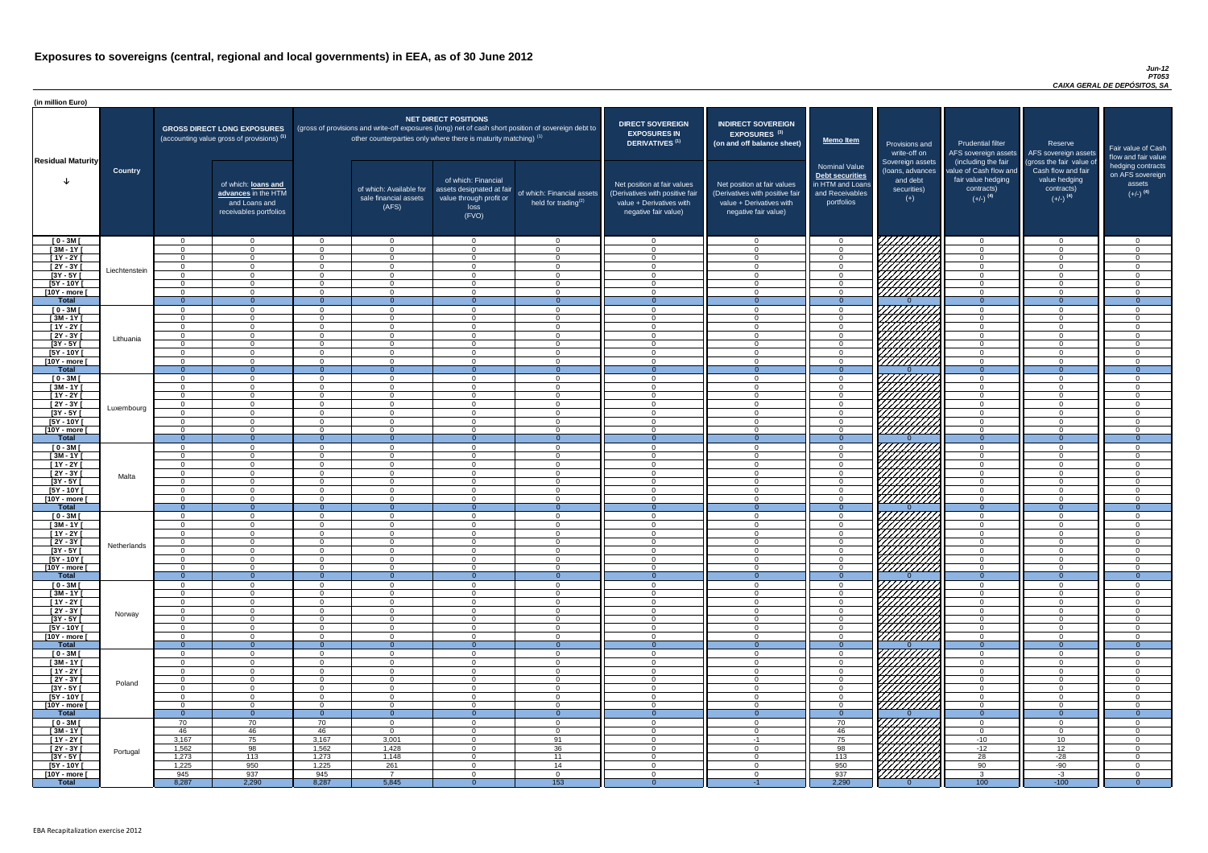#### *Jun-12 PT053 CAIXA GERAL DE DEPÓSITOS, SA*

| <b>DIRECT SOVEREIGN</b><br><b>EXPOSURES IN</b><br><b>DERIVATIVES<sup>(1)</sup></b><br>Net position at fair values<br>(Derivatives with positive fair<br>value + Derivatives with<br>negative fair value) | <b>INDIRECT SOVEREIGN</b><br>EXPOSURES <sup>(3)</sup><br>(on and off balance sheet)<br>Net position at fair values<br>(Derivatives with positive fair<br>value + Derivatives with<br>negative fair value) | <b>Memo Item</b><br><b>Nominal Value</b><br>Debt securities<br>in HTM and Loans<br>and Receivables<br>portfolios | Provisions and<br>write-off on<br>Sovereign assets<br>(loans, advances<br>and debt<br>securities)<br>$(+)$ | <b>Prudential filter</b><br>AFS sovereign assets<br>(including the fair<br>value of Cash flow and<br>fair value hedging<br>contracts)<br>$(+/-)$ <sup>(4)</sup> | Reserve<br>AFS sovereign assets<br>(gross the fair value of<br>Cash flow and fair<br>value hedging<br>contracts)<br>$(+/-)$ <sup>(4)</sup> | Fair value of Cash<br>flow and fair value<br>hedging contracts<br>on AFS sovereign<br>assets<br>$(+/-)$ <sup>(4)</sup> |
|----------------------------------------------------------------------------------------------------------------------------------------------------------------------------------------------------------|-----------------------------------------------------------------------------------------------------------------------------------------------------------------------------------------------------------|------------------------------------------------------------------------------------------------------------------|------------------------------------------------------------------------------------------------------------|-----------------------------------------------------------------------------------------------------------------------------------------------------------------|--------------------------------------------------------------------------------------------------------------------------------------------|------------------------------------------------------------------------------------------------------------------------|
| 0                                                                                                                                                                                                        | $\mathbf 0$                                                                                                                                                                                               | $\mathbf 0$                                                                                                      |                                                                                                            | $\mathbf 0$                                                                                                                                                     | 0                                                                                                                                          | 0                                                                                                                      |
| $\mathbf 0$                                                                                                                                                                                              | $\mathbf 0$                                                                                                                                                                                               | $\mathbf 0$                                                                                                      |                                                                                                            | 0                                                                                                                                                               | $\mathbf 0$                                                                                                                                | 0                                                                                                                      |
| $\mathbf 0$                                                                                                                                                                                              | $\mathbf 0$                                                                                                                                                                                               | $\mathbf 0$                                                                                                      |                                                                                                            | 0                                                                                                                                                               | $\pmb{0}$                                                                                                                                  | 0                                                                                                                      |
| $\pmb{0}$                                                                                                                                                                                                | $\mathbf 0$                                                                                                                                                                                               | $\mathbf 0$                                                                                                      |                                                                                                            | 0                                                                                                                                                               | $\mathbf 0$                                                                                                                                | 0                                                                                                                      |
| $\mathbf 0$<br>$\mathbf 0$                                                                                                                                                                               | $\mathbf 0$<br>$\mathbf 0$                                                                                                                                                                                | $\mathbf 0$<br>$\mathbf 0$                                                                                       |                                                                                                            | $\mathbf 0$<br>$\mathbf 0$                                                                                                                                      | $\mathbf 0$<br>$\mathbf 0$                                                                                                                 | 0<br>0                                                                                                                 |
| $\mathbf 0$                                                                                                                                                                                              | $\pmb{0}$                                                                                                                                                                                                 | $\mathbf 0$                                                                                                      |                                                                                                            | $\pmb{0}$                                                                                                                                                       | $\mathbf 0$                                                                                                                                | 0                                                                                                                      |
| $\overline{0}$                                                                                                                                                                                           | $\overline{0}$                                                                                                                                                                                            | $\overline{0}$                                                                                                   | $\Omega$                                                                                                   | $\overline{0}$                                                                                                                                                  | $\overline{0}$                                                                                                                             | $\overline{0}$                                                                                                         |
| $\mathbf 0$                                                                                                                                                                                              | $\mathbf 0$                                                                                                                                                                                               | $\mathbf 0$                                                                                                      |                                                                                                            | $\mathbf 0$                                                                                                                                                     | $\mathbf 0$                                                                                                                                | 0                                                                                                                      |
| $\mathbf 0$<br>$\mathbf 0$                                                                                                                                                                               | $\mathbf 0$                                                                                                                                                                                               | $\mathbf 0$<br>$\mathbf 0$                                                                                       |                                                                                                            | $\mathbf 0$<br>$\mathbf 0$                                                                                                                                      | $\mathbf 0$<br>$\mathbf 0$                                                                                                                 | 0<br>0                                                                                                                 |
| $\mathbf 0$                                                                                                                                                                                              | $\mathbf 0$<br>$\mathbf 0$                                                                                                                                                                                | $\mathbf 0$                                                                                                      |                                                                                                            | $\mathbf 0$                                                                                                                                                     | $\mathbf 0$                                                                                                                                | 0                                                                                                                      |
| $\mathbf 0$                                                                                                                                                                                              | $\mathbf 0$                                                                                                                                                                                               | $\mathbf 0$                                                                                                      |                                                                                                            | $\mathbf 0$                                                                                                                                                     | $\mathbf 0$                                                                                                                                | 0                                                                                                                      |
| $\mathbf 0$                                                                                                                                                                                              | $\mathbf 0$                                                                                                                                                                                               | $\mathbf 0$                                                                                                      |                                                                                                            | $\mathbf 0$                                                                                                                                                     | $\overline{0}$                                                                                                                             | $\mathbf 0$                                                                                                            |
| $\mathbf 0$                                                                                                                                                                                              | $\mathbf 0$                                                                                                                                                                                               | $\boldsymbol{0}$                                                                                                 |                                                                                                            | $\mathbf 0$                                                                                                                                                     | $\mathbf 0$                                                                                                                                | 0                                                                                                                      |
| $\mathbf{0}$<br>$\mathbf 0$                                                                                                                                                                              | $\overline{0}$<br>$\mathbf 0$                                                                                                                                                                             | $\overline{0}$<br>$\mathbf 0$                                                                                    | ∩                                                                                                          | $\overline{0}$<br>$\mathbf 0$                                                                                                                                   | $\overline{0}$<br>0                                                                                                                        | $\overline{0}$<br>0                                                                                                    |
| $\mathbf 0$                                                                                                                                                                                              | $\mathbf 0$                                                                                                                                                                                               | $\mathbf 0$                                                                                                      |                                                                                                            | $\mathbf 0$                                                                                                                                                     | $\mathbf 0$                                                                                                                                | 0                                                                                                                      |
| $\mathbf 0$                                                                                                                                                                                              | $\mathbf 0$                                                                                                                                                                                               | $\mathbf 0$                                                                                                      |                                                                                                            | $\mathbf 0$                                                                                                                                                     | $\mathbf 0$                                                                                                                                | 0                                                                                                                      |
| $\mathbf 0$                                                                                                                                                                                              | $\mathbf 0$                                                                                                                                                                                               | $\mathbf 0$                                                                                                      |                                                                                                            | $\mathbf 0$                                                                                                                                                     | 0                                                                                                                                          | 0                                                                                                                      |
| $\mathbf 0$<br>0                                                                                                                                                                                         | $\mathbf 0$<br>0                                                                                                                                                                                          | $\mathbf 0$<br>0                                                                                                 |                                                                                                            | $\mathbf 0$<br>0                                                                                                                                                | $\mathbf 0$<br>0                                                                                                                           | $\mathbf 0$<br>0                                                                                                       |
| 0                                                                                                                                                                                                        | 0                                                                                                                                                                                                         | 0                                                                                                                |                                                                                                            | $\Omega$                                                                                                                                                        | $\mathbf{0}$                                                                                                                               | 0                                                                                                                      |
| $\mathbf{0}$                                                                                                                                                                                             | $\overline{0}$                                                                                                                                                                                            | $\overline{0}$                                                                                                   | $\overline{0}$                                                                                             | $\overline{0}$                                                                                                                                                  | $\overline{0}$                                                                                                                             | $\overline{0}$                                                                                                         |
| 0                                                                                                                                                                                                        | $\mathbf 0$                                                                                                                                                                                               | $\mathbf 0$                                                                                                      |                                                                                                            | 0                                                                                                                                                               | 0                                                                                                                                          | 0                                                                                                                      |
| 0<br>0                                                                                                                                                                                                   | 0<br>0                                                                                                                                                                                                    | 0<br>$\mathbf 0$                                                                                                 |                                                                                                            | 0<br>0                                                                                                                                                          | $\mathbf{0}$<br>0                                                                                                                          | 0<br>0                                                                                                                 |
| $\mathbf 0$                                                                                                                                                                                              | $\mathbf 0$                                                                                                                                                                                               | $\mathbf 0$                                                                                                      |                                                                                                            | $\mathbf 0$                                                                                                                                                     | $\mathbf 0$                                                                                                                                | 0                                                                                                                      |
| $\mathbf 0$                                                                                                                                                                                              | 0                                                                                                                                                                                                         | $\mathbf 0$                                                                                                      |                                                                                                            | $\mathbf 0$                                                                                                                                                     | $\mathbf 0$                                                                                                                                | 0                                                                                                                      |
| $\mathbf 0$                                                                                                                                                                                              | $\mathbf 0$                                                                                                                                                                                               | $\mathbf 0$                                                                                                      |                                                                                                            | $\mathbf 0$                                                                                                                                                     | $\overline{0}$                                                                                                                             | 0                                                                                                                      |
| $\boldsymbol{0}$<br>$\mathbf{0}$                                                                                                                                                                         | $\mathbf 0$<br>$\overline{0}$                                                                                                                                                                             | $\mathbf 0$<br>$\overline{0}$                                                                                    | $\overline{0}$                                                                                             | $\mathbf 0$<br>$\overline{0}$                                                                                                                                   | $\pmb{0}$<br>$\overline{0}$                                                                                                                | 0<br>$\overline{0}$                                                                                                    |
| $\mathbf 0$                                                                                                                                                                                              | 0                                                                                                                                                                                                         | $\mathbf 0$                                                                                                      |                                                                                                            | $\mathbf 0$                                                                                                                                                     | 0                                                                                                                                          | 0                                                                                                                      |
| $\mathbf 0$                                                                                                                                                                                              | $\pmb{0}$                                                                                                                                                                                                 | $\mathbf 0$                                                                                                      |                                                                                                            | $\pmb{0}$                                                                                                                                                       | $\mathbf 0$                                                                                                                                | 0                                                                                                                      |
| $\mathbf 0$                                                                                                                                                                                              | $\mathbf 0$                                                                                                                                                                                               | $\mathbf 0$                                                                                                      |                                                                                                            | $\mathbf 0$                                                                                                                                                     | $\mathbf 0$                                                                                                                                | 0                                                                                                                      |
| $\mathbf 0$<br>0                                                                                                                                                                                         | $\mathbf 0$<br>0                                                                                                                                                                                          | $\mathbf 0$<br>$\mathbf 0$                                                                                       |                                                                                                            | $\mathbf 0$<br>$\mathbf 0$                                                                                                                                      | 0<br>0                                                                                                                                     | 0<br>0                                                                                                                 |
| 0                                                                                                                                                                                                        | 0                                                                                                                                                                                                         | $\mathbf 0$                                                                                                      |                                                                                                            | 0                                                                                                                                                               | 0                                                                                                                                          | 0                                                                                                                      |
| 0                                                                                                                                                                                                        | $\mathbf 0$                                                                                                                                                                                               | $\mathbf 0$                                                                                                      |                                                                                                            | 0                                                                                                                                                               | $\mathbf 0$                                                                                                                                | 0                                                                                                                      |
| $\mathbf{0}$                                                                                                                                                                                             | $\overline{0}$                                                                                                                                                                                            | $\overline{0}$                                                                                                   | $\overline{0}$                                                                                             | $\overline{0}$                                                                                                                                                  | $\overline{0}$                                                                                                                             | $\overline{0}$                                                                                                         |
| 0<br>$\mathbf 0$                                                                                                                                                                                         | $\mathbf 0$<br>$\mathbf 0$                                                                                                                                                                                | $\mathbf 0$<br>$\mathbf 0$                                                                                       |                                                                                                            | 0<br>0                                                                                                                                                          | 0<br>0                                                                                                                                     | 0<br>0                                                                                                                 |
| 0                                                                                                                                                                                                        | 0                                                                                                                                                                                                         | $\mathbf 0$                                                                                                      |                                                                                                            | $\mathbf 0$                                                                                                                                                     | 0                                                                                                                                          | 0                                                                                                                      |
| 0                                                                                                                                                                                                        | 0                                                                                                                                                                                                         | $\mathbf 0$                                                                                                      |                                                                                                            | 0                                                                                                                                                               | 0                                                                                                                                          | 0                                                                                                                      |
| 0                                                                                                                                                                                                        | 0                                                                                                                                                                                                         | $\mathbf 0$                                                                                                      |                                                                                                            | $\mathbf 0$                                                                                                                                                     | 0                                                                                                                                          | 0                                                                                                                      |
| $\mathbf 0$<br>0                                                                                                                                                                                         | $\mathbf 0$<br>0                                                                                                                                                                                          | $\mathbf 0$<br>$\mathbf 0$                                                                                       |                                                                                                            | $\mathbf 0$<br>$\mathbf 0$                                                                                                                                      | $\mathbf 0$<br>0                                                                                                                           | 0<br>0                                                                                                                 |
| $\mathbf{0}$                                                                                                                                                                                             | $\overline{0}$                                                                                                                                                                                            | $\overline{0}$                                                                                                   | $\overline{0}$                                                                                             | $\Omega$                                                                                                                                                        | $\overline{0}$                                                                                                                             | $\overline{0}$                                                                                                         |
| $\mathbf 0$                                                                                                                                                                                              | $\mathbf 0$                                                                                                                                                                                               | $\mathbf 0$                                                                                                      |                                                                                                            | 0                                                                                                                                                               | 0                                                                                                                                          | 0                                                                                                                      |
| 0                                                                                                                                                                                                        | 0                                                                                                                                                                                                         | $\mathbf 0$                                                                                                      |                                                                                                            | 0                                                                                                                                                               | $\mathbf{0}$                                                                                                                               | 0                                                                                                                      |
| 0                                                                                                                                                                                                        | $\mathbf 0$                                                                                                                                                                                               | $\mathbf 0$                                                                                                      |                                                                                                            | 0                                                                                                                                                               | $\mathbf{0}$                                                                                                                               | 0                                                                                                                      |
| $\mathbf 0$<br>$\mathbf 0$                                                                                                                                                                               | $\mathbf 0$<br>0                                                                                                                                                                                          | $\mathbf 0$<br>$\mathbf 0$                                                                                       |                                                                                                            | 0<br>0                                                                                                                                                          | $\mathbf 0$<br>$\mathbf 0$                                                                                                                 | 0<br>0                                                                                                                 |
| $\mathbf 0$                                                                                                                                                                                              | 0                                                                                                                                                                                                         | $\mathbf 0$                                                                                                      |                                                                                                            | $\mathbf 0$                                                                                                                                                     | $\mathbf 0$                                                                                                                                | 0                                                                                                                      |
| 0                                                                                                                                                                                                        | 0                                                                                                                                                                                                         | $\mathbf 0$                                                                                                      | $Z\!Z$                                                                                                     | 0                                                                                                                                                               | $\mathbf 0$                                                                                                                                | 0                                                                                                                      |
| $\overline{0}$                                                                                                                                                                                           | $\overline{0}$                                                                                                                                                                                            | $\overline{0}$                                                                                                   | $\theta$                                                                                                   | $\overline{0}$                                                                                                                                                  | $\overline{0}$                                                                                                                             | $\overline{0}$                                                                                                         |
| 0<br>$\Omega$                                                                                                                                                                                            | 0<br>$\Omega$                                                                                                                                                                                             | 70<br>$\overline{46}$                                                                                            |                                                                                                            | 0<br>$\Omega$                                                                                                                                                   | 0<br>$\Omega$                                                                                                                              | 0<br>0                                                                                                                 |
| $\mathbf 0$                                                                                                                                                                                              | $-1$                                                                                                                                                                                                      | 75                                                                                                               |                                                                                                            | $-10$                                                                                                                                                           | 10                                                                                                                                         | 0                                                                                                                      |
| $\mathbf 0$                                                                                                                                                                                              | $\mathbf 0$                                                                                                                                                                                               | 98                                                                                                               |                                                                                                            | $-12$                                                                                                                                                           | 12                                                                                                                                         | $\overline{0}$                                                                                                         |
| $\mathsf{O}\xspace$                                                                                                                                                                                      | $\mathbf 0$                                                                                                                                                                                               | 113                                                                                                              |                                                                                                            | $\overline{28}$                                                                                                                                                 | $-28$                                                                                                                                      | $\overline{0}$                                                                                                         |
| $\mathsf{O}\xspace$<br>$\mathsf 0$                                                                                                                                                                       | $\mathbf 0$<br>$\overline{0}$                                                                                                                                                                             | 950<br>937                                                                                                       |                                                                                                            | 90<br>$\mathbf{3}$                                                                                                                                              | $-90$<br>$-3$                                                                                                                              | $\overline{0}$<br>0                                                                                                    |
| $\overline{0}$                                                                                                                                                                                           | $-1$                                                                                                                                                                                                      | 2,290                                                                                                            | $\Omega$                                                                                                   | 100                                                                                                                                                             | $-100$                                                                                                                                     | $\overline{0}$                                                                                                         |

| (in million Euro)                |                |                                                                                             |                                                                                       |                                                                                                                                                                                                            |                                                           |                                                                                              |                                                               |                                                                                                                    |                                                                                                                    |                                                                                                     |                                                                          |                                                                                                             |                                                                                                         |                                                   |
|----------------------------------|----------------|---------------------------------------------------------------------------------------------|---------------------------------------------------------------------------------------|------------------------------------------------------------------------------------------------------------------------------------------------------------------------------------------------------------|-----------------------------------------------------------|----------------------------------------------------------------------------------------------|---------------------------------------------------------------|--------------------------------------------------------------------------------------------------------------------|--------------------------------------------------------------------------------------------------------------------|-----------------------------------------------------------------------------------------------------|--------------------------------------------------------------------------|-------------------------------------------------------------------------------------------------------------|---------------------------------------------------------------------------------------------------------|---------------------------------------------------|
| <b>Residual Maturity</b>         | <b>Country</b> | <b>GROSS DIRECT LONG EXPOSURES</b><br>(accounting value gross of provisions) <sup>(1)</sup> |                                                                                       | <b>NET DIRECT POSITIONS</b><br>(gross of provisions and write-off exposures (long) net of cash short position of sovereign debt to<br>other counterparties only where there is maturity matching) $^{(1)}$ |                                                           |                                                                                              |                                                               | <b>DIRECT SOVEREIGN</b><br><b>EXPOSURES IN</b><br>DERIVATIVES <sup>(1)</sup>                                       | <b>INDIRECT SOVEREIGN</b><br><b>EXPOSURES<sup>(3)</sup></b><br>(on and off balance sheet)                          | <b>Memo Item</b>                                                                                    | Provisions and<br>write-off on                                           | <b>Prudential filter</b><br>AFS sovereign assets                                                            | Reserve<br>AFS sovereign assets                                                                         | Fair value<br>flow and f                          |
|                                  |                |                                                                                             | of which: loans and<br>advances in the HTM<br>and Loans and<br>receivables portfolios |                                                                                                                                                                                                            | of which: Available for<br>sale financial assets<br>(AFS) | of which: Financial<br>assets designated at fair<br>value through profit or<br>loss<br>(FVO) | of which: Financial assets<br>held for trading <sup>(2)</sup> | Net position at fair values<br>(Derivatives with positive fair<br>value + Derivatives with<br>negative fair value) | Net position at fair values<br>(Derivatives with positive fair<br>value + Derivatives with<br>negative fair value) | <b>Nominal Value</b><br><b>Debt securities</b><br>in HTM and Loans<br>and Receivables<br>portfolios | Sovereign assets<br>(loans, advances<br>and debt<br>securities)<br>$(+)$ | (including the fair<br>value of Cash flow and<br>fair value hedging<br>contracts)<br>$(+/-)$ <sup>(4)</sup> | (gross the fair value of<br>Cash flow and fair<br>value hedging<br>contracts)<br>$(+/-)$ <sup>(4)</sup> | hedging o<br>on AFS <sub>s</sub><br>ass<br>$(+/-$ |
| $[0 - 3M]$                       |                | $\Omega$                                                                                    | $\Omega$                                                                              | $\Omega$                                                                                                                                                                                                   | $\overline{0}$                                            | $\overline{0}$                                                                               | $\cap$                                                        | $\cap$                                                                                                             | $\overline{0}$                                                                                                     | $\overline{0}$                                                                                      | 7777777777                                                               | $\overline{0}$                                                                                              | $\Omega$                                                                                                |                                                   |
| $[3M - 1Y]$                      |                | $\Omega$                                                                                    | . റ                                                                                   | $\Omega$                                                                                                                                                                                                   | $\overline{0}$                                            | $\Omega$                                                                                     | $\cap$                                                        |                                                                                                                    | $\Omega$                                                                                                           | $\Omega$                                                                                            |                                                                          | $\Omega$                                                                                                    | $\Omega$                                                                                                |                                                   |
| $[1Y - 2Y]$                      |                | $\Omega$                                                                                    | $\cap$<br>$\Omega$                                                                    | $\Omega$<br>$\Omega$                                                                                                                                                                                       | $\overline{0}$                                            | $\Omega$                                                                                     | $\cap$<br>$\Omega$                                            | $\Omega$                                                                                                           | $\Omega$<br>$\Omega$                                                                                               | $\Omega$                                                                                            |                                                                          | $\Omega$<br>$\Omega$                                                                                        | $\Omega$<br>$\Omega$                                                                                    |                                                   |
| $\boxed{2Y - 3Y}$<br>$[3Y - 5Y]$ | Liechtenstein  | $\Omega$<br>$\Omega$                                                                        | $\cap$                                                                                | $\Omega$                                                                                                                                                                                                   | $\overline{0}$<br>$\Omega$                                | $\Omega$<br>$\Omega$                                                                         | $\cap$                                                        | $\cap$                                                                                                             | - റ                                                                                                                | $\Omega$<br>$\Omega$                                                                                |                                                                          | $\Omega$                                                                                                    | $\Omega$                                                                                                |                                                   |
| $[5Y - 10Y]$                     |                | $\Omega$                                                                                    | $\cap$                                                                                | $\Omega$                                                                                                                                                                                                   | $\overline{0}$                                            | $\Omega$                                                                                     | $\cap$                                                        | $\Omega$                                                                                                           | $\cap$                                                                                                             | $\Omega$                                                                                            |                                                                          | $\overline{0}$                                                                                              | $\Omega$                                                                                                |                                                   |
| [10Y - more [                    |                | $\Omega$                                                                                    | $\Omega$                                                                              | $\Omega$                                                                                                                                                                                                   | $\overline{0}$                                            | $\Omega$                                                                                     | $\Omega$                                                      | $\Omega$                                                                                                           | $\cap$                                                                                                             | $\overline{0}$                                                                                      | ШША<br>ШШША                                                              | $\overline{0}$                                                                                              | $\Omega$                                                                                                |                                                   |
| <b>Total</b>                     |                | $\Omega$                                                                                    |                                                                                       | - വ                                                                                                                                                                                                        | $\Omega$                                                  | $\cap$                                                                                       | $\Omega$                                                      |                                                                                                                    |                                                                                                                    | $\Omega$                                                                                            |                                                                          | $\Omega$                                                                                                    | $\Omega$                                                                                                |                                                   |
| $[0 - 3M]$                       |                | $\Omega$                                                                                    | $\Omega$                                                                              | $\Omega$                                                                                                                                                                                                   | $\overline{0}$                                            | $\Omega$                                                                                     | $\Omega$                                                      | $\Omega$                                                                                                           | $\Omega$                                                                                                           | $\Omega$                                                                                            | 17777777                                                                 | $\Omega$                                                                                                    | $\Omega$                                                                                                |                                                   |
| $[3M - 1Y]$                      |                | $\Omega$                                                                                    | $\Omega$<br>$\cap$                                                                    | $\Omega$                                                                                                                                                                                                   | $\overline{0}$                                            | $\Omega$                                                                                     | $\Omega$<br>$\Omega$                                          |                                                                                                                    | $\Omega$<br>$\Omega$                                                                                               | $\overline{0}$                                                                                      |                                                                          | $\overline{0}$                                                                                              | $\overline{0}$                                                                                          |                                                   |
| $[1Y - 2Y]$<br>$[2Y - 3Y]$       |                | $\Omega$<br>$\Omega$                                                                        | $\cap$                                                                                | $\Omega$<br>$\Omega$                                                                                                                                                                                       | $\overline{0}$<br>$\Omega$                                | $\Omega$<br>$\Omega$                                                                         | $\sqrt{ }$                                                    | $\Omega$                                                                                                           | $\Omega$                                                                                                           | $\Omega$<br>$\Omega$                                                                                |                                                                          | $\overline{0}$<br>$\Omega$                                                                                  | $\Omega$<br>$\Omega$                                                                                    |                                                   |
| $[3Y - 5Y]$                      | Lithuania      | $\Omega$                                                                                    |                                                                                       | $\Omega$                                                                                                                                                                                                   | $\overline{0}$                                            | $\Omega$                                                                                     |                                                               |                                                                                                                    | $\Omega$                                                                                                           | $\Omega$                                                                                            | 777777777                                                                | $\Omega$                                                                                                    | $\Omega$                                                                                                |                                                   |
| $[5Y - 10Y]$                     |                | $\Omega$                                                                                    |                                                                                       | $\Omega$                                                                                                                                                                                                   | $\overline{0}$                                            | $\Omega$                                                                                     |                                                               |                                                                                                                    | $\Omega$                                                                                                           | $\Omega$                                                                                            | 777777777                                                                | $\Omega$                                                                                                    | $\Omega$                                                                                                |                                                   |
| [10Y - more [                    |                | $\cap$                                                                                      | $\cap$                                                                                | $\Omega$                                                                                                                                                                                                   | $\Omega$                                                  | $\Omega$                                                                                     |                                                               |                                                                                                                    | $\cap$                                                                                                             | $\Omega$                                                                                            | 777777777                                                                | $\Omega$                                                                                                    | $\Omega$                                                                                                |                                                   |
| <b>Total</b>                     |                | $\overline{0}$                                                                              |                                                                                       | $\Omega$                                                                                                                                                                                                   | $\Omega$                                                  | - റ                                                                                          | - 0                                                           |                                                                                                                    | $\Omega$                                                                                                           | $\Omega$                                                                                            |                                                                          | $\Omega$                                                                                                    | $\Omega$                                                                                                |                                                   |
| $[0 - 3M]$                       |                | $\Omega$<br>$\Omega$                                                                        | $\cap$<br>$\cap$                                                                      | $\Omega$<br>$\Omega$                                                                                                                                                                                       | $\Omega$<br>$\Omega$                                      | $\Omega$<br>$\Omega$                                                                         |                                                               | $\Omega$                                                                                                           | $\cap$<br>$\Omega$                                                                                                 | $\Omega$<br>$\Omega$                                                                                | 777777777                                                                | $\Omega$<br>$\overline{0}$                                                                                  | $\Omega$<br>$\Omega$                                                                                    |                                                   |
| $[3M-1Y]$<br>$[1Y - 2Y]$         |                | $\Omega$                                                                                    | $\Omega$                                                                              | $\Omega$                                                                                                                                                                                                   | $\Omega$                                                  | $\Omega$                                                                                     |                                                               | $\Omega$                                                                                                           | $\Omega$                                                                                                           | . റ                                                                                                 |                                                                          | $\Omega$                                                                                                    | $\Omega$                                                                                                |                                                   |
| $[2Y - 3Y]$                      |                | $\Omega$                                                                                    | $\cap$                                                                                | $\Omega$                                                                                                                                                                                                   | $\Omega$                                                  | $\Omega$                                                                                     |                                                               | $\Omega$                                                                                                           | $\Omega$                                                                                                           | $\Omega$                                                                                            | $\mathbb{Z}$                                                             | $\Omega$                                                                                                    | $\Omega$                                                                                                |                                                   |
| $[3Y - 5Y]$                      | Luxembourg     |                                                                                             |                                                                                       |                                                                                                                                                                                                            |                                                           |                                                                                              |                                                               |                                                                                                                    |                                                                                                                    |                                                                                                     |                                                                          |                                                                                                             |                                                                                                         |                                                   |
| $[5Y - 10Y]$                     |                | $\Omega$                                                                                    | $\cap$                                                                                | $\Omega$                                                                                                                                                                                                   | $\Omega$                                                  | $\Omega$                                                                                     |                                                               |                                                                                                                    | $\Omega$                                                                                                           | $\Omega$                                                                                            | 444411<br>KZ,                                                            | $\Omega$                                                                                                    | $\Omega$                                                                                                |                                                   |
| [10Y - more ]<br><b>Total</b>    |                | $\Omega$<br>$\Omega$                                                                        |                                                                                       | $\Omega$<br>$\Omega$                                                                                                                                                                                       | $\Omega$<br>$\Omega$                                      | $\Omega$                                                                                     | $\Omega$                                                      |                                                                                                                    |                                                                                                                    | $\Omega$<br>$\Omega$                                                                                | 777777777                                                                | $\Omega$<br>$\Omega$                                                                                        | $\Omega$<br>$\Omega$                                                                                    |                                                   |
| $[0 - 3M]$                       |                | $\Omega$                                                                                    | $\cap$                                                                                | $\Omega$                                                                                                                                                                                                   | $\Omega$                                                  | $\Omega$                                                                                     |                                                               |                                                                                                                    | $\Omega$                                                                                                           | $\Omega$                                                                                            |                                                                          | $\Omega$                                                                                                    | - 0                                                                                                     |                                                   |
| $[3M - 1Y]$                      |                |                                                                                             |                                                                                       | $\Omega$                                                                                                                                                                                                   | $\Omega$                                                  | $\Omega$                                                                                     |                                                               |                                                                                                                    | $\Omega$                                                                                                           | $\Omega$                                                                                            | VIIIIIIIII                                                               | $\Omega$                                                                                                    | $\Omega$                                                                                                |                                                   |
| $[1Y - 2Y]$                      |                | $\Omega$                                                                                    |                                                                                       | $\Omega$                                                                                                                                                                                                   | $\overline{0}$                                            | $\Omega$                                                                                     |                                                               |                                                                                                                    | $\Omega$                                                                                                           | $\Omega$                                                                                            | レプアプア                                                                    | $\Omega$                                                                                                    | $\Omega$                                                                                                |                                                   |
| [2Y - 3Y [                       | Malta          | $\Omega$                                                                                    | $\cap$                                                                                | - 0                                                                                                                                                                                                        | $\overline{0}$                                            | $\Omega$                                                                                     | $\cap$                                                        | $\cap$                                                                                                             | $\Omega$                                                                                                           | $\Omega$                                                                                            |                                                                          | $\Omega$                                                                                                    | $\Omega$                                                                                                |                                                   |
| $[3Y - 5Y]$                      |                | $\Omega$<br>$\Omega$                                                                        | $\cap$<br>$\cap$                                                                      | $\Omega$                                                                                                                                                                                                   | $\Omega$                                                  | $\Omega$<br>$\Omega$                                                                         | $\cap$<br>$\Omega$                                            | $\Omega$                                                                                                           | $\Omega$<br>$\Omega$                                                                                               | $\Omega$                                                                                            |                                                                          | $\Omega$<br>$\Omega$                                                                                        | $\Omega$<br>$\Omega$                                                                                    |                                                   |
| $[5Y - 10Y]$<br>[10Y - more [    |                | $\Omega$                                                                                    | $\cap$                                                                                | $\Omega$<br>$\Omega$                                                                                                                                                                                       | $\overline{0}$<br>$\Omega$                                | $\Omega$                                                                                     | $\cap$                                                        | $\Omega$                                                                                                           | $\Omega$                                                                                                           | $\overline{0}$<br>$\Omega$                                                                          | r <i>ttiiiii</i>                                                         | $\overline{0}$                                                                                              | $\Omega$                                                                                                |                                                   |
| <b>Total</b>                     |                | $\overline{0}$                                                                              |                                                                                       | $\Omega$                                                                                                                                                                                                   | $\Omega$                                                  | $\Omega$                                                                                     | $\Omega$                                                      |                                                                                                                    |                                                                                                                    | $\Omega$                                                                                            |                                                                          | $\Omega$                                                                                                    | $\Omega$                                                                                                |                                                   |
| $[0 - 3M]$                       |                | $\Omega$                                                                                    | $\Omega$                                                                              | $\Omega$                                                                                                                                                                                                   | $\overline{0}$                                            | $\Omega$                                                                                     | $\Omega$                                                      | ∩                                                                                                                  | $\Omega$                                                                                                           | $\overline{0}$                                                                                      |                                                                          | $\Omega$                                                                                                    | $\Omega$                                                                                                |                                                   |
| $[3M - 1Y]$                      |                | $\Omega$                                                                                    | . റ                                                                                   | $\Omega$                                                                                                                                                                                                   | $\overline{0}$                                            | $\Omega$                                                                                     | $\Omega$                                                      | $\cap$                                                                                                             | $\Omega$                                                                                                           | $\Omega$                                                                                            |                                                                          | $\Omega$                                                                                                    | $\Omega$                                                                                                |                                                   |
| $[1Y - 2Y]$<br>$[2Y - 3Y]$       |                | $\Omega$<br>$\overline{0}$                                                                  | $\Omega$<br>$\Omega$                                                                  | $\Omega$<br>$\Omega$                                                                                                                                                                                       | $\overline{0}$                                            | $\Omega$                                                                                     | $\cap$                                                        |                                                                                                                    | $\Omega$<br>$\Omega$                                                                                               | $\Omega$<br>$\overline{0}$                                                                          |                                                                          | $\overline{0}$<br>$\overline{0}$                                                                            | $\Omega$<br>$\overline{0}$                                                                              |                                                   |
| $[3Y - 5Y]$                      | Netherlands    | $\Omega$                                                                                    | $\Omega$                                                                              | $\Omega$                                                                                                                                                                                                   | $\overline{0}$<br>$\Omega$                                | $\Omega$<br>$\Omega$                                                                         |                                                               |                                                                                                                    | $\Omega$                                                                                                           | $\Omega$                                                                                            |                                                                          | $\Omega$                                                                                                    | $\Omega$                                                                                                |                                                   |
| $[5Y - 10Y]$                     |                | $\Omega$                                                                                    | $\Omega$                                                                              | $\Omega$                                                                                                                                                                                                   | $\overline{0}$                                            | $\Omega$                                                                                     |                                                               |                                                                                                                    | $\Omega$                                                                                                           | $\cap$                                                                                              |                                                                          | $\Omega$                                                                                                    | $\Omega$                                                                                                |                                                   |
| [10Y - more [                    |                | $\Omega$                                                                                    | $\Omega$                                                                              | $\Omega$                                                                                                                                                                                                   | $\overline{0}$                                            | $\Omega$                                                                                     | $\cap$                                                        |                                                                                                                    | $\Omega$                                                                                                           | $\Omega$                                                                                            | /////////                                                                | $\Omega$                                                                                                    | $\Omega$                                                                                                |                                                   |
| <b>Total</b>                     |                | $\overline{0}$                                                                              | -0                                                                                    | $\Omega$                                                                                                                                                                                                   | $\Omega$                                                  | -0                                                                                           | - 0                                                           |                                                                                                                    |                                                                                                                    | $\Omega$                                                                                            |                                                                          | $\overline{0}$                                                                                              | $\Omega$                                                                                                |                                                   |
| $[0 - 3M]$<br>$[3M - 1Y]$        |                | $\cap$<br>$\Omega$                                                                          | റ<br>. റ                                                                              | - 0<br>$\Omega$                                                                                                                                                                                            | $\Omega$                                                  | $\Omega$<br>$\Omega$                                                                         | $\cap$                                                        | $\Omega$                                                                                                           | $\Omega$<br>$\cap$                                                                                                 | $\Omega$<br>$\Omega$                                                                                |                                                                          | $\Omega$<br>$\overline{0}$                                                                                  | $\Omega$<br>$\Omega$                                                                                    |                                                   |
| $[1Y - 2Y]$                      | Norway         | $\Omega$                                                                                    | $\Omega$                                                                              | $\Omega$                                                                                                                                                                                                   | $\overline{0}$<br>$\overline{0}$                          | $\Omega$                                                                                     | $\cap$                                                        | $\Omega$                                                                                                           | $\Omega$                                                                                                           | $\Omega$                                                                                            |                                                                          | $\overline{0}$                                                                                              | $\Omega$                                                                                                |                                                   |
| $[2Y - 3Y]$                      |                | $\Omega$                                                                                    | $\Omega$                                                                              | $\Omega$                                                                                                                                                                                                   | $\Omega$                                                  | $\Omega$                                                                                     | $\Omega$                                                      | $\Omega$                                                                                                           | $\Omega$                                                                                                           | $\Omega$                                                                                            |                                                                          | $\overline{0}$                                                                                              | $\Omega$                                                                                                |                                                   |
| $[3Y - 5Y]$                      |                | $\Omega$                                                                                    | . റ                                                                                   | $\Omega$                                                                                                                                                                                                   | $\overline{0}$                                            | $\Omega$                                                                                     | $\cap$                                                        | $\cap$                                                                                                             | $\Omega$                                                                                                           | $\Omega$                                                                                            |                                                                          | $\Omega$                                                                                                    | $\Omega$                                                                                                |                                                   |
| $[5Y - 10Y]$                     |                | $\Omega$                                                                                    | $\cap$                                                                                | $\Omega$                                                                                                                                                                                                   | $\overline{0}$                                            | $\Omega$                                                                                     | $\cap$                                                        | $\Omega$                                                                                                           | $\Omega$                                                                                                           | $\Omega$                                                                                            | 777777777                                                                | $\Omega$                                                                                                    | $\Omega$                                                                                                |                                                   |
| [10Y - more [<br><b>Total</b>    |                | $\Omega$<br>$\overline{0}$                                                                  | $\cap$                                                                                | $\Omega$<br>- 0                                                                                                                                                                                            | $\Omega$<br>$\Omega$                                      | $\Omega$                                                                                     | $\sqrt{ }$<br>- 0                                             |                                                                                                                    | $\Omega$                                                                                                           | $\Omega$<br>$\Omega$                                                                                | <u>V//////////</u>                                                       | $\Omega$<br>$\Omega$                                                                                        | $\Omega$<br>$\Omega$                                                                                    |                                                   |
| $[0 - 3M]$                       |                | $\Omega$                                                                                    |                                                                                       | -C                                                                                                                                                                                                         | $\Omega$                                                  | $\Omega$                                                                                     |                                                               |                                                                                                                    | $\Omega$                                                                                                           | $\Omega$                                                                                            |                                                                          | $\Omega$                                                                                                    | $\Omega$                                                                                                |                                                   |
| $[3M - 1Y]$                      |                | $\Omega$                                                                                    | $\Omega$                                                                              | $\Omega$                                                                                                                                                                                                   | $\overline{0}$                                            | $\Omega$                                                                                     |                                                               |                                                                                                                    | $\Omega$                                                                                                           | $\Omega$                                                                                            |                                                                          | $\Omega$                                                                                                    | $\Omega$                                                                                                |                                                   |
| $[1Y - 2Y]$                      |                | $\Omega$                                                                                    | $\cap$                                                                                | $\Omega$                                                                                                                                                                                                   | $\overline{0}$                                            | $\Omega$                                                                                     | $\cap$                                                        |                                                                                                                    | $\Omega$                                                                                                           | $\Omega$                                                                                            |                                                                          | $\Omega$                                                                                                    | $\Omega$                                                                                                |                                                   |
| $\overline{2Y - 3Y}$             | Poland         | $\Omega$                                                                                    | $\Omega$                                                                              | - 0                                                                                                                                                                                                        | $\overline{0}$                                            | $\Omega$                                                                                     | $\cap$                                                        |                                                                                                                    | $\Omega$                                                                                                           | $\Omega$                                                                                            |                                                                          | $\Omega$                                                                                                    | $\Omega$                                                                                                |                                                   |
| $[3Y - 5Y]$<br>$[5Y - 10Y]$      |                | $\Omega$<br>$\Omega$                                                                        | $\cap$<br>$\cap$                                                                      | - 0<br>$\Omega$                                                                                                                                                                                            | $\Omega$<br>$\Omega$                                      | $\Omega$<br>$\Omega$                                                                         | $\Omega$<br>$\cap$                                            | ∩                                                                                                                  | $\Omega$<br>$\Omega$                                                                                               | $\Omega$<br>$\Omega$                                                                                |                                                                          | $\Omega$<br>$\Omega$                                                                                        | $\Omega$<br>$\Omega$                                                                                    |                                                   |
| [10Y - more [                    |                | $\Omega$                                                                                    | $\cap$                                                                                | $\Omega$                                                                                                                                                                                                   | $\Omega$                                                  | $\cap$                                                                                       | $\Omega$                                                      |                                                                                                                    | $\Omega$                                                                                                           | $\Omega$                                                                                            | /////////                                                                | $\Omega$                                                                                                    | $\Omega$                                                                                                |                                                   |
| <b>Total</b>                     |                | $\Omega$                                                                                    |                                                                                       | - വ                                                                                                                                                                                                        | $\Omega$                                                  |                                                                                              | $\Omega$                                                      |                                                                                                                    |                                                                                                                    | $\Omega$                                                                                            |                                                                          | $\Omega$                                                                                                    | - 0                                                                                                     |                                                   |
| $[0 - 3M]$                       |                | 70                                                                                          | 70                                                                                    | 70                                                                                                                                                                                                         | $\Omega$                                                  | $\Omega$                                                                                     |                                                               |                                                                                                                    | $\Omega$                                                                                                           | 70                                                                                                  | <i>77777777</i> 7                                                        | $\Omega$                                                                                                    | $\Omega$                                                                                                |                                                   |
| $[3M - 1Y]$                      |                | 46                                                                                          | 46                                                                                    | 46                                                                                                                                                                                                         | $\overline{0}$                                            | $\overline{0}$                                                                               | - 0                                                           |                                                                                                                    | $\Omega$                                                                                                           | 46                                                                                                  | <i>Willim</i>                                                            | $\overline{0}$                                                                                              | $\overline{0}$                                                                                          |                                                   |
| $[1Y - 2Y]$                      |                | 3,167                                                                                       | 75                                                                                    | 3,167                                                                                                                                                                                                      | 3,001                                                     | $\overline{0}$                                                                               | 91                                                            |                                                                                                                    | $-1$                                                                                                               | 75                                                                                                  |                                                                          | $-10$                                                                                                       | 10                                                                                                      |                                                   |
| $[2Y - 3Y]$                      | Portugal       | 1,562<br>1,273                                                                              | 98<br>113                                                                             | 1,562<br>1,273                                                                                                                                                                                             | 1,428                                                     | $\overline{0}$<br>$\Omega$                                                                   | 36                                                            | $\Omega$                                                                                                           | $\Omega$<br>$\Omega$                                                                                               | 98<br>113                                                                                           |                                                                          | $-12$<br>28                                                                                                 | 12<br>$-28$                                                                                             |                                                   |
| $[3Y - 5Y]$<br>$[5Y - 10Y]$      |                | 1,225                                                                                       | 950                                                                                   | 1,225                                                                                                                                                                                                      | 1,148<br>261                                              | $\overline{0}$                                                                               | 11<br>14                                                      |                                                                                                                    | $\Omega$                                                                                                           | 950                                                                                                 | HAAAN<br>HAAAN                                                           | 90                                                                                                          | $-90$                                                                                                   |                                                   |
| [10Y - more [                    |                | 945                                                                                         | 937                                                                                   | 945                                                                                                                                                                                                        | $\overline{7}$                                            | $\Omega$                                                                                     | - 0                                                           |                                                                                                                    | $\Omega$                                                                                                           | 937                                                                                                 | 7777777777                                                               | $\mathbf{3}$                                                                                                | $-3$                                                                                                    |                                                   |
| <b>Total</b>                     |                | 8,287                                                                                       | 2,290                                                                                 | 8,287                                                                                                                                                                                                      | 5,845                                                     | $\Omega$                                                                                     | 153                                                           |                                                                                                                    | $-1$                                                                                                               | 2,290                                                                                               |                                                                          | 100                                                                                                         | $-100$                                                                                                  |                                                   |